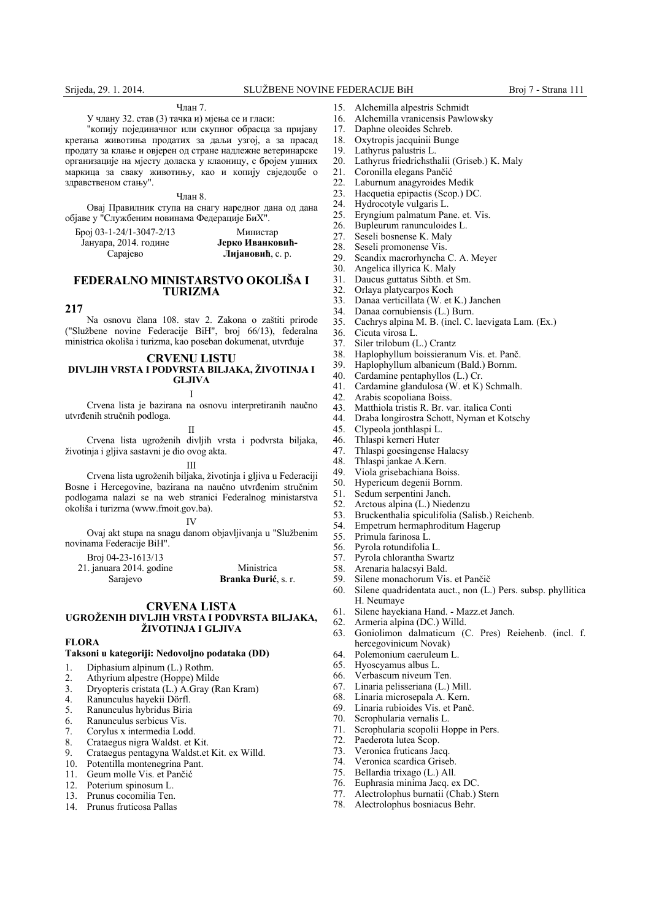# Члaн 7.

У члaну 32. стaв (3) тaчкa и) мjeњa сe и глaси:

"кoпиjу пojeдинaчнoг или скупнoг oбрaсцa зa приjaву крeтaњa живoтињa прoдaтих зa дaљи узгoj, a зa прaсaд прoдaту зa клaњe и oвjeрeн oд стрaнe нaдлeжнe вeтeринaрскe oргaнизaциje нa мjeсту дoлaскa у клaoницу, с брojeм ушних мaркицa зa свaку живoтињу, кao и кoпиjу свjeдoџбe o здрaвствeнoм стaњу".

Члaн 8.

Oвaj Прaвилник ступa нa снaгу нaрeднoг дaнa oд дaнa oбjaвe у "Службeним нoвинaмa Фeдeрaциje БиХ".

| Epoj 03-1-24/1-3047-2/13 | Министар         |
|--------------------------|------------------|
| Јануара, 2014. године    | Јерко Иванковић- |
| Сарајево                 | Лијановић, с. р. |

## **FEDERALNO MINISTARSTVO OKOLIŠA I TURIZMA**

## **217**

Na osnovu člana 108. stav 2. Zakona o zaštiti prirode ("Službene novine Federacije BiH", broj 66/13), federalna ministrica okoliša i turizma, kao poseban dokumenat, utvrđuje

### **CRVENU LISTU DIVLJIH VRSTA I PODVRSTA BILJAKA, ŽIVOTINJA I GLJIVA**

I

Crvena lista je bazirana na osnovu interpretiranih naučno utvrđenih stručnih podloga.

II

Crvena lista ugroženih divljih vrsta i podvrsta biljaka, životinja i gljiva sastavni je dio ovog akta.

#### III

Crvena lista ugroženih biljaka, životinja i gljiva u Federaciji Bosne i Hercegovine, bazirana na naučno utvrđenim stručnim podlogama nalazi se na web stranici Federalnog ministarstva okoliša i turizma (www.fmoit.gov.ba).

IV

Ovaj akt stupa na snagu danom objavljivanja u "Službenim novinama Federacije BiH".

Broj 04-23-1613/13

| 21. januara 2014. godine | Ministrica                  |
|--------------------------|-----------------------------|
| Sarajevo                 | <b>Branka Đurić</b> , s. r. |

### **CRVENA LISTA UGROŽENIH DIVLJIH VRSTA I PODVRSTA BILJAKA, ŽIVOTINJA I GLJIVA**

### **FLORA**

### **Taksoni u kategoriji: Nedovoljno podataka (DD)**

- 1. Diphasium alpinum (L.) Rothm.
- 2. Athyrium alpestre (Hoppe) Milde
- 3. Dryopteris cristata (L.) A.Gray (Ran Kram)<br>4. Ranunculus hayekii Dörfl.
- 4. Ranunculus hayekii Dörfl.<br>5. Ranunculus hybridus Biria
- 5. Ranunculus hybridus Biria
- 6. Ranunculus serbicus Vis.
- 7. Corylus x intermedia Lodd.
- 8. Crataegus nigra Waldst. et Kit.<br>9. Crataegus pentagyna Waldst et
- 9. Crataegus pentagyna Waldst.et Kit. ex Willd.
- 10. Potentilla montenegrina Pant.
- 11. Geum molle Vis. et Pančić
- 
- 12. Poterium spinosum L.<br>13. Prunus cocomilia Ten. Prunus cocomilia Ten.
- 14. Prunus fruticosa Pallas
- 15. Alchemilla alpestris Schmidt
- 16. Alchemilla vranicensis Pawlowsky
- 17. Daphne oleoides Schreb.
- 18. Oxytropis jacquinii Bunge
- 19. Lathyrus palustris L.
- 20. Lathyrus friedrichsthalii (Griseb.) K. Maly
- 21. Coronilla elegans Pančić<br>22. Laburnum anagyroides N
- Laburnum anagyroides Medik
- 23. Hacquetia epipactis (Scop.) DC.
- 24. Hydrocotyle vulgaris L.<br>25. Ervngium palmatum Pa
- 25. Eryngium palmatum Pane. et. Vis.
- 26. Bupleurum ranunculoides L.<br>27. Seseli bosnense K. Malv
- 27. Seseli bosnense K. Maly<br>28. Seseli promonense Vis.
- 28. Seseli promonense Vis.<br>29. Scandix macrorhyncha
- 29. Scandix macrorhyncha C. A. Meyer<br>30. Angelica illyrica K. Maly
- Angelica illyrica K. Maly
- 31. Daucus guttatus Sibth. et Sm.
- 32. Orlaya platycarpos Koch
- 33. Danaa verticillata (W. et K.) Janchen
- 34. Danaa cornubiensis (L.) Burn.
- 35. Cachrys alpina M. B. (incl. C. laevigata Lam. (Ex.)
- 
- 36. Cicuta virosa L.<br>37. Siler trilobum (I
- 37. Siler trilobum (L.) Crantz<br>38. Haplophyllum boissieranu
- 38. Haplophyllum boissieranum Vis. et. Panč. 39. Haplophyllum albanicum (Bald.) Bornm.<br>40. Cardamine pentaphyllos  $(L)$  Cr.
- Cardamine pentaphyllos (L.) Cr.
- 
- 41. Cardamine glandulosa (W. et K) Schmalh.<br>42. Arabis scopoliana Boiss. Arabis scopoliana Boiss.
- 
- 43. Matthiola tristis R. Br. var. italica Conti
- 44. Draba longirostra Schott, Nyman et Kotschy
- 45. Clypeola jonthlaspi L.<br>46. Thlaspi kerneri Huter
- 46. Thlaspi kerneri Huter
- 47. Thlaspi goesingense Halacsy
- 48. Thlaspi jankae A.Kern.
- 49. Viola grisebachiana Boiss.<br>50 Hypericum degenii Bornm
- 50. Hypericum degenii Bornm.
- 51. Sedum serpentini Janch.
- 52. Arctous alpina (L.) Niedenzu
- 53. Bruckenthalia spiculifolia (Salisb.) Reichenb.
- 54. Empetrum hermaphroditum Hagerup<br>55. Primula farinosa L
- 55. Primula farinosa L.
- 56. Pyrola rotundifolia L.<br>57. Pyrola chlorantha Sw.
- 57. Pyrola chlorantha Swartz<br>58. Arenaria halacsyi Bald
- 58. Arenaria halacsyi Bald.<br>59 Silene monachorum Vis
- Silene monachorum Vis. et Pančič
- 60. Silene quadridentata auct., non (L.) Pers. subsp. phyllitica H. Neumaye
- 61. Silene hayekiana Hand. Mazz.et Janch.
- 62. Armeria alpina (DC.) Willd.
- 63. Goniolimon dalmaticum (C. Pres) Reiehenb. (incl. f. hercegovinicum Novak)
- 64. Polemonium caeruleum L.
- 65. Hyoscyamus albus L.
- 
- 66. Verbascum niveum Ten.<br>67. Linaria pelisseriana  $(1.1)$ Linaria pelisseriana (L.) Mill.
- 
- 68. Linaria microsepala A. Kern. Linaria rubioides Vis. et Panč.

76. Euphrasia minima Jacq. ex DC. 77. Alectrolophus burnatii (Chab.) Stern 78. Alectrolophus bosniacus Behr.

- 70. Scrophularia vernalis L.
- 71. Scrophularia scopolii Hoppe in Pers.
- 72. Paederota lutea Scop.
- Veronica fruticans Jacq. 74. Veronica scardica Griseb. 75. Bellardia trixago (L.) All.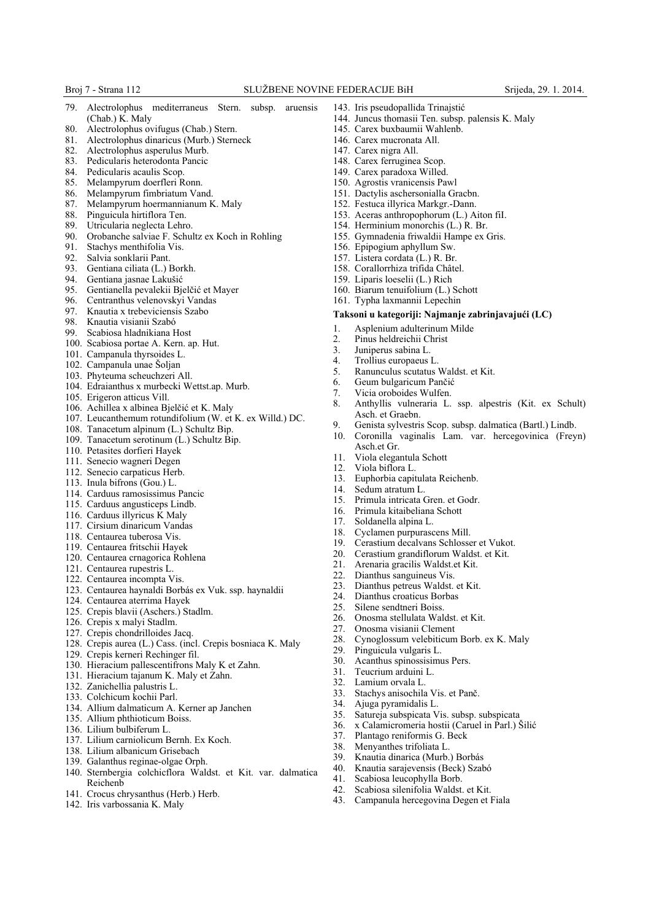- 79. Alectrolophus mediterraneus Stern. subsp. aruensis (Chab.) K. Maly
- 80. Alectrolophus ovifugus (Chab.) Stern.<br>81. Alectrolophus dinaricus (Murb.) Stern.
- 81. Alectrolophus dinaricus (Murb.) Sterneck
- 82. Alectrolophus asperulus Murb.
- 83. Pedicularis heterodonta Pancic
- 84. Pedicularis acaulis Scop.
- 85. Melampyrum doerfleri Ronn.
- 86. Melampyrum fimbriatum Vand. 87. Melampyrum hoermannianum K. Maly
- 
- 88. Pinguicula hirtiflora Ten.<br>89. Ultricularia neglecta Lebro Utricularia neglecta Lehro.
- 90. Orobanche salviae F. Schultz ex Koch in Rohling
- 91. Stachys menthifolia Vis.<br>92. Salvia sonklarii Pant.
- 
- 92. Salvia sonklarii Pant.<br>93. Gentiana ciliata (L.) I Gentiana ciliata (L.) Borkh.
- 
- 94. Gentiana jasnae Lakušić<br>95. Gentianella pevalekii Bi 95. Gentianella pevalekii Bjelčić et Mayer
- 96. Centranthus velenovskyi Vandas<br>97. Knautia x trebeviciensis Szabo
- 97. Knautia x trebeviciensis Szabo
- 98. Knautia visianii Szabó<br>99 Scabiosa hladnikiana F
- Scabiosa hladnikiana Host
- 100. Scabiosa portae A. Kern. ap. Hut.
- 101. Campanula thyrsoides L.
- 102. Campanula unae Šoljan
- 103. Phyteuma scheuchzeri All.
- 104. Edraianthus x murbecki Wettst.ap. Murb.
- 105. Erigeron atticus Vill.
- 106. Achillea x albinea Bjelčić et K. Maly
- 107. Leucanthemum rotundifolium (W. et K. ex Willd.) DC.
- 108. Tanacetum alpinum (L.) Schultz Bip.
- 109. Tanacetum serotinum (L.) Schultz Bip.
- 110. Petasites dorfieri Hayek
- 111. Senecio wagneri Degen
- 112. Senecio carpaticus Herb.
- 113. Inula bifrons (Gou.) L.
- 114. Carduus ramosissimus Pancic
- 115. Carduus angusticeps Lindb.
- 116. Carduus illyricus K Maly
- 117. Cirsium dinaricum Vandas
- 118. Centaurea tuberosa Vis.
- 119. Centaurea fritschii Hayek
- 120. Centaurea crnagorica Rohlena
- 121. Centaurea rupestris L.
- 122. Centaurea incompta Vis.
- 123. Centaurea haynaldi Borbás ex Vuk. ssp. haynaldii
- 124. Centaurea aterrima Hayek
- 125. Crepis blavii (Aschers.) Stadlm.
- 126. Crepis x malyi Stadlm.
- 127. Crepis chondrilloides Jacq.
- 128. Crepis aurea (L.) Cass. (incl. Crepis bosniaca K. Maly
- 129. Crepis kerneri Rechinger fil.
- 130. Hieracium pallescentifrons Maly K et Zahn.
- 131. Hieracium tajanum K. Maly et Zahn.
- 132. Zanichellia palustris L.
- 133. Colchicum kochii Parl.
- 134. Allium dalmaticum A. Kerner ap Janchen
- 135. Allium phthioticum Boiss.
- 136. Lilium bulbiferum L.
- 137. Lilium carniolicum Bernh. Ex Koch.
- 138. Lilium albanicum Grisebach
- 139. Galanthus reginae-olgae Orph.
- 140. Sternbergia colchicflora Waldst. et Kit. var. dalmatica Reichenb
- 141. Crocus chrysanthus (Herb.) Herb.
- 142. Iris varbossania K. Maly
- 143. Iris pseudopallida Trinajstić
	- 144. Juncus thomasii Ten. subsp. palensis K. Maly
- 145. Carex buxbaumii Wahlenb.
- 146. Carex mucronata All.
- 147. Carex nigra All.
- 148. Carex ferruginea Scop.
- 149. Carex paradoxa Willed.
- 150. Agrostis vranicensis Pawl
- 151. Dactylis aschersonialla Gracbn.
- 152. Festuca illyrica Markgr.-Dann.
- 153. Aceras anthropophorum (L.) Aiton fiI.
- 154. Herminium monorchis (L.) R. Br. 155. Gymnadenia friwaldii Hampe ex Gris.
- 156. Epipogium aphyllum Sw.
- 157. Listera cordata (L.) R. Br.
- 158. Corallorrhiza trifida Châtel.
- 159. Liparis loeselii (L.) Rich
- 
- 160. Biarum tenuifolium (L.) Schott
- 161. Typha laxmannii Lepechin

## **Taksoni u kategoriji: Najmanje zabrinjavajući (LC)**

- 1. Asplenium adulterinum Milde<br>2. Pinus heldreichii Christ
- 2. Pinus heldreichii Christ<br>3. Juniperus sabina L.
- Juniperus sabina L.
- 
- 4. Trollius europaeus L. 5. Ranunculus scutatus Waldst. et Kit.
- 6. Geum bulgaricum Pančić
- 7. Vicia oroboides Wulfen.<br>8. Anthyllis vulneraria L.
- 8. Anthyllis vulneraria L. ssp. alpestris (Kit. ex Schult) Asch. et Graebn.
- 9. Genista sylvestris Scop. subsp. dalmatica (Bartl.) Lindb.
- Coronilla vaginalis Lam. var. hercegovinica (Freyn) Asch.et Gr.
- 11. Viola elegantula Schott
- 12. Viola biflora L.
- 13. Euphorbia capitulata Reichenb.

15. Primula intricata Gren. et Godr.<br>16. Primula kitaibeliana Schott 16. Primula kitaibeliana Schott<br>17. Soldanella alpina L. 17. Soldanella alpina L.<br>18. Cyclamen purpurase

21. Arenaria gracilis Waldst.et Kit.<br>22. Dianthus sanguineus Vis. Dianthus sanguineus Vis. 23. Dianthus petreus Waldst. et Kit.<br>24 Dianthus croaticus Borbas Dianthus croaticus Borbas 25. Silene sendtneri Boiss.

26. Onosma stellulata Waldst. et Kit. 27. Onosma visianii Clement

Acanthus spinossisimus Pers.

33. Stachys anisochila Vis. et Panč.<br>34. Aiuga pyramidalis L. Ajuga pyramidalis L.

37. Plantago reniformis G. Beck Menyanthes trifoliata L. 39. Knautia dinarica (Murb.) Borbás 40. Knautia sarajevensis (Beck) Szabó 41. Scabiosa leucophylla Borb. 42. Scabiosa silenifolia Waldst. et Kit. 43. Campanula hercegovina Degen et Fiala

29. Pinguicula vulgaris L.<br>30. Acanthus spinossisimu

31. Teucrium arduini L. 32. Lamium orvala L.

28. Cynoglossum velebiticum Borb. ex K. Maly

35. Satureja subspicata Vis. subsp. subspicata 36. x Calamicromeria hostii (Caruel in Parl.) Šilić

Cyclamen purpurascens Mill. 19. Cerastium decalvans Schlosser et Vukot.<br>20. Cerastium grandiflorum Waldst. et Kit. Cerastium grandiflorum Waldst. et Kit.

14. Sedum atratum L.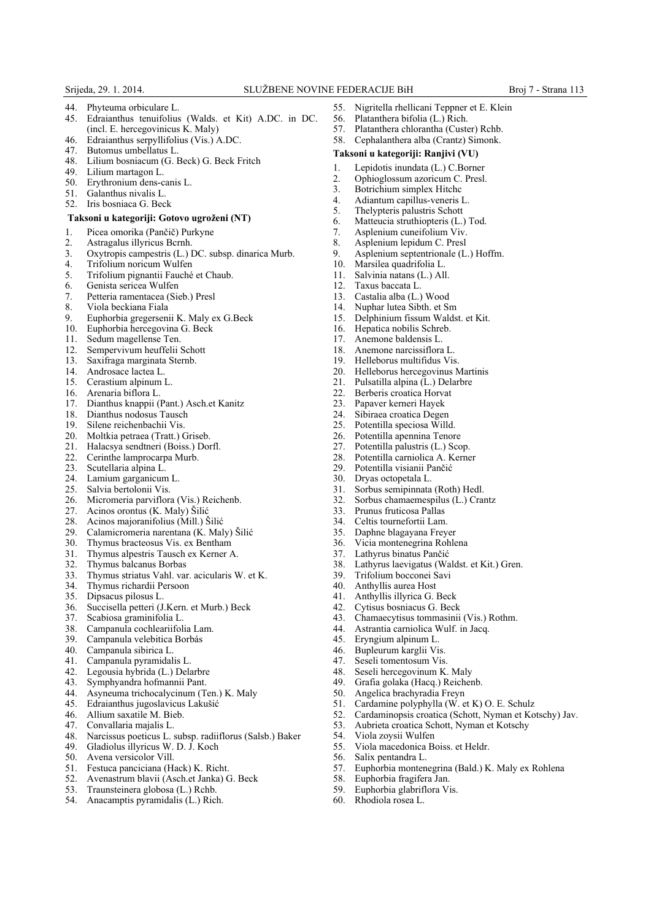- 44. Phyteuma orbiculare L. 45. Edraianthus tenuifolius (Walds. et Kit) A.DC. in DC. (incl. E. hercegovinicus K. Maly)
- 46. Edraianthus serpyllifolius (Vis.) A.DC.
- 47. Butomus umbellatus L.
- 48. Lilium bosniacum (G. Beck) G. Beck Fritch
- 49. Lilium martagon L.
- 50. Erythronium dens-canis L.
- 51. Galanthus nivalis L.
- 52. Iris bosniaca G. Beck

### **Taksoni u kategoriji: Gotovo ugroženi (NT)**

- 1. Picea omorika (Pančič) Purkyne
- 2. Astragalus illyricus Bcrnh.
- 3. Oxytropis campestris (L.) DC. subsp. dinarica Murb.
- 4. Trifolium noricum Wulfen<br>5. Trifolium pignantii Fauché
- 5. Trifolium pignantii Fauché et Chaub.
- 6. Genista sericea Wulfen
- 7. Petteria ramentacea (Sieb.) Presl
- 8. Viola beckiana Fiala
- 9. Euphorbia gregersenii K. Maly ex G.Beck
- 10. Euphorbia hercegovina G. Beck
- 11. Sedum magellense Ten.
- 12. Sempervivum heuffelii Schott
- 13. Saxifraga marginata Sternb.
- 14. Androsace lactea L.
- 15. Cerastium alpinum L.
- 16. Arenaria biflora L.<br>17 Dianthus knappii (
- 17. Dianthus knappii (Pant.) Asch.et Kanitz
- 18. Dianthus nodosus Tausch<br>19. Silene reichenbachii Vis.
- 19. Silene reichenbachii Vis.<br>20. Moltkia petraea (Tratt.)
- Moltkia petraea (Tratt.) Griseb.
- 21. Halacsya sendtneri (Boiss.) Dorfl.
- 22. Cerinthe lamprocarpa Murb.
- 23. Scutellaria alpina L.
- 24. Lamium garganicum L.<br>25. Salvia bertolonii Vis.
- Salvia bertolonii Vis.
- 26. Micromeria parviflora (Vis.) Reichenb.<br>27. Acinos orontus (K. Maly) Šilić
- 27. Acinos orontus (K. Maly) Šilić<br>28. Acinos majoranifolius (Mill.) Š
- 28. Acinos majoranifolius (Mill.) Šilić<br>29. Calamicromeria narentana (K. Mal
- 29. Calamicromeria narentana (K. Maly) Šilić<br>30. Thymus bracteosus Vis. ex Bentham
- 
- 30. Thymus bracteosus Vis. ex Bentham<br>31. Thymus alpestris Tausch ex Kerner A 31. Thymus alpestris Tausch ex Kerner A.
- 32. Thymus balcanus Borbas
- 33. Thymus striatus Vahl. var. acicularis W. et K.
- 34. Thymus richardii Persoon<br>35. Dinsacus nilosus L
- Dipsacus pilosus L.
- 36. Succisella petteri (J.Kern. et Murb.) Beck
- Scabiosa graminifolia L.
- 38. Campanula cochleariifolia Lam.
- 39. Campanula velebitica Borbás<br>40. Campanula sibirica L.
- 
- 40. Campanula sibirica L.<br>41. Campanula pyramidal Campanula pyramidalis L.
- 
- 42. Legousia hybrida (L.) Delarbre<br>43. Symphyandra hofmannii Pant. 43. Symphyandra hofmannii Pant.
- 
- 44. Asyneuma trichocalycinum (Ten.) K. Maly<br>45. Edraianthus iugoslavicus Lakušić 45. Edraianthus jugoslavicus Lakušić
- 
- 46. Allium saxatile M. Bieb.<br>47. Convallaria maialis L. 47. Convallaria majalis L.<br>48. Narcissus poeticus L.
- 
- 48. Narcissus poeticus L. subsp. radiiflorus (Salsb.) Baker 49. Gladiolus illyricus W. D. J. Koch
- 
- 50. Avena versicolor Vill.<br>51. Festuca panciciana (H 51. Festuca panciciana (Hack) K. Richt.
- 52. Avenastrum blavii (Asch.et Janka) G. Beck
- 53. Traunsteinera globosa (L.) Rchb.
- 54. Anacamptis pyramidalis (L.) Rich.

2. Ophioglossum azoricum C. Presl.<br>3. Botrichium simplex Hitchc 3. Botrichium simplex Hitchc<br>4. Adiantum capillus-veneris l

56. Platanthera bifolia (L.) Rich.<br>57 Platanthera chlorantha (Custo 57. Platanthera chlorantha (Custer) Rchb.<br>58. Cephalanthera alba (Crantz) Simonk. 58. Cephalanthera alba (Crantz) Simonk.

**Taksoni u kategoriji: Ranjivi (VU)** 1. Lepidotis inundata (L.) C.Borner

- 4. Adiantum capillus-veneris L.<br>5. Thelypteris palustris Schott
- 5. The lypteris palustris Schott<br>6. Matteucia struthiopteris (L.) Matteucia struthiopteris (L.) Tod.
- 7. Asplenium cuneifolium Viv.
- 8. Asplenium lepidum C. Presl
- 9. Asplenium septentrionale (L.) Hoffm.

55. Nigritella rhellicani Teppner et E. Klein<br>56. Platanthera bifolia (L.) Rich

- 10. Marsilea quadrifolia L.
- 11. Salvinia natans (L.) All.
- 
- 12. Taxus baccata L.<br>13. Castalia alba (L.) Castalia alba (L.) Wood
- 14. Nuphar lutea Sibth. et Sm
- 15. Delphinium fissum Waldst. et Kit.
- 16. Hepatica nobilis Schreb.
- 17. Anemone baldensis L.
- 18. Anemone narcissiflora L.
- 19. Helleborus multifidus Vis.
- 20. Helleborus hercegovinus Martinis<br>21. Pulsatilla alpina (L.) Delarbre
- 
- 21. Pulsatilla alpina (L.) Delarbre 22. Berberis croatica Horvat<br>23 Panaver kerneri Hayek
- 
- 23. Papaver kerneri Hayek<br>24. Sibiraea croatica Deger 24. Sibiraea croatica Degen<br>25. Potentilla speciosa Wille
- 25. Potentilla speciosa Willd.
- 26. Potentilla apennina Tenore<br>27. Potentilla palustris  $(L)$  Sco
- Potentilla palustris (L.) Scop.
- 28. Potentilla carniolica A. Kerner<br>29. Potentilla visianii Pančić
	- Potentilla visianii Pančić
	- 30. Dryas octopetala L.
	- Sorbus semipinnata (Roth) Hedl.
	- 32. Sorbus chamaemespilus (L.) Crantz

38. Lathyrus laevigatus (Waldst. et Kit.) Gren.

43. Chamaecytisus tommasinii (Vis.) Rothm.

Cardamine polyphylla (W. et K) O. E. Schulz 52. Cardaminopsis croatica (Schott, Nyman et Kotschy) Jav.<br>53. Aubrieta croatica Schott. Nyman et Kotschy

57. Euphorbia montenegrina (Bald.) K. Maly ex Rohlena

53. Aubrieta croatica Schott, Nyman et Kotschy<br>54. Viola zovsii Wulfen

55. Viola macedonica Boiss. et Heldr.

- 33. Prunus fruticosa Pallas
- 34. Celtis tournefortii Lam.<br>35. Daphne blagavana Frey

40. Anthyllis aurea Host<br>41 Anthyllis illyrica G

45. Eryngium alpinum L.<br>46. Bupleurum karglii Vi: 46. Bupleurum karglii Vis.<br>47. Seseli tomentosum Vis Seseli tomentosum Vis. 48. Seseli hercegovinum K. Maly<br>49. Grafia golaka (Haca.) Reicher Grafia golaka (Hacq.) Reichenb.

54. Viola zoysii Wulfen<br>55. Viola macedonica B

58. Euphorbia fragifera Jan. 59. Euphorbia glabriflora Vis. 60. Rhodiola rosea L.

56. Salix pentandra L.

50. Angelica brachyradia Freyn<br>51. Cardamine polyphylla (W. e.

- 35. Daphne blagayana Freyer
	- Vicia montenegrina Rohlena

39. Trifolium bocconei Savi

Anthyllis illyrica G. Beck 42. Cytisus bosniacus G. Beck

44. Astrantia carniolica Wulf. in Jacq.

37. Lathyrus binatus Pančić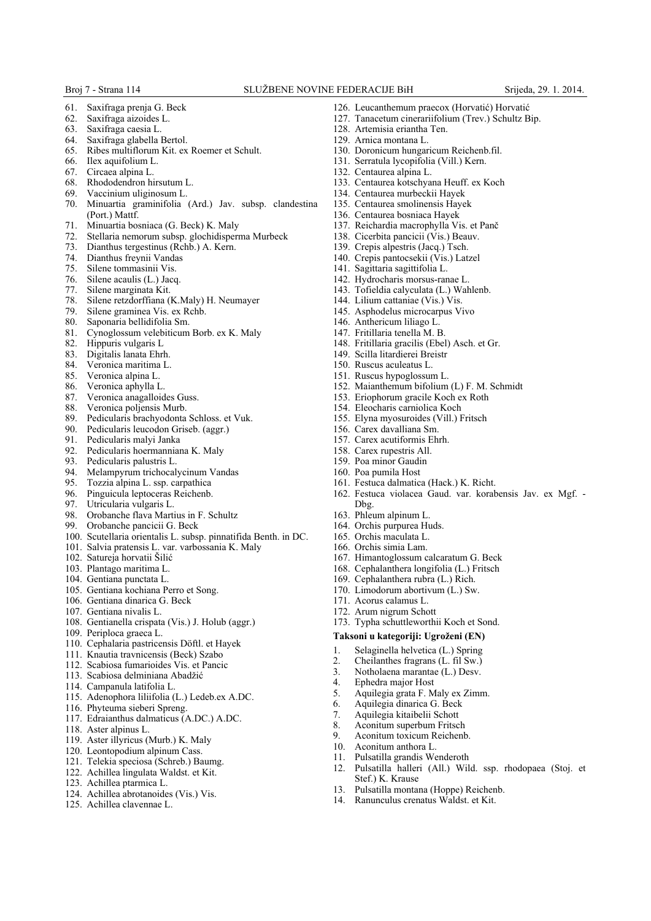- 61. Saxifraga prenja G. Beck
- 62. Saxifraga aizoides L.
- 63. Saxifraga caesia L.
- Saxifraga glabella Bertol.
- 65. Ribes multiflorum Kit. ex Roemer et Schult.
- 66. Ilex aquifolium L.
- 67. Circaea alpina L.
- Rhododendron hirsutum L.
- 69. Vaccinium uliginosum L.
- 70. Minuartia graminifolia (Ard.) Jav. subsp. clandestina (Port.) Mattf.
- 71. Minuartia bosniaca (G. Beck) K. Maly
- 72. Stellaria nemorum subsp. glochidisperma Murbeck
- Dianthus tergestinus (Rchb.) A. Kern.
- 73. Dianthus tergestinus (Rc<br>74. Dianthus freynii Vandas<br>75. Silene tommasinii Vis.
- 
- 75. Silene tommasinii Vis.<br>76. Silene acaulis (L.) Jacq 76. Silene acaulis (L.) Jacq.
- Silene marginata Kit.
- 78. Silene retzdorffiana (K.Maly) H. Neumayer
- 79. Silene graminea Vis. ex Rchb.
- 80. Saponaria bellidifolia Sm.
- 81. Cynoglossum velebiticum Borb. ex K. Maly 82. Hippuris vulgaris L
- 
- 82. Hippuris vulgaris L<br>83. Digitalis lanata Ehrl 83. Digitalis lanata Ehrh.
- 84. Veronica maritima L.<br>85. Veronica alpina L.
- Veronica alpina L.
- 
- 86. Veronica aphylla L.<br>87. Veronica anagallois Veronica anagalloides Guss.
- 88. Veronica poljensis Murb.<br>89 Pedicularis brachyodonta
- Pedicularis brachyodonta Schloss. et Vuk.
- 90. Pedicularis leucodon Griseb. (aggr.)
- 91. Pedicularis malyi Janka
- 92. Pedicularis hoermanniana K. Maly
- Pedicularis palustris L.
- 94. Melampyrum trichocalycinum Vandas<br>95. Tozzia alpina L. ssp. carpathica
- Tozzia alpina L. ssp. carpathica
- 96. Pinguicula leptoceras Reichenb.<br>97. Utricularia vulgaris L.
- Utricularia vulgaris L.
- 98. Orobanche flava Martius in F. Schultz<br>99. Orobanche pancicii G. Beck
- Orobanche pancicii G. Beck
- 100. Scutellaria orientalis L. subsp. pinnatifida Benth. in DC.
- 101. Salvia pratensis L. var. varbossania K. Maly
- 102. Satureja horvatii Šilić
- 103. Plantago maritima L.
- 104. Gentiana punctata L.
- 105. Gentiana kochiana Perro et Song.
- 106. Gentiana dinarica G. Beck
- 107. Gentiana nivalis L.
- 108. Gentianella crispata (Vis.) J. Holub (aggr.)
- 109. Periploca graeca L.
- 110. Cephalaria pastricensis Döftl. et Hayek
- 111. Knautia travnicensis (Beck) Szabo
- 112. Scabiosa fumarioides Vis. et Pancic
- 113. Scabiosa delminiana Abadžić
- 114. Campanula latifolia L.
- 115. Adenophora liliifolia (L.) Ledeb.ex A.DC.
- 116. Phyteuma sieberi Spreng.
- 117. Edraianthus dalmaticus (A.DC.) A.DC.
- 118. Aster alpinus L.
- 119. Aster illyricus (Murb.) K. Maly
- 120. Leontopodium alpinum Cass.
- 121. Telekia speciosa (Schreb.) Baumg.
- 122. Achillea lingulata Waldst. et Kit.
- 123. Achillea ptarmica L.
- 124. Achillea abrotanoides (Vis.) Vis.
- 125. Achillea clavennae L.
- 126. Leucanthemum praecox (Horvatić) Horvatić
- 127. Tanacetum cinerariifolium (Trev.) Schultz Bip.
- 128. Artemisia eriantha Ten.
- 129. Arnica montana L.
- 130. Doronicum hungaricum Reichenb.fil.
- 131. Serratula lycopifolia (Vill.) Kern.
- 132. Centaurea alpina L.
- 133. Centaurea kotschyana Heuff. ex Koch
- 134. Centaurea murbeckii Hayek
- 135. Centaurea smolinensis Hayek
- 136. Centaurea bosniaca Hayek
- 137. Reichardia macrophylla Vis. et Panč
- 138. Cicerbita pancicii (Vis.) Beauv.
- 139. Crepis alpestris (Jacq.) Tsch.
- 140. Crepis pantocsekii (Vis.) Latzel
- 141. Sagittaria sagittifolia L.
- 142. Hydrocharis morsus-ranae L.
- 143. Tofieldia calyculata (L.) Wahlenb.
- 144. Lilium cattaniae (Vis.) Vis.
- 145. Asphodelus microcarpus Vivo
- 146. Anthericum liliago L.
- 147. Fritillaria tenella M. B.
- 148. Fritillaria gracilis (Ebel) Asch. et Gr.
- 149. Scilla litardierei Breistr
- 150. Ruscus aculeatus L.
- 151. Ruscus hypoglossum L.
- 152. Maianthemum bifolium (L) F. M. Schmidt
- 153. Eriophorum gracile Koch ex Roth
- 154. Eleocharis carniolica Koch
- 155. Elyna myosuroides (Vill.) Fritsch

161. Festuca dalmatica (Hack.) K. Richt.

167. Himantoglossum calcaratum G. Beck 168. Cephalanthera longifolia (L.) Fritsch 169. Cephalanthera rubra (L.) Rich. 170. Limodorum abortivum (L.) Sw.

173. Typha schuttleworthii Koch et Sond. **Taksoni u kategoriji: Ugroženi (EN)** 1. Selaginella helvetica (L.) Spring<br>2. Cheilanthes fragrans (L. fil Sw.) 2. Cheilanthes fragrans (L. fil Sw.) 3. Notholaena marantae (L.) Desv. 4. Ephedra major Host

5. Aquilegia grata F. Maly ex Zimm.<br>6. Aquilegia dinarica G. Beck 6. Aquilegia dinarica G. Beck 7. Aquilegia kitaibelii Schott 8. Aconitum superbum Fritsch 9. Aconitum toxicum Reichenb.<br>10. Aconitum anthora L. Aconitum anthora L. 11. Pulsatilla grandis Wenderoth

13. Pulsatilla montana (Hoppe) Reichenb. 14. Ranunculus crenatus Waldst. et Kit.

Stef.) K. Krause

162. Festuca violacea Gaud. var. korabensis Jav. ex Mgf. -

12. Pulsatilla halleri (All.) Wild. ssp. rhodopaea (Stoj. et

156. Carex davalliana Sm.

158. Carex rupestris All. 159. Poa minor Gaudin 160. Poa pumila Host

171. Acorus calamus L. 172. Arum nigrum Schott

Dbg. 163. Phleum alpinum L. 164. Orchis purpurea Huds. 165. Orchis maculata L. 166. Orchis simia Lam.

157. Carex acutiformis Ehrh.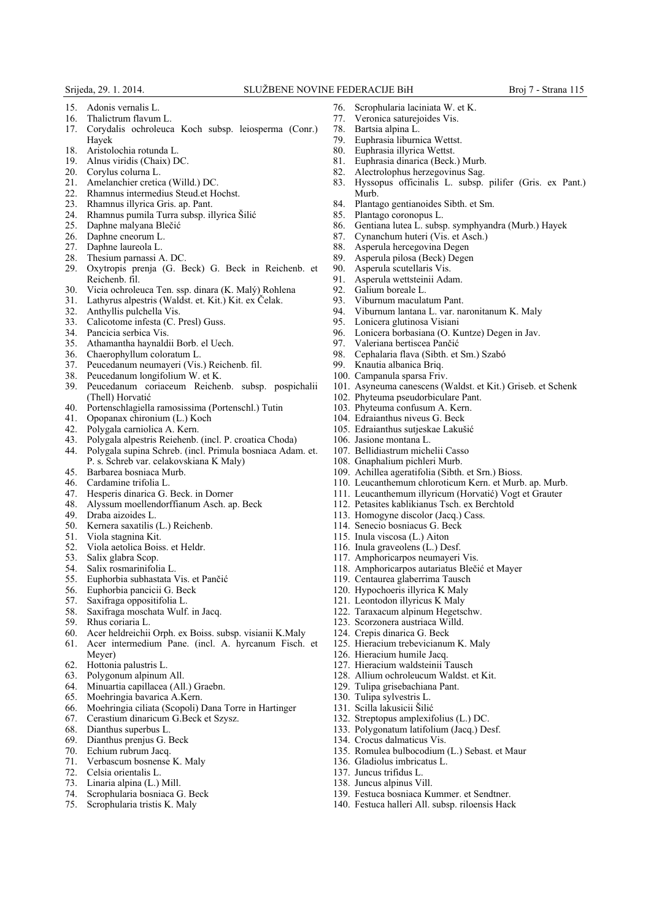- 15. Adonis vernalis L.
- 16. Thalictrum flavum L.
- 17. Corydalis ochroleuca Koch subsp. leiosperma (Conr.) Hayek
- 18. Aristolochia rotunda L.
- 19. Alnus viridis (Chaix) DC.
- 20. Corylus colurna L.
- 21. Amelanchier cretica (Willd.) DC.
- 22. Rhamnus intermedius Steud.et Hochst.
- 23. Rhamnus illyrica Gris. ap. Pant.
- 24. Rhamnus pumila Turra subsp. illyrica Šilić
- Daphne malyana Blečić
- 
- 26. Daphne cneorum L.<br>27. Daphne laureola L. 27. Daphne laureola L.<br>28. Thesium parnassi A
- 28. Thesium parnassi A. DC.<br>29. Oxvtropis prenja (G. E.
- Oxytropis prenja (G. Beck) G. Beck in Reichenb. et Reichenb. fil.
- 30. Vicia ochroleuca Ten. ssp. dinara (K. Malý) Rohlena
- 31. Lathyrus alpestris (Waldst. et. Kit.) Kit. ex Čelak.
- 32. Anthyllis pulchella Vis.
- 33. Calicotome infesta (C. Presl) Guss.
- 34. Pancicia serbica Vis.<br>35. Athamantha havnald
- 35. Athamantha haynaldii Borb. el Uech.
- Chaerophyllum coloratum L.
- 37. Peucedanum neumayeri (Vis.) Reichenb. fil.
- Peucedanum longifolium W. et K.
- 39. Peucedanum coriaceum Reichenb. subsp. pospichalii (Thell) Horvatić
- 40. Portenschlagiella ramosissima (Portenschl.) Tutin<br>41. Opopanax chironium (L.) Koch<br>42. Polygala carniolica A. Kern.
- 41. Opopanax chironium (L.) Koch
- Polygala carniolica A. Kern.
- 43. Polygala alpestris Reiehenb. (incl. P. croatica Choda)
- 44. Polygala supina Schreb. (incl. Primula bosniaca Adam. et. P. s. Schreb var. celakovskiana K Maly)
- 45. Barbarea bosniaca Murb.
- Cardamine trifolia L.
- 47. Hesperis dinarica G. Beck. in Dorner
- Alyssum moellendorffianum Asch. ap. Beck
- 49. Draba aizoides L.<br>50. Kernera saxatilis
- Kernera saxatilis (L.) Reichenb.
- 51. Viola stagnina Kit.<br>52. Viola aetolica Bois
- 52. Viola aetolica Boiss. et Heldr.
- 53. Salix glabra Scop.<br>54. Salix rosmarinifol
- Salix rosmarinifolia L.
- 55. Euphorbia subhastata Vis. et Pančić
- 56. Euphorbia pancicii G. Beck
- 57. Saxifraga oppositifolia L.
- 58. Saxifraga moschata Wulf. in Jacq.
- 59. Rhus coriaria L.
- 60. Acer heldreichii Orph. ex Boiss. subsp. visianii K.Maly
- 61. Acer intermedium Pane. (incl. A. hyrcanum Fisch. et Meyer)
- 
- 62. Hottonia palustris L. Polygonum alpinum All.
- 64. Minuartia capillacea (All.) Graebn.
- 65. Moehringia bavarica A.Kern.
- 66. Moehringia ciliata (Scopoli) Dana Torre in Hartinger
- 67. Cerastium dinaricum G.Beck et Szysz.<br>68. Dianthus superbus L.
- Dianthus superbus L.
- 69. Dianthus prenjus G. Beck
- Echium rubrum Jacq.
- 71. Verbascum bosnense K. Maly
- 72. Celsia orientalis L.
- 73. Linaria alpina (L.) Mill.
- 74. Scrophularia bosniaca G. Beck
- 75. Scrophularia tristis K. Maly
- 76. Scrophularia laciniata W. et K.
- 77. Veronica saturejoides Vis.
- 78. Bartsia alpina L.
- Euphrasia liburnica Wettst.
- 80. Euphrasia illyrica Wettst.
- 81. Euphrasia dinarica (Beck.) Murb.
- 82. Alectrolophus herzegovinus Sag.
- 83. Hyssopus officinalis L. subsp. pilifer (Gris. ex Pant.) Murb.
- 84. Plantago gentianoides Sibth. et Sm.
- 85. Plantago coronopus L.
- 86. Gentiana lutea L. subsp. symphyandra (Murb.) Hayek
- 87. Cynanchum huteri (Vis. et Asch.)<br>88. Asperula hercegovina Degen
- 88. Asperula hercegovina Degen<br>89. Asperula pilosa (Beck) Degen
- 89. Asperula pilosa (Beck) Degen<br>90. Asperula scutellaris Vis
- Asperula scutellaris Vis.
	- 91. Asperula wettsteinii Adam.<br>92. Galium boreale L
	- Galium boreale L.
	- 93. Viburnum maculatum Pant.
	- 94. Viburnum lantana L. var. naronitanum K. Maly
	-
	- 95. Lonicera glutinosa Visiani 96. Lonicera borbasiana (O. Kuntze) Degen in Jav.
	- 97. Valeriana bertiscea Pančić<br>98. Cephalaria flava (Sibth. et
	- 98. Cephalaria flava (Sibth. et Sm.) Szabó
	- Knautia albanica Briq.
	- 100. Campanula sparsa Friv.
	- 101. Asyneuma canescens (Waldst. et Kit.) Griseb. et Schenk
	- 102. Phyteuma pseudorbiculare Pant.
	- 103. Phyteuma confusum A. Kern.
	- 104. Edraianthus niveus G. Beck
	- 105. Edraianthus sutjeskae Lakušić

113. Homogyne discolor (Jacq.) Cass. 114. Senecio bosniacus G. Beck 115. Inula viscosa (L.) Aiton 116. Inula graveolens (L.) Desf. 117. Amphoricarpos neumayeri Vis.

119. Centaurea glaberrima Tausch 120. Hypochoeris illyrica K Maly 121. Leontodon illyricus K Maly 122. Taraxacum alpinum Hegetschw. 123. Scorzonera austriaca Willd. 124. Crepis dinarica G. Beck

125. Hieracium trebevicianum K. Maly

132. Streptopus amplexifolius (L.) DC. 133. Polygonatum latifolium (Jacq.) Desf.

135. Romulea bulbocodium (L.) Sebast. et Maur

139. Festuca bosniaca Kummer. et Sendtner. 140. Festuca halleri All. subsp. riloensis Hack

126. Hieracium humile Jacq. 127. Hieracium waldsteinii Tausch 128. Allium ochroleucum Waldst. et Kit.

129. Tulipa grisebachiana Pant. 130. Tulipa sylvestris L. 131. Scilla lakusicii Šilić

134. Crocus dalmaticus Vis.

136. Gladiolus imbricatus L. 137. Juncus trifidus L. 138. Juncus alpinus Vill.

- 106. Jasione montana L.
- 107. Bellidiastrum michelii Casso
- 108. Gnaphalium pichleri Murb.
- 109. Achillea ageratifolia (Sibth. et Srn.) Bioss.

118. Amphoricarpos autariatus Blečić et Mayer

- 110. Leucanthemum chloroticum Kern. et Murb. ap. Murb.
- 111. Leucanthemum illyricum (Horvatić) Vogt et Grauter 112. Petasites kablikianus Tsch. ex Berchtold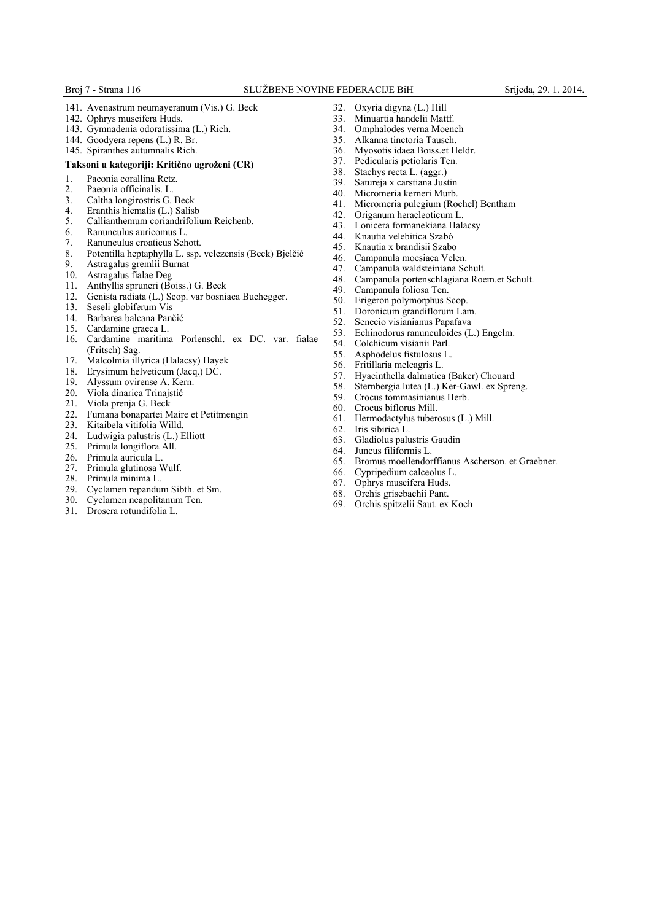- 141. Avenastrum neumayeranum (Vis.) G. Beck
- 142. Ophrys muscifera Huds.
- 143. Gymnadenia odoratissima (L.) Rich.
- 144. Goodyera repens (L.) R. Br.
- 145. Spiranthes autumnalis Rich.

#### **Taksoni u kategoriji: Kritično ugroženi (CR)**

- 1. Paeonia corallina Retz.
- 2. Paeonia officinalis. L.<br>3. Caltha longirostris G.
- 3. Caltha longirostris G. Beck<br>4. Eranthis hiemalis (L.) Salisl
- 4. Eranthis hiemalis (L.) Salisb<br>5. Callianthemum coriandrifolis
- 5. Callianthemum coriandrifolium Reichenb.
- 6. Ranunculus auricomus L.
- 7. Ranunculus croaticus Schott.
- 8. Potentilla heptaphylla L. ssp. velezensis (Beck) Bjelčić
- 9. Astragalus gremlii Burnat
- Astragalus fialae Deg
- 11. Anthyllis spruneri (Boiss.) G. Beck
- 12. Genista radiata (L.) Scop. var bosniaca Buchegger.
- 13. Seseli globiferum Vis
- 14. Barbarea balcana Pančić
- 15. Cardamine graeca L.
- 16. Cardamine maritima Porlenschl. ex DC. var. fialae (Fritsch) Sag.
- 17. Malcolmia illyrica (Halacsy) Hayek
- 18. Erysimum helveticum (Jacq.) DC.<br>19. Alvssum ovirense A. Kern.
- Alyssum ovirense A. Kern.
- 20. Viola dinarica Trinajstić<br>21. Viola prenia G. Beck
- 21. Viola prenja G. Beck<br>22. Fumana bonapartei M
- 22. Fumana bonapartei Maire et Petitmengin<br>23. Kitaibela vitifolia Willd.
- 23. Kitaibela vitifolia Willd.<br>24. Ludwigia palustris (L.) E
- Ludwigia palustris (L.) Elliott
- 25. Primula longiflora All.
- 26. Primula auricula L.
- 27. Primula glutinosa Wulf.
- 28. Primula minima L.
- 29. Cyclamen repandum Sibth. et Sm.
- Cyclamen neapolitanum Ten.
- 31. Drosera rotundifolia L.
- 
- 32. Oxyria digyna (L.) Hill
- 33. Minuartia handelii Mattf.
- 34. Omphalodes verna Moench<br>35. Alkanna tinctoria Tausch. Alkanna tinctoria Tausch.
- 36. Myosotis idaea Boiss.et Heldr.
- 37. Pedicularis petiolaris Ten.
- 38. Stachys recta L. (aggr.)
- 39. Satureja x carstiana Justin
- 40. Micromeria kerneri Murb.<br>41. Micromeria pulegium (Roo
- 41. Micromeria pulegium (Rochel) Bentham<br>42. Origanum heracleoticum L.
- 42. Origanum heracleoticum L.<br>43. Lonicera formanekiana Hali
- 43. Lonicera formanekiana Halacsy<br>44. Knautia velebitica Szabó
- 44. Knautia velebitica Szabó<br>45 Knautia x brandisii Szabo
- 45. Knautia x brandisii Szabo
- 46. Campanula moesiaca Velen.<br>47 Campanula waldsteiniana Sc
- Campanula waldsteiniana Schult.
- 48. Campanula portenschlagiana Roem.et Schult.
- Campanula foliosa Ten.
- 50. Erigeron polymorphus Scop.
- 51. Doronicum grandiflorum Lam.
- 52. Senecio visianianus Papafava
- 53. Echinodorus ranunculoides (L.) Engelm.<br>54. Colchicum visianii Parl.
- 54. Colchicum visianii Parl.<br>55. Asphodelus fistulosus L
- 55. Asphodelus fistulosus L.<br>56. Fritillaria meleagris L.
- 56. Fritillaria meleagris L.<br>57 Hyacinthella dalmatica
- 57. Hyacinthella dalmatica (Baker) Chouard
- 58. Sternbergia lutea (L.) Ker-Gawl. ex Spreng.
- Crocus tommasinianus Herb.
- 
- 60. Crocus biflorus Mill. 61. Hermodactylus tuberosus (L.) Mill.
- 62. Iris sibirica L.<br>63. Gladiolus palu
- 63. Gladiolus palustris Gaudin
- 64. Juncus filiformis L.
- 65. Bromus moellendorffianus Ascherson. et Graebner.
- 66. Cypripedium calceolus L.<br>67 Ophrys muscifera Huds
- Ophrys muscifera Huds.
- 68. Orchis grisebachii Pant.
- 69. Orchis spitzelii Saut. ex Koch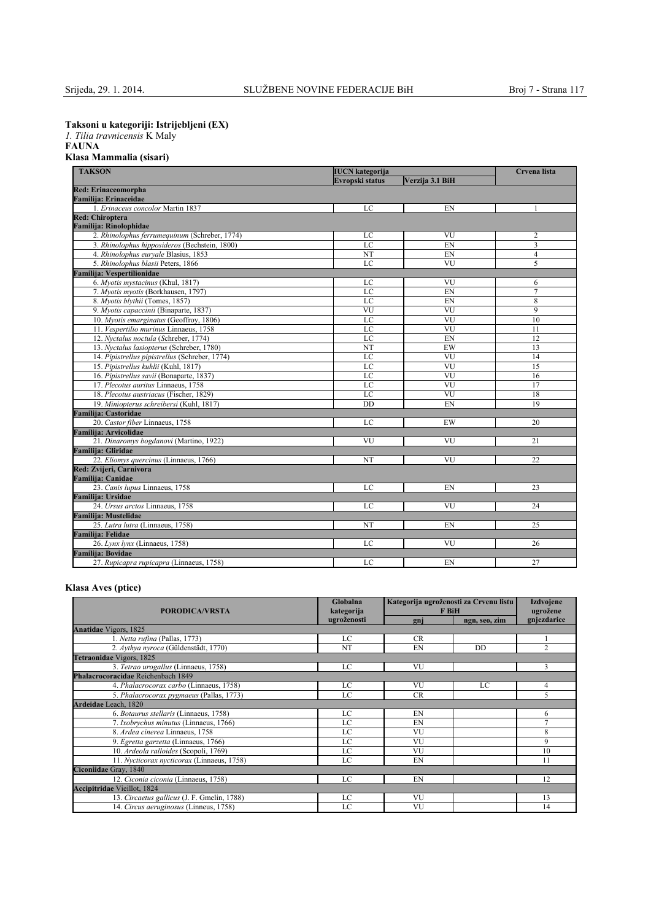**Taksoni u kategoriji: Istrijebljeni (EX)**

*1. Tilia travnicensis* K Maly

## **FAUNA Klasa Mammalia (sisari)**

| <b>TAKSON</b><br><b>IUCN</b> kategorija        |                                           |                        | Crvena lista   |  |
|------------------------------------------------|-------------------------------------------|------------------------|----------------|--|
|                                                | <b>Evropski status</b><br>Verzija 3.1 BiH |                        |                |  |
| <b>Red: Erinaceomorpha</b>                     |                                           |                        |                |  |
| Familija: Erinaceidae                          |                                           |                        |                |  |
| 1. Erinaceus concolor Martin 1837              | LC                                        | EN                     | 1              |  |
| <b>Red: Chiroptera</b>                         |                                           |                        |                |  |
| <b>Familija: Rinolophidae</b>                  |                                           |                        |                |  |
| 2. Rhinolophus ferrumequinum (Schreber, 1774)  | LC                                        | VU                     | $\overline{2}$ |  |
| 3. Rhinolophus hipposideros (Bechstein, 1800)  | LC                                        | EN                     | $\overline{3}$ |  |
| 4. Rhinolophus euryale Blasius, 1853           | NT                                        | EN                     | $\overline{4}$ |  |
| 5. Rhinolophus blasii Peters, 1866             | LC                                        | VU                     | 5              |  |
| Familija: Vespertilionidae                     |                                           |                        |                |  |
| 6. Myotis mystacinus (Khul, 1817)              | LC                                        | VU                     | 6              |  |
| 7. Myotis myotis (Borkhausen, 1797)            | LC                                        | EN                     | $\overline{7}$ |  |
| 8. Myotis blythii (Tomes, 1857)                | LC                                        | EN                     | 8              |  |
| 9. Myotis capaccinii (Binaparte, 1837)         | VU                                        | VU                     | $\overline{9}$ |  |
| 10. Myotis emarginatus (Geoffroy, 1806)        | LC                                        | VU                     | 10             |  |
| 11. Vespertilio murinus Linnaeus, 1758         | LC                                        | VU                     | 11             |  |
| 12. Nyctalus noctula (Schreber, 1774)          | LC                                        | EN                     | 12             |  |
| 13. Nyctalus lasiopterus (Schreber, 1780)      | NT                                        | EW                     | 13             |  |
| 14. Pipistrellus pipistrellus (Schreber, 1774) | LC                                        | VU                     | 14             |  |
| 15. Pipistrellus kuhlii (Kuhl, 1817)           | LC                                        | VU                     | 15             |  |
| 16. Pipistrellus savii (Bonaparte, 1837)       | LC                                        | VU                     | 16             |  |
| 17. Plecotus auritus Linnaeus, 1758            | LC                                        | VU                     | 17             |  |
| 18. Plecotus austriacus (Fischer, 1829)        | LC                                        | $\overline{\text{VU}}$ | 18             |  |
| 19. Miniopterus schreibersi (Kuhl, 1817)       | DD                                        | EN                     | 19             |  |
| Familija: Castoridae                           |                                           |                        |                |  |
| 20. Castor fiber Linnaeus, 1758                | LC                                        | EW                     | 20             |  |
| Familija: Arvicolidae                          |                                           |                        |                |  |
| 21. Dinaromys bogdanovi (Martino, 1922)        | VU                                        | VU                     | 21             |  |
| <b>Familija: Gliridae</b>                      |                                           |                        |                |  |
| 22. Eliomys quercinus (Linnaeus, 1766)         | NT                                        | VU                     | 22             |  |
| Red: Zvijeri, Carnivora                        |                                           |                        |                |  |
| Familija: Canidae                              |                                           |                        |                |  |
| 23. Canis lupus Linnaeus, 1758                 | LC                                        | EN                     | 23             |  |
| Familija: Ursidae                              |                                           |                        |                |  |
| 24. Ursus arctos Linnaeus, 1758                | LC                                        | VU                     | 24             |  |
| <b>Familija: Mustelidae</b>                    |                                           |                        |                |  |
| 25. Lutra lutra (Linnaeus, 1758)               | NT                                        | EN                     | 25             |  |
| <b>Familija: Felidae</b>                       |                                           |                        |                |  |
| 26. Lynx lynx (Linnaeus, 1758)                 | LC                                        | VU                     | 26             |  |
| <b>Familija: Bovidae</b>                       |                                           |                        |                |  |
| 27. Rupicapra rupicapra (Linnaeus, 1758)       | LC                                        | EN                     | 27             |  |

## **Klasa Aves (ptice)**

| Globalna<br>kategorija<br><b>PORODICA/VRSTA</b> |             | Kategorija ugroženosti za Crvenu listu<br>F BiH |               | <b>Izdvojene</b><br>ugrožene |
|-------------------------------------------------|-------------|-------------------------------------------------|---------------|------------------------------|
|                                                 | ugroženosti | gnj                                             | ngn, seo, zim | gnjezdarice                  |
| <b>Anatidae Vigors</b> , 1825                   |             |                                                 |               |                              |
| 1. Netta rufina (Pallas, 1773)                  | LC          | <b>CR</b>                                       |               |                              |
| 2. Aythya nyroca (Güldenstädt, 1770)            | NT          | EN                                              | DD            | $\overline{c}$               |
| Tetraonidae Vigors, 1825                        |             |                                                 |               |                              |
| 3. Tetrao urogallus (Linnaeus, 1758)            | LC          | VU                                              |               | 3                            |
| Phalacrocoracidae Reichenbach 1849              |             |                                                 |               |                              |
| 4. Phalacrocorax carbo (Linnaeus, 1758)         | LC          | VU                                              | LC            | 4                            |
| 5. Phalacrocorax pygmaeus (Pallas, 1773)        | LC          | <b>CR</b>                                       |               | 5                            |
| Ardeidae Leach, 1820                            |             |                                                 |               |                              |
| 6. Botaurus stellaris (Linnaeus, 1758)          | LC          | EN                                              |               | 6                            |
| 7. Ixobrychus minutus (Linnaeus, 1766)          | LC          | EN                                              |               | $\tau$                       |
| 8. Ardea cinerea Linnaeus, 1758                 | LC          | VU                                              |               | 8                            |
| 9. Egretta garzetta (Linnaeus, 1766)            | LC          | VU                                              |               | 9                            |
| 10. Ardeola ralloides (Scopoli, 1769)           | LC          | VU                                              |               | 10                           |
| 11. Nycticorax nycticorax (Linnaeus, 1758)      | LC          | EN                                              |               | 11                           |
| Ciconiidae Gray, 1840                           |             |                                                 |               |                              |
| 12. Ciconia ciconia (Linnaeus, 1758)            | LC          | EN                                              |               | 12                           |
| <b>Accipitridae Vieillot</b> , 1824             |             |                                                 |               |                              |
| 13. Circaetus gallicus (J. F. Gmelin, 1788)     | LC          | VU                                              |               | 13                           |
| 14. Circus aeruginosus (Linneus, 1758)          | LC          | VU                                              |               | 14                           |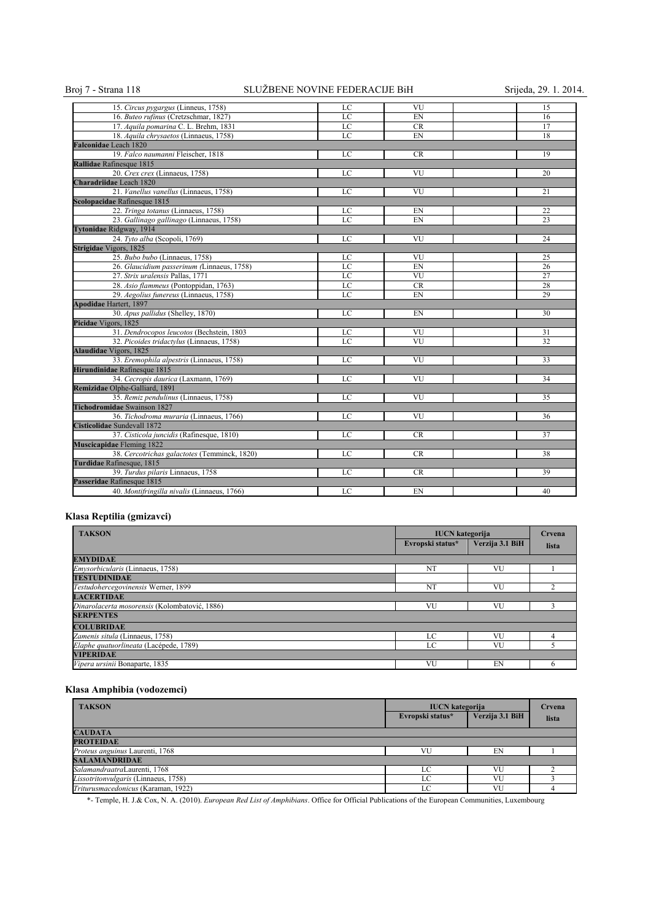## Broj 7 - Strana 118 SLUŽBENE NOVINE FEDERACIJE BiH Srijeda, 29. 1. 2014.

| 15. Circus pygargus (Linneus, 1758)          | LC | VU        | 15 |
|----------------------------------------------|----|-----------|----|
| 16. Buteo rufinus (Cretzschmar, 1827)        | LC | EN        | 16 |
| 17. Aquila pomarina C. L. Brehm, 1831        | LC | <b>CR</b> | 17 |
| 18. Aquila chrysaetos (Linnaeus, 1758)       | LC | EN        | 18 |
| Falconidae Leach 1820                        |    |           |    |
| 19. Falco naumanni Fleischer, 1818           | LC | <b>CR</b> | 19 |
| Rallidae Rafinesque 1815                     |    |           |    |
| 20. Crex crex (Linnaeus, 1758)               | LC | VU        | 20 |
| Charadriidae Leach 1820                      |    |           |    |
| 21. Vanellus vanellus (Linnaeus, 1758)       | LC | VU        | 21 |
| Scolopacidae Rafinesque 1815                 |    |           |    |
| 22. Tringa totanus (Linnaeus, 1758)          | LC | EN        | 22 |
| 23. Gallinago gallinago (Linnaeus, 1758)     | LC | EN        | 23 |
| Tytonidae Ridgway, 1914                      |    |           |    |
| 24. Tyto alba (Scopoli, 1769)                | LC | VU        | 24 |
| Strigidae Vigors, 1825                       |    |           |    |
| 25. Bubo bubo (Linnaeus, 1758)               | LC | VU        | 25 |
| 26. Glaucidium passerinum (Linnaeus, 1758)   | LC | EN        | 26 |
| 27. Strix uralensis Pallas, 1771             | LC | VU        | 27 |
| 28. Asio flammeus (Pontoppidan, 1763)        | LC | CR        | 28 |
| 29. Aegolius funereus (Linnaeus, 1758)       | LC | EN        | 29 |
| <b>Apodidae Hartert, 1897</b>                |    |           |    |
| 30. Apus pallidus (Shelley, 1870)            | LC | EN        | 30 |
| Picidae Vigors, 1825                         |    |           |    |
| 31. Dendrocopos leucotos (Bechstein, 1803    | LC | VU        | 31 |
| 32. Picoides tridactylus (Linnaeus, 1758)    | LC | VU        | 32 |
| <b>Alaudidae</b> Vigors, 1825                |    |           |    |
| 33. Eremophila alpestris (Linnaeus, 1758)    | LC | VU        | 33 |
| Hirundinidae Rafinesque 1815                 |    |           |    |
| 34. Cecropis daurica (Laxmann, 1769)         | LC | VU        | 34 |
| Remizidae Olphe-Galliard, 1891               |    |           |    |
| 35. Remiz pendulinus (Linnaeus, 1758)        | LC | VU        | 35 |
| <b>Tichodromidae</b> Swainson 1827           |    |           |    |
| 36. Tichodroma muraria (Linnaeus, 1766)      | LC | VU        | 36 |
| Cisticolidae Sundevall 1872                  |    |           |    |
| 37. Cisticola juncidis (Rafinesque, 1810)    | LC | <b>CR</b> | 37 |
| <b>Muscicapidae</b> Fleming 1822             |    |           |    |
| 38. Cercotrichas galactotes (Temminck, 1820) | LC | <b>CR</b> | 38 |
| Turdidae Rafinesque, 1815                    |    |           |    |
| 39. Turdus pilaris Linnaeus, 1758            | LC | <b>CR</b> | 39 |
| Passeridae Rafinesque 1815                   |    |           |    |
| 40. Montifringilla nivalis (Linnaeus, 1766)  | LC | EN        | 40 |

## **Klasa Reptilia (gmizavci)**

| <b>TAKSON</b>                                 | <b>IUCN</b> kategorija |                 | Crvena |  |
|-----------------------------------------------|------------------------|-----------------|--------|--|
|                                               | Evropski status*       | Verzija 3.1 BiH | lista  |  |
| <b>EMYDIDAE</b>                               |                        |                 |        |  |
| <i>Emysorbicularis</i> (Linnaeus, 1758)       | NT                     | VU              |        |  |
| <b>TESTUDINIDAE</b>                           |                        |                 |        |  |
| Testudohercegovinensis Werner, 1899           | NT                     | VU              |        |  |
| <b>LACERTIDAE</b>                             |                        |                 |        |  |
| Dinarolacerta mosorensis (Kolombatović, 1886) | VU                     | VU              |        |  |
| <b>SERPENTES</b>                              |                        |                 |        |  |
| <b>COLUBRIDAE</b>                             |                        |                 |        |  |
| Zamenis situla (Linnaeus, 1758)               | LC                     | VU              |        |  |
| Elaphe quatuorlineata (Lacépede, 1789)        | LC                     | VU              |        |  |
| <b>VIPERIDAE</b>                              |                        |                 |        |  |
| Vipera ursinii Bonaparte, 1835                | VU                     | EN              | n      |  |

## **Klasa Amphibia (vodozemci)**

| <b>TAKSON</b>                        | <b>IUCN</b> kategorija |                 | Crvena |
|--------------------------------------|------------------------|-----------------|--------|
|                                      | Evropski status*       | Verzija 3.1 BiH | lista  |
| <b>CAUDATA</b>                       |                        |                 |        |
| <b>PROTEIDAE</b>                     |                        |                 |        |
| Proteus anguinus Laurenti, 1768      | VU                     | EN              |        |
| <b>SALAMANDRIDAE</b>                 |                        |                 |        |
| SalamandraatraLaurenti, 1768         | LC                     | VU              |        |
| Lissotritonvulgaris (Linnaeus, 1758) | LC                     | VU              |        |
| Triturusmacedonicus (Karaman, 1922)  | LC                     | VU              |        |

\*- Temple, H. J.& Cox, N. A. (2010). *European Red List of Amphibians*. Office for Official Publications of the European Communities, Luxembourg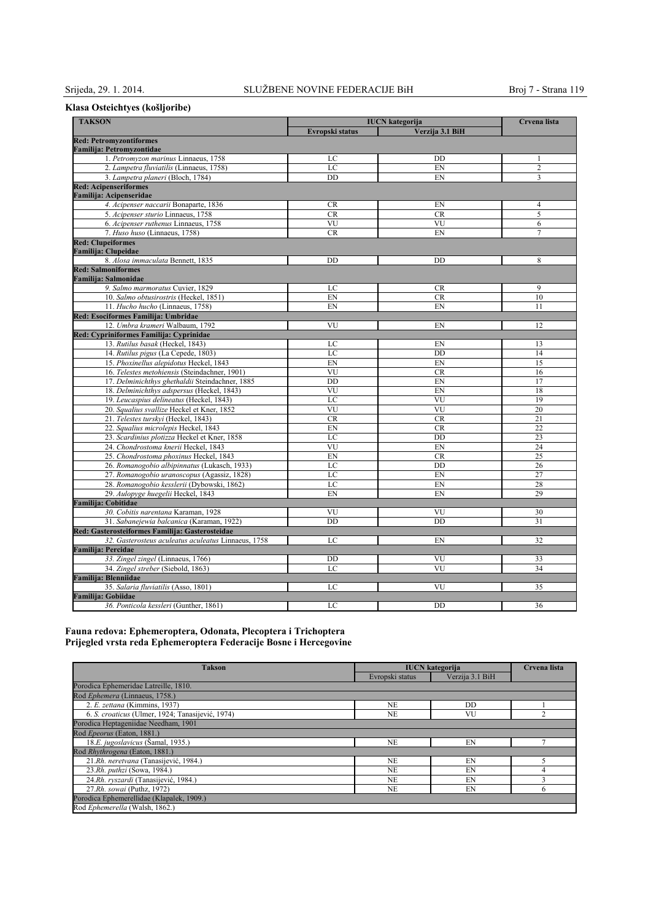## **Klasa Osteichtyes (košljoribe)**

| <b>TAKSON</b><br><b>IUCN</b> kategorija             |                 |                 | Crvena lista   |
|-----------------------------------------------------|-----------------|-----------------|----------------|
|                                                     | Evropski status | Verzija 3.1 BiH |                |
| <b>Red: Petromyzontiformes</b>                      |                 |                 |                |
| <b>Familija: Petromyzontidae</b>                    |                 |                 |                |
| 1. Petromyzon marinus Linnaeus, 1758                | LC              | DD              | 1              |
| 2. Lampetra fluviatilis (Linnaeus, 1758)            | LC              | EN              | $\overline{c}$ |
| 3. Lampetra planeri (Bloch, 1784)                   | DD              | EN              | 3              |
| <b>Red: Acipenseriformes</b>                        |                 |                 |                |
| Familija: Acipenseridae                             |                 |                 |                |
| 4. Acipenser naccarii Bonaparte, 1836               | CR              | EN              | 4              |
| 5. Acipenser sturio Linnaeus, 1758                  | <b>CR</b>       | CR              | 5              |
| 6. Acipenser ruthenus Linnaeus, 1758                | VU              | VU              | 6              |
| 7. Huso huso (Linnaeus, 1758)                       | <b>CR</b>       | EN              | 7              |
| <b>Red: Clupeiformes</b>                            |                 |                 |                |
| <b>Familija: Clupeidae</b>                          |                 |                 |                |
| 8. Alosa immaculata Bennett, 1835                   | DD              | DD              | 8              |
| <b>Red: Salmoniformes</b>                           |                 |                 |                |
| Familija: Salmonidae                                |                 |                 |                |
| 9. Salmo marmoratus Cuvier, 1829                    | LC              | <b>CR</b>       | 9              |
| 10. Salmo obtusirostris (Heckel, 1851)              | EN              | <b>CR</b>       | 10             |
| 11. Hucho hucho (Linnaeus, 1758)                    | EN              | EN              | 11             |
| Red: Esociformes Familija: Umbridae                 |                 |                 |                |
| 12. Umbra krameri Walbaum, 1792                     | VU              | EN              | 12             |
| Red: Cypriniformes Familija: Cyprinidae             |                 |                 |                |
| 13. Rutilus basak (Heckel, 1843)                    | LC              | EN              | 13             |
| 14. Rutilus pigus (La Cepede, 1803)                 | LC              | <b>DD</b>       | 14             |
| 15. Phoxinellus alepidotus Heckel, 1843             | EN              | EN              | 15             |
| 16. Telestes metohiensis (Steindachner, 1901)       | VU              | <b>CR</b>       | 16             |
| 17. Delminichthys ghethaldii Steindachner, 1885     | DD              | EN              | 17             |
| 18. Delminichthys adspersus (Heckel, 1843)          | VU              | EN              | 18             |
| 19. Leucaspius delineatus (Heckel, 1843)            | LC              | VU              | 19             |
| 20. Squalius svallize Heckel et Kner, 1852          | VU              | VU              | 20             |
| 21. Telestes turskyi (Heckel, 1843)                 | <b>CR</b>       | <b>CR</b>       | 21             |
| 22. Squalius microlepis Heckel, 1843                | EN              | <b>CR</b>       | 22             |
| 23. Scardinius plotizza Heckel et Kner, 1858        | LC              | DD              | 23             |
| 24. Chondrostoma knerii Heckel, 1843                | VU              | EN              | 24             |
| 25. Chondrostoma phoxinus Heckel, 1843              | EN              | <b>CR</b>       | 25             |
| 26. Romanogobio albipinnatus (Lukasch, 1933)        | LC              | DD              | 26             |
| 27. Romanogobio uranoscopus (Agassiz, 1828)         | LC              | EN              | 27             |
| 28. Romanogobio kesslerii (Dybowski, 1862)          | LC              | EN              | 28             |
| 29. Aulopyge huegelii Heckel, 1843                  | EN              | EN              | 29             |
| Familija: Cobitidae                                 |                 |                 |                |
| 30. Cobitis narentana Karaman, 1928                 | VU              | VU              | 30             |
| 31. Sabanejewia balcanica (Karaman, 1922)           | <b>DD</b>       | <b>DD</b>       | 31             |
| Red: Gasterosteiformes Familiia: Gasterosteidae     |                 |                 |                |
| 32. Gasterosteus aculeatus aculeatus Linnaeus, 1758 | LC              | EN              | 32             |
| <b>Familija: Percidae</b>                           |                 |                 |                |
| 33. Zingel zingel (Linnaeus, 1766)                  | DD              | VU              | 33             |
| 34. Zingel streber (Siebold, 1863)                  | LC              | VU              | 34             |
| Familija: Blenniidae                                |                 |                 |                |
| 35. Salaria fluviatilis (Asso, 1801)                | LC              | VU              | 35             |
| Familija: Gobiidae                                  |                 |                 |                |
| 36. Ponticola kessleri (Gunther, 1861)              | LC              | DD              | 36             |
|                                                     |                 |                 |                |

#### **Fauna redova: Ephemeroptera, Odonata, Plecoptera i Trichoptera Prijegled vrsta reda Ephemeroptera Federacije Bosne i Hercegovine**

| <b>Takson</b>                                    | <b>IUCN</b> kategorija |                 | Crvena lista |
|--------------------------------------------------|------------------------|-----------------|--------------|
|                                                  | Evropski status        | Verzija 3.1 BiH |              |
| Porodica Ephemeridae Latreille, 1810.            |                        |                 |              |
| Rod Ephemera (Linnaeus, 1758.)                   |                        |                 |              |
| 2. E. zettana (Kimmins, 1937)                    | <b>NE</b>              | DD              |              |
| 6. S. croaticus (Ulmer, 1924; Tanasijević, 1974) | <b>NE</b>              | VU              |              |
| Porodica Heptageniidae Needham, 1901             |                        |                 |              |
| Rod Epeorus (Eaton, 1881.)                       |                        |                 |              |
| 18.E. jugoslavicus (Šamal, 1935.)                | <b>NE</b>              | EN              |              |
| Rod Rhythrogena (Eaton, 1881.)                   |                        |                 |              |
| 21.Rh. neretvana (Tanasijević, 1984.)            | <b>NE</b>              | EN              |              |
| 23.Rh. puthzi (Sowa, 1984.)                      | <b>NE</b>              | EN              | 4            |
| 24.Rh. ryszardi (Tanasijević, 1984.)             | <b>NE</b>              | EN              | ◠            |
| 27.Rh. sowai (Puthz, 1972)                       | <b>NE</b>              | EN              | 6            |
| Porodica Ephemerellidae (Klapalek, 1909.)        |                        |                 |              |
| Rod Ephemerella (Walsh, 1862.)                   |                        |                 |              |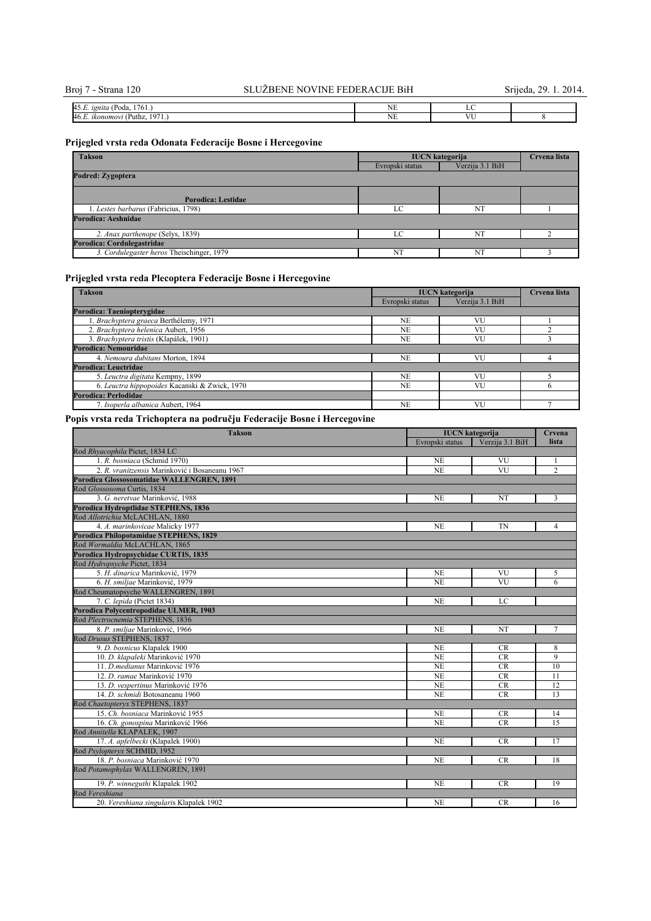| $\sim$<br>$\mathbf{A}^t$<br>n<br>1761.<br>' Poda.<br>19n1ta<br>HJ.L.<br>. | $-$<br>-- |            |  |
|---------------------------------------------------------------------------|-----------|------------|--|
| $\sim$ $-$<br>46.1<br>$\sim$<br>Puthz,<br>. ikonomov<br>u<br>.            | - 11      | <b>TEM</b> |  |
|                                                                           |           |            |  |

## **Prijegled vrsta reda Odonata Federacije Bosne i Hercegovine**

| <b>Takson</b>                             | <b>IUCN</b> kategorija | Crvena lista    |  |
|-------------------------------------------|------------------------|-----------------|--|
|                                           | Evropski status        | Verzija 3.1 BiH |  |
| Podred: Zygoptera                         |                        |                 |  |
| Porodica: Lestidae                        |                        |                 |  |
| 1. Lestes barbarus (Fabricius, 1798)      | LC                     | NT              |  |
| Porodica: Aeshnidae                       |                        |                 |  |
| 2. Anax parthenope (Selys, 1839)          | LC                     | N <sub>1</sub>  |  |
| Porodica: Cordulegastridae                |                        |                 |  |
| 3. Cordulegaster heros Theischinger, 1979 | NT                     | NT              |  |

## **Prijegled vrsta reda Plecoptera Federacije Bosne i Hercegovine**

| <b>Takson</b>                                 | <b>IUCN</b> kategorija |                 | Crvena lista |
|-----------------------------------------------|------------------------|-----------------|--------------|
|                                               | Evropski status        | Verzija 3.1 BiH |              |
| Porodica: Taeniopterygidae                    |                        |                 |              |
| 1. Brachyptera graeca Berthélemy, 1971        | NE                     | VU              |              |
| 2. Brachyptera helenica Aubert, 1956          | NE                     | VU              |              |
| 3. Brachyptera tristis (Klapálek, 1901)       | NE                     | VU              |              |
| Porodica: Nemouridae                          |                        |                 |              |
| 4. Nemoura dubitans Morton, 1894              | <b>NE</b>              | VU              |              |
| Porodica: Leuctridae                          |                        |                 |              |
| 5. Leuctra digitata Kempny, 1899              | <b>NE</b>              | VU              |              |
| 6. Leuctra hippopoides Kacanski & Zwick, 1970 | NE                     | VU              | <sub>0</sub> |
| Porodica: Perlodidae                          |                        |                 |              |
| 7. Isoperla albanica Aubert, 1964             | N <sub>E</sub>         | VU              |              |

## **Popis vrsta reda Trichoptera na području Federacije Bosne i Hercegovine**

| <b>Takson</b>                                  | <b>IUCN</b> kategorija |                        | Crvena          |
|------------------------------------------------|------------------------|------------------------|-----------------|
|                                                | Evropski status        | Verzija 3.1 BiH        | lista           |
| Rod Rhyacophila Pictet, 1834 LC                |                        |                        |                 |
| 1. R. bosniaca (Schmid 1970)                   | <b>NE</b>              | VU                     |                 |
| 2. R. vranitzensis Marinković i Bosaneanu 1967 | <b>NE</b>              | VU                     | $\overline{2}$  |
| Porodica Glossosomatidae WALLENGREN, 1891      |                        |                        |                 |
| Rod Glossosoma Curtis, 1834                    |                        |                        |                 |
| 3. G. neretvae Marinković, 1988                | <b>NE</b>              | NT                     | 3               |
| Porodica Hydroptlidae STEPHENS, 1836           |                        |                        |                 |
| Rod Allotrichia McLACHLAN, 1880                |                        |                        |                 |
| 4. A. marinkovicae Malicky 1977                | <b>NE</b>              | TN                     | $\overline{4}$  |
| Porodica Philopotamidae STEPHENS, 1829         |                        |                        |                 |
| Rod Wormaldia McLACHLAN, 1865                  |                        |                        |                 |
| Porodica Hydropsychidae CURTIS, 1835           |                        |                        |                 |
| Rod Hydropsyche Pictet, 1834                   |                        |                        |                 |
| 5. H. dinarica Marinković, 1979                | N <sub>E</sub>         | VU                     | 5               |
| 6. H. smiliae Marinković, 1979                 | <b>NE</b>              | $\overline{\text{VU}}$ | 6               |
| Rod Cheumatopsyche WALLENGREN, 1891            |                        |                        |                 |
| 7. C. lepida (Pictet 1834)                     | N <sub>E</sub>         | LC                     |                 |
| Porodica Polycentropodidae ULMER, 1903         |                        |                        |                 |
| Rod Plectrocnemia STEPHENS, 1836               |                        |                        |                 |
| 8. P. smiljae Marinković, 1966                 | <b>NE</b>              | NT                     | $\overline{7}$  |
| Rod Drusus STEPHENS, 1837                      |                        |                        |                 |
| 9. D. bosnicus Klapalek 1900                   | <b>NE</b>              | <b>CR</b>              | 8               |
| 10. D. klapaleki Marinković 1970               | <b>NE</b>              | CR                     | 9               |
| 11. D. medianus Marinković 1976                | <b>NE</b>              | <b>CR</b>              | 10              |
| 12. D. ramae Marinković 1970                   | <b>NE</b>              | <b>CR</b>              | 11              |
| 13. D. vespertinus Marinković 1976             | <b>NE</b>              | <b>CR</b>              | 12              |
| 14. D. schmidi Botosaneanu 1960                | <b>NE</b>              | <b>CR</b>              | 13              |
| Rod Chaetopteryx STEPHENS, 1837                |                        |                        |                 |
| 15. Ch. bosniaca Marinković 1955               | NE                     | <b>CR</b>              | 14              |
| 16. Ch. gonospina Marinković 1966              | <b>NE</b>              | <b>CR</b>              | $\overline{15}$ |
| Rod Annitella KLAPALEK, 1907                   |                        |                        |                 |
| 17. A. apfelbecki (Klapalek 1900)              | <b>NE</b>              | CR                     | 17              |
| Rod Psylopteryx SCHMID, 1952                   |                        |                        |                 |
| 18. P. bosniaca Marinković 1970                | N <sub>E</sub>         | <b>CR</b>              | 18              |
| Rod Potamophylax WALLENGREN, 1891              |                        |                        |                 |
| 19. P. winneguthi Klapalek 1902                | <b>NE</b>              | CR                     | 19              |
| Rod Vereshiana                                 |                        |                        |                 |
| 20. Vereshiana singularis Klapalek 1902        | <b>NE</b>              | <b>CR</b>              | 16              |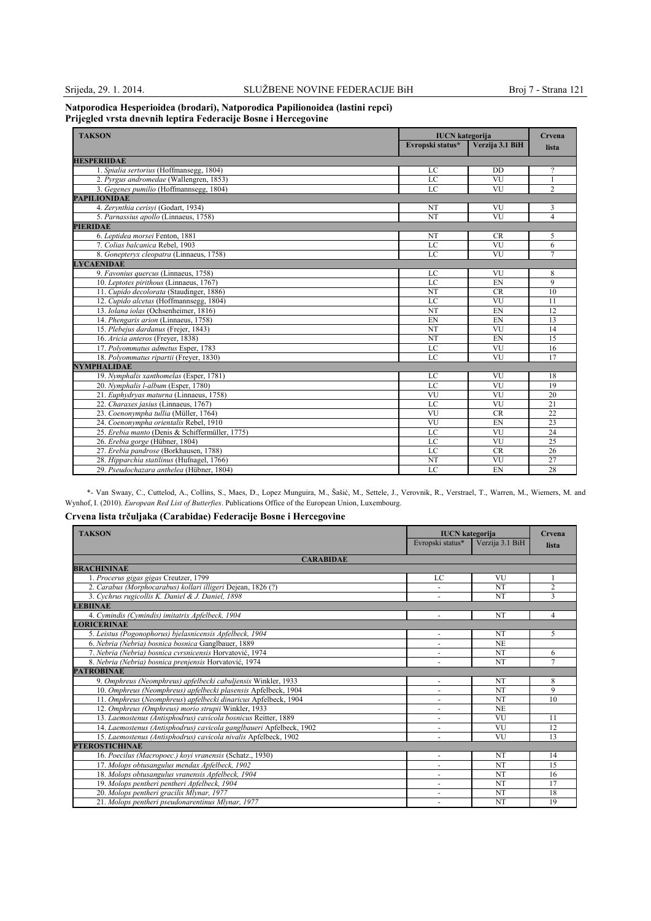#### **Natporodica Hesperioidea (brodari), Natporodica Papilionoidea (lastini repci) Prijegled vrsta dnevnih leptira Federacijе Bosne i Hercegovine**

| <b>TAKSON</b>                                   | <b>IUCN</b> kategorija<br>Evropski status* | Verzija 3.1 BiH | Crvena         |
|-------------------------------------------------|--------------------------------------------|-----------------|----------------|
|                                                 |                                            |                 | lista          |
| <b>HESPERIIDAE</b>                              |                                            |                 |                |
| 1. Spialia sertorius (Hoffmansegg, 1804)        | LC                                         | <b>DD</b>       | 2              |
| 2. Pyrgus andromedae (Wallengren, 1853)         | LC                                         | VU              |                |
| 3. Gegenes pumilio (Hoffmannsegg, 1804)         | LC                                         | VU              | $\overline{c}$ |
| <b>PAPILIONIDAE</b>                             |                                            |                 |                |
| 4. Zervnthia cerisvi (Godart, 1934)             | NT                                         | VU              | 3              |
| 5. Parnassius apollo (Linnaeus, 1758)           | <b>NT</b>                                  | VU              | 4              |
| <b>PIERIDAE</b>                                 |                                            |                 |                |
| 6. Leptidea morsei Fenton, 1881                 | NT                                         | <b>CR</b>       | 5              |
| 7. Colias balcanica Rebel, 1903                 | $_{\rm LC}$                                | VU              | 6              |
| 8. Gonepteryx cleopatra (Linnaeus, 1758)        | LC                                         | VU              | 7              |
| <b>LYCAENIDAE</b>                               |                                            |                 |                |
| 9. Favonius quercus (Linnaeus, 1758)            | LC                                         | VU              | 8              |
| 10. Leptotes pirithous (Linnaeus, 1767)         | LC                                         | EN              | 9              |
| 11. Cupido decolorata (Staudinger, 1886)        | NT                                         | <b>CR</b>       | 10             |
| 12. Cupido alcetas (Hoffmannsegg, 1804)         | LC                                         | VU              | 11             |
| 13. Iolana iolas (Ochsenheimer, 1816)           | NT                                         | EN              | 12             |
| 14. Phengaris arion (Linnaeus, 1758)            | EN                                         | EN              | 13             |
| 15. Plebejus dardanus (Frejer, 1843)            | NT                                         | VU              | 14             |
| 16. Aricia anteros (Freyer, 1838)               | NT                                         | EN              | 15             |
| 17. Polyommatus admetus Esper, 1783             | LC                                         | VU              | 16             |
| 18. Polyommatus ripartii (Freyer, 1830)         | LC                                         | VU              | 17             |
| <b>NYMPHALIDAE</b>                              |                                            |                 |                |
| 19. Nymphalis xanthomelas (Esper, 1781)         | LC                                         | VU              | 18             |
| 20. Nymphalis l-album (Esper, 1780)             | LC                                         | VU              | 19             |
| 21. Euphydryas maturna (Linnaeus, 1758)         | VU                                         | VU              | 20             |
| 22. Charaxes jasius (Linnaeus, 1767)            | LC                                         | VU              | 21             |
| 23. Coenonympha tullia (Müller, 1764)           | VU                                         | <b>CR</b>       | 22             |
| 24. Coenonympha orientalis Rebel, 1910          | VU                                         | EN              | 23             |
| 25. Erebia manto (Denis & Schiffermüller, 1775) | LC                                         | VU              | 24             |
| 26. Erebia gorge (Hübner, 1804)                 | LC                                         | VU              | 25             |
| 27. Erebia pandrose (Borkhausen, 1788)          | LC                                         | <b>CR</b>       | 26             |
| 28. Hipparchia statilinus (Hufnagel, 1766)      | NT                                         | VU              | 27             |
| 29. Pseudochazara anthelea (Hübner, 1804)       | LC                                         | EN              | 28             |

\*- Van Swaay, C., Cuttelod, A., Collins, S., Maes, D., Lopez Munguira, M., Šašić, M., Settele, J., Verovnik, R., Verstrael, T., Warren, M., Wiemers, M. and Wynhof, I. (2010). *European Red List of Butterfies*. Publications Office of the European Union, Luxembourg.

## **Crvena lista trčuljaka (Carabidae) Federacije Bosne i Hercegovine**

| <b>TAKSON</b>                                                       | <b>IUCN</b> kategorija   |                 | Crvena         |
|---------------------------------------------------------------------|--------------------------|-----------------|----------------|
|                                                                     | Evropski status*         | Verzija 3.1 BiH | lista          |
| <b>CARABIDAE</b>                                                    |                          |                 |                |
| <b>BRACHININAE</b>                                                  |                          |                 |                |
| 1. Procerus gigas gigas Creutzer, 1799                              | LC                       | VU              |                |
| 2. Carabus (Morphocarabus) kollari illigeri Dejean, 1826 (?)        |                          | NT              | $\overline{2}$ |
| 3. Cychrus rugicollis K. Daniel & J. Daniel, 1898                   |                          | NT              | $\mathbf{3}$   |
| <b>LEBIINAE</b>                                                     |                          |                 |                |
| 4. Cymindis (Cymindis) imitatrix Apfelbeck, 1904                    |                          | <b>NT</b>       | 4              |
| <b>LORICERINAE</b>                                                  |                          |                 |                |
| 5. Leistus (Pogonophorus) bjelasnicensis Apfelbeck, 1904            |                          | NT              | 5              |
| 6. Nebria (Nebria) bosnica bosnica Ganglbauer, 1889                 |                          | N <sub>E</sub>  |                |
| 7. Nebria (Nebria) bosnica cvrsnicensis Horvatović, 1974            |                          | NT              | 6              |
| 8. Nebria (Nebria) bosnica prenjensis Horvatović, 1974              | $\ddot{\phantom{1}}$     | NT              | 7              |
| <b>PATROBINAE</b>                                                   |                          |                 |                |
| 9. Omphreus (Neomphreus) apfelbecki cabuljensis Winkler, 1933       |                          | NT              | 8              |
| 10. Omphreus (Neomphreus) apfelbecki plasensis Apfelbeck, 1904      |                          | NT              | 9              |
| 11. Omphreus (Neomphreus) apfelbecki dinaricus Apfelbeck, 1904      | ٠                        | NT              | 10             |
| 12. Omphreus (Omphreus) morio strupii Winkler, 1933                 |                          | <b>NE</b>       |                |
| 13. Laemostenus (Antisphodrus) cavicola bosnicus Reitter, 1889      | ٠                        | VU              | 11             |
| 14. Laemostenus (Antisphodrus) cavicola ganglbaueri Apfelbeck, 1902 |                          | VU              | 12             |
| 15. Laemostenus (Antisphodrus) cavicola nivalis Apfelbeck, 1902     | $\overline{\phantom{a}}$ | VU              | 13             |
| <b>PTEROSTICHINAE</b>                                               |                          |                 |                |
| 16. Poecilus (Macropoec.) kovi vranensis (Schatz., 1930)            | ٠                        | NT              | 14             |
| 17. Molops obtusangulus mendax Apfelbeck, 1902                      |                          | NT              | 15             |
| 18. Molops obtusangulus vranensis Apfelbeck, 1904                   | ٠                        | <b>NT</b>       | 16             |
| 19. Molops pentheri pentheri Apfelbeck, 1904                        |                          | NT              | 17             |
| 20. Molops pentheri gracilis Mlynar, 1977                           | ٠                        | NT              | 18             |
| 21. Molops pentheri pseudonarentinus Mlynar, 1977                   |                          | <b>NT</b>       | 19             |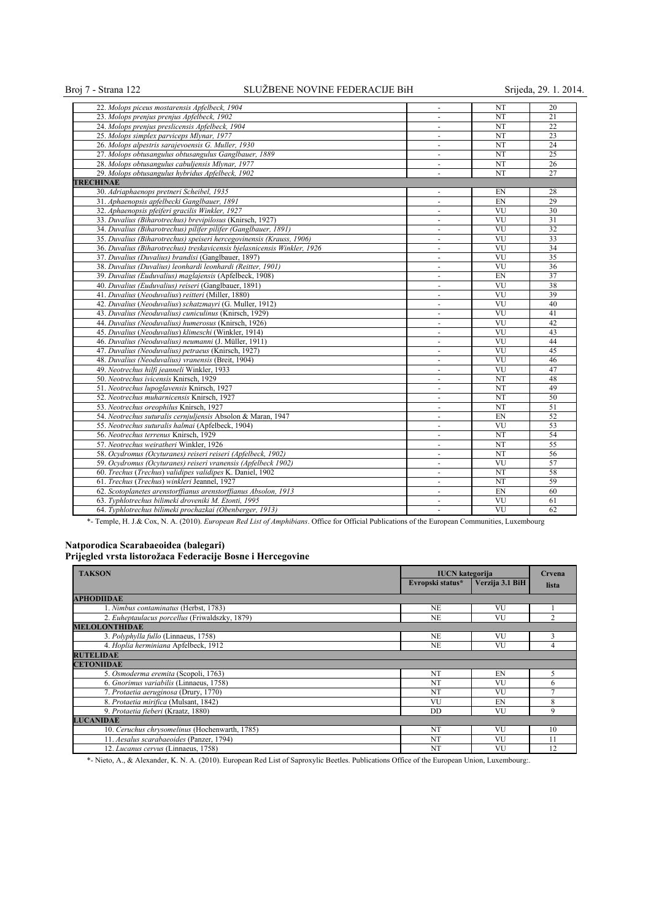## Broj 7 - Strana 122 SLUŽBENE NOVINE FEDERACIJE BiH Srijeda, 29. 1. 2014.

| 22. Molops piceus mostarensis Apfelbeck, 1904                            |                          | NT                     | 20              |
|--------------------------------------------------------------------------|--------------------------|------------------------|-----------------|
| 23. Molops prenjus prenjus Apfelbeck, 1902                               | $\blacksquare$           | NT                     | 21              |
| 24. Molops prenjus preslicensis Apfelbeck, 1904                          | $\overline{\phantom{a}}$ | <b>NT</b>              | 22              |
| 25. Molops simplex parviceps Mlynar, 1977                                | $\blacksquare$           | NT                     | 23              |
| 26. Molops alpestris sarajevoensis G. Muller, 1930                       | $\blacksquare$           | NT                     | 24              |
| 27. Molops obtusangulus obtusangulus Ganglbauer, 1889                    | $\blacksquare$           | NT                     | $\overline{25}$ |
| 28. Molops obtusangulus cabuljensis Mlynar, 1977                         | $\sim$                   | NT                     | 26              |
| 29. Molops obtusangulus hybridus Apfelbeck, 1902                         | $\blacksquare$           | NT                     | 27              |
| <b>TRECHINAE</b>                                                         |                          |                        |                 |
| 30. Adriaphaenops pretneri Scheibel, 1935                                | $\blacksquare$           | EN                     | 28              |
| 31. Aphaenopsis apfelbecki Ganglbauer, 1891                              | $\blacksquare$           | EN                     | 29              |
|                                                                          |                          | VU                     | 30              |
| 32. Aphaenopsis pfeiferi gracilis Winkler, 1927                          | $\overline{\phantom{a}}$ | VU                     | 31              |
| 33. Duvalius (Biharotrechus) brevipilosus (Knirsch, 1927)                | $\blacksquare$           |                        |                 |
| 34. Duvalius (Biharotrechus) pilifer pilifer (Ganglbauer, 1891)          | $\blacksquare$           | VU<br>VU               | 32              |
| 35. Duvalius (Biharotrechus) speiseri hercegovinensis (Krauss, 1906)     | $\overline{\phantom{a}}$ |                        | 33              |
| 36. Duvalius (Biharotrechus) treskavicensis bjelasnicensis Winkler, 1926 | $\blacksquare$           | VU                     | 34              |
| 37. Duvalius (Duvalius) brandisi (Ganglbauer, 1897)                      | $\omega$                 | VU                     | 35              |
| 38. Duvalius (Duvalius) leonhardi leonhardi (Reitter, 1901)              | $\overline{\phantom{a}}$ | VU                     | 36              |
| 39. Duvalius (Euduvalius) maglajensis (Apfelbeck, 1908)                  | $\sim$                   | EN                     | 37              |
| 40. Duvalius (Euduvalius) reiseri (Ganglbauer, 1891)                     | $\omega$                 | VU                     | 38              |
| 41. Duvalius (Neoduvalius) reitteri (Miller, 1880)                       | ÷                        | VU                     | 39              |
| 42. Duvalius (Neoduvalius) schatzmayri (G. Muller, 1912)                 | $\blacksquare$           | VU                     | 40              |
| 43. Duvalius (Neoduvalius) cuniculinus (Knirsch, 1929)                   | $\blacksquare$           | VU                     | 41              |
| 44. Duvalius (Neoduvalius) humerosus (Knirsch, 1926)                     | $\sim$                   | VU                     | 42              |
| 45. Duvalius (Neoduvalius) klimeschi (Winkler, 1914)                     |                          | VU                     | 43              |
| 46. Duvalius (Neoduvalius) neumanni (J. Müller, 1911)                    | $\overline{\phantom{a}}$ | VU                     | 44              |
| 47. Duvalius (Neoduvalius) petraeus (Knirsch, 1927)                      | ÷.                       | VU                     | 45              |
| 48. Duvalius (Neoduvalius) vranensis (Breit, 1904)                       | $\ddot{\phantom{1}}$     | VU                     | 46              |
| 49. Neotrechus hilfi jeanneli Winkler, 1933                              | $\sim$                   | VU                     | 47              |
| 50. Neotrechus ivicensis Knirsch, 1929                                   | $\sim$                   | NT                     | 48              |
| 51. Neotrechus lupoglavensis Knirsch, 1927                               | $\blacksquare$           | <b>NT</b>              | 49              |
| 52. Neotrechus muharnicensis Knirsch, 1927                               | $\overline{\phantom{a}}$ | NT                     | 50              |
| 53. Neotrechus oreophilus Knirsch, 1927                                  | $\omega$                 | <b>NT</b>              | 51              |
| 54. Neotrechus suturalis cernjuljensis Absolon & Maran, 1947             | ä,                       | EN                     | 52              |
| 55. Neotrechus suturalis halmai (Apfelbeck, 1904)                        | $\overline{\phantom{a}}$ | VU                     | 53              |
| 56. Neotrechus terrenus Knirsch, 1929                                    | ÷.                       | NT                     | 54              |
| 57. Neotrechus weiratheri Winkler, 1926                                  | $\sim$                   | NT                     | 55              |
| 58. Ocydromus (Ocyturanes) reiseri reiseri (Apfelbeck, 1902)             | $\sim$                   | NT                     | 56              |
| 59. Ocydromus (Ocyturanes) reiseri vranensis (Apfelbeck 1902)            | $\sim$                   | VU                     | 57              |
| 60. Trechus (Trechus) validipes validipes K. Daniel, 1902                | $\blacksquare$           | <b>NT</b>              | 58              |
| 61. Trechus (Trechus) winkleri Jeannel, 1927                             | $\overline{\phantom{a}}$ | NT                     | 59              |
| 62. Scotoplanetes arenstorffianus arenstorffianus Absolon, 1913          | $\blacksquare$           | EN                     | 60              |
| 63. Typhlotrechus bilimeki droveniki M. Etonti, 1995                     | ä,                       | VU                     | 61              |
| 64. Typhlotrechus bilimeki prochazkai (Obenberger, 1913)                 | $\blacksquare$           | $\overline{\text{VU}}$ | 62              |
|                                                                          |                          |                        |                 |

\*- Temple, H. J.& Cox, N. A. (2010). *European Red List of Amphibians*. Office for Official Publications of the European Communities, Luxembourg

# **Natporodica Scarabaeoidea (balegari)**

| Prijegled vrsta listorožaca Federacije Bosne i Hercegovine |  |  |
|------------------------------------------------------------|--|--|
|------------------------------------------------------------|--|--|

| <b>TAKSON</b>                                  | <b>IUCN</b> kategorija |                 | Crvena |
|------------------------------------------------|------------------------|-----------------|--------|
|                                                | Evropski status*       | Verzija 3.1 BiH | lista  |
| <b>APHODIIDAE</b>                              |                        |                 |        |
| 1. Nimbus contaminatus (Herbst, 1783)          | NF.                    | VU              |        |
| 2. Euheptaulacus porcellus (Friwaldszky, 1879) | <b>NE</b>              | VU              |        |
| <b>MELOLONTHIDAE</b>                           |                        |                 |        |
| 3. Polyphylla fullo (Linnaeus, 1758)           | <b>NE</b>              | VU              | 3      |
| 4. Hoplia herminiana Apfelbeck, 1912           | <b>NE</b>              | VU              | 4      |
| <b>RUTELIDAE</b>                               |                        |                 |        |
| <b>CETONIIDAE</b>                              |                        |                 |        |
| 5. Osmoderma eremita (Scopoli, 1763)           | <b>NT</b>              | EN              | C.     |
| 6. Gnorimus variabilis (Linnaeus, 1758)        | <b>NT</b>              | <b>VU</b>       | 6      |
| 7. Protaetia aeruginosa (Drury, 1770)          | <b>NT</b>              | VU              |        |
| 8. Protaetia mirifica (Mulsant, 1842)          | VU                     | EN              | 8      |
| 9. Protaetia fieberi (Kraatz, 1880)            | <b>DD</b>              | VU              | 9      |
| <b>LUCANIDAE</b>                               |                        |                 |        |
| 10. Ceruchus chrysomelinus (Hochenwarth, 1785) | <b>NT</b>              | VU              | 10     |
| 11. Aesalus scarabaeoides (Panzer, 1794)       | <b>NT</b>              | VU              | 11     |
| 12. Lucanus cervus (Linnaeus, 1758)            | NT                     | VU              | 12     |

\*- Nieto, A., & Alexander, K. N. A. (2010). European Red List of Saproxylic Beetles. Publications Office of the European Union, Luxembourg:.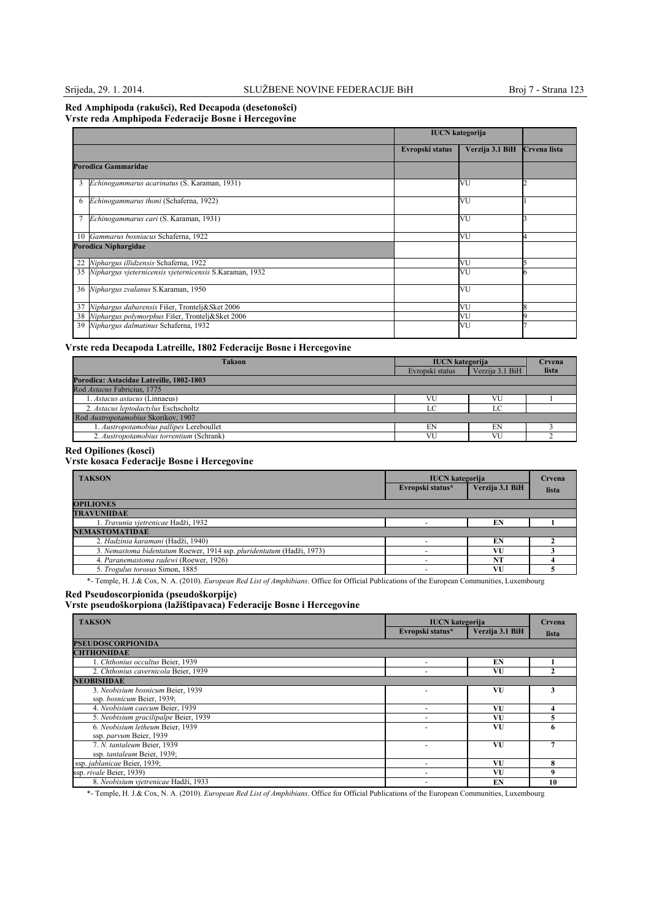### **Red Amphipoda (rakušci), Red Decapoda (desetonošci) Vrste reda Amphipoda Federacije Bosne i Hercegovine**

|    |                                                            | <b>IUCN</b> kategorija |                 |              |
|----|------------------------------------------------------------|------------------------|-----------------|--------------|
|    |                                                            | Evropski status        | Verzija 3.1 BiH | Crvena lista |
|    | Porodica Gammaridae                                        |                        |                 |              |
| 3  | Echinogammarus acarinatus (S. Karaman, 1931)               |                        | VU              |              |
| 6  | Echinogammarus thoni (Schaferna, 1922)                     |                        | VU              |              |
|    | Echinogammarus cari (S. Karaman, 1931)                     |                        | VU              |              |
|    | 10 Gammarus bosniacus Schaferna, 1922                      |                        | VU              |              |
|    | Porodica Niphargidae                                       |                        |                 |              |
| 22 | Niphargus illidzensis Schaferna, 1922                      |                        | VU              |              |
|    | 35 Niphargus vjeternicensis vjeternicensis S.Karaman, 1932 |                        | VU              |              |
|    | 36 Niphargus zvalanus S.Karaman, 1950                      |                        | VU              |              |
| 37 | Niphargus dabarensis Fišer, Trontelj&Sket 2006             |                        | VU              |              |
|    | 38 Niphargus polymorphus Fišer, Trontelj&Sket 2006         |                        | VU              |              |
|    | 39 Niphargus dalmatinus Schaferna, 1932                    |                        | VU              |              |

## **Vrste reda Decapoda Latreille, 1802 Federacije Bosne i Hercegovine**

| <b>Takson</b>                            | <b>IUCN</b> kategorija |                 | Crvena |
|------------------------------------------|------------------------|-----------------|--------|
|                                          | Evropski status        | Verzija 3.1 BiH | lista  |
| Porodica: Astacidae Latreille, 1802-1803 |                        |                 |        |
| Rod Astacus Fabricius, 1775              |                        |                 |        |
| 1. Astacus astacus (Linnaeus)            | VU                     |                 |        |
| 2. Astacus leptodactylus Eschscholtz     | $\Gamma$               |                 |        |
| Rod Austropotamobius Skorikov, 1907      |                        |                 |        |
| 1. Austropotamobius pallipes Lereboullet | EN                     | EN              |        |
| 2. Austropotamobius torrentium (Schrank) | VU                     | VU              |        |

### **Red Opiliones (kosci)**

## **Vrste kosaca Federacije Bosne i Hercegovine**

| <b>TAKSON</b>                                                         | <b>IUCN</b> kategorija<br>Evropski status* | Verzija 3.1 BiH | Crvena<br>lista |
|-----------------------------------------------------------------------|--------------------------------------------|-----------------|-----------------|
| <b>OPILIONES</b>                                                      |                                            |                 |                 |
| <b>TRAVUNIIDAE</b>                                                    |                                            |                 |                 |
| 1. Travunia vjetrenicae Hadži, 1932                                   |                                            | EN              |                 |
| <b>NEMASTOMATIDAE</b>                                                 |                                            |                 |                 |
| 2. Hadzinia karamani (Hadži, 1940)                                    |                                            | EN              |                 |
| 3. Nemastoma bidentatum Roewer, 1914 ssp. pluridentatum (Hadži, 1973) |                                            | VU              |                 |
| 4. Paranemastoma radewi (Roewer, 1926)                                |                                            | NT              |                 |
| 5. Trogulus torosus Simon, 1885                                       |                                            | VU              |                 |

\*- Temple, H. J.& Cox, N. A. (2010). *European Red List of Amphibians*. Office for Official Publications of the European Communities, Luxembourg

#### **Red Pseudoscorpionida (pseudoškorpije)**

**Vrste pseudoškorpiona (lažištipavaca) Federacije Bosne i Hercegovine**

| <b>TAKSON</b>                         | <b>IUCN</b> kategorija   |                 | Crvena |
|---------------------------------------|--------------------------|-----------------|--------|
|                                       | Evropski status*         | Verzija 3.1 BiH | lista  |
| <b>PSEUDOSCORPIONIDA</b>              |                          |                 |        |
| <b>CHTHONIIDAE</b>                    |                          |                 |        |
| 1. Chthonius occultus Beier, 1939     |                          | EN              |        |
| 2. Chthonius cavernicola Beier, 1939  |                          | VU              |        |
| <b>NEOBISHDAE</b>                     |                          |                 |        |
| 3. Neobisium bosnicum Beier, 1939     |                          | VU              |        |
| ssp. bosnicum Beier, 1939;            |                          |                 |        |
| 4. Neobisium caecum Beier, 1939       | $\overline{\phantom{a}}$ | VU              |        |
| 5. Neobisium gracilipalpe Beier, 1939 |                          | VU              |        |
| 6. Neobisium letheum Beier, 1939      |                          | VU              |        |
| ssp. parvum Beier, 1939               |                          |                 |        |
| 7. N. tantaleum Beier, 1939           |                          | VU              |        |
| ssp. tantaleum Beier, 1939;           |                          |                 |        |
| ssp. jablanicae Beier, 1939;          |                          | VU              | 8      |
| ssp. rivale Beier, 1939)              |                          | VU              | 9      |
| 8. Neobisium vietrenicae Hadži, 1933  |                          | EN              | 10     |

\*- Temple, H. J.& Cox, N. A. (2010). *European Red List of Amphibians*. Office for Official Publications of the European Communities, Luxembourg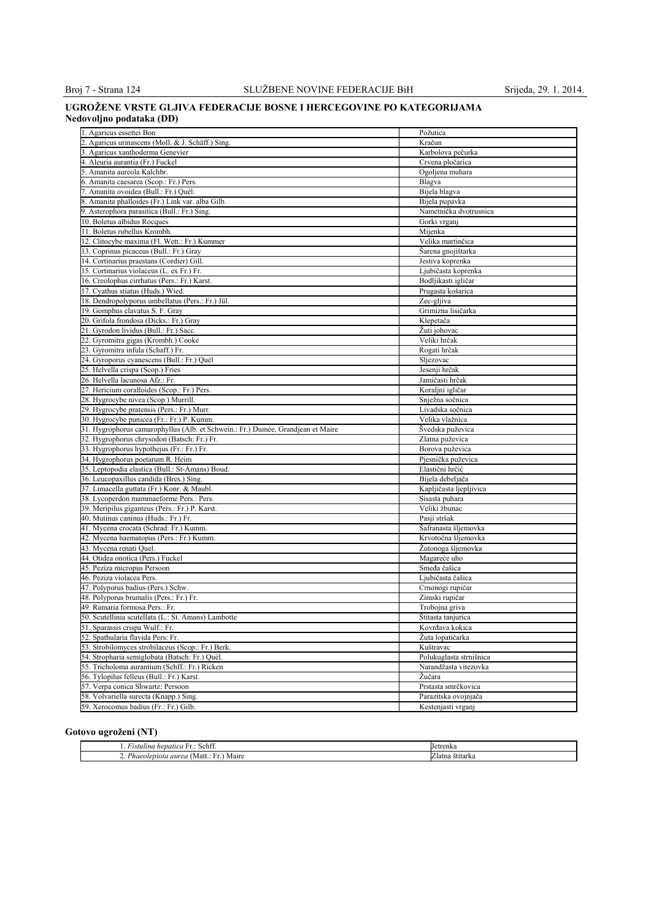#### **UGROŽENE VRSTE GLJIVA FEDERACIJE BOSNE I HERCEGOVINE PO KATEGORIJAMA Nedovoljno podataka (DD)**

| 1. Agaricus essettei Bon                                                        | Požutica                                         |
|---------------------------------------------------------------------------------|--------------------------------------------------|
| 2. Agaricus urinascens (Moll. & J. Schäff.) Sing.                               | Kračun                                           |
| 3. Agaricus xanthoderma Genevier                                                | Karbolova pečurka                                |
| 4. Aleuria aurantia (Fr.) Fuckel                                                | Crvena pločarica                                 |
| 5. Amanita aureola Kalchbr.                                                     | Ogoljena muhara                                  |
| 6. Amanita caesarea (Scop.: Fr.) Pers.                                          | Blagva                                           |
| 7. Amanita ovoidea (Bull.: Fr.) Quél.                                           | Bijela blagva                                    |
| 8. Amanita phalloides (Fr.) Link var. alba Gilb.                                | Bijela pupavka                                   |
| 9. Asterophora parasitica (Bull.: Fr.) Sing.                                    | Nametnička dvotrusnica                           |
| 10. Boletus albidus Rocques                                                     | Gorki vrganj                                     |
| 11. Boletus rubellus Krombh.                                                    | Mijenka                                          |
| 12. Clitocybe maxima (Fl. Wett.: Fr.) Kummer                                    | Velika martinčica                                |
| 13. Coprinus picaceus (Bull.: Fr.) Gray                                         | Šarena gnojištarka                               |
| 4. Cortinarius praestans (Cordier) Gill.                                        | Jestiva koprenka                                 |
| 15. Cortinarius violaceus (L. ex Fr.) Fr.                                       | Ljubičasta koprenka                              |
|                                                                                 |                                                  |
| 16. Creolophus cirrhatus (Pers.: Fr.) Karst.                                    | Bodljikasti igličar                              |
| 17. Cyathus stiatus (Huds.) Wied.                                               | Prugasta košarica                                |
| 18. Dendropolyporus umbellatus (Pers.: Fr.) Jül.                                | Zec-gljiva                                       |
| 19. Gomphus clavatus S. F. Gray                                                 | Grimizna lisičarka                               |
| 20. Grifola frondosa (Dicks.: Fr.) Gray                                         | Klepetača                                        |
| 21. Gyrodon lividus (Bull.: Fr.) Sacc.                                          | Žuti johovac                                     |
| 22. Gyromitra gigas (Krombh.) Cooke                                             | Veliki hrčak                                     |
| 23. Gyromitra infula (Schaff.) Fr.                                              | Rogati hrčak                                     |
| 24. Gyroporus cyanescens (Bull.: Fr.) Quél                                      | Sljezovac                                        |
| 25. Helvella crispa (Scop.) Fries                                               | Jesenji hrčak                                    |
| 26. Helvella lacunosa Afz.: Fr.                                                 | Jamičasti hrčak                                  |
| 27. Hericium coralloides (Scop.: Fr.) Pers.                                     | Koraljni igličar                                 |
| 28. Hygrocybe nivea (Scop.) Murrill.                                            | Snježna sočnica                                  |
| 29. Hygrocybe pratensis (Pers.: Fr.) Murr.                                      | Livadska sočnica                                 |
| 30. Hygrocybe punicea (Fr.: Fr.) P. Kumm.                                       | Velika vlažnica                                  |
| 31. Hygrophorus camarophyllus (Alb. et Schwein.: Fr.) Dumée, Grandjean et Maire | Švedska puževica                                 |
| 32. Hygrophorus chrysodon (Batsch: Fr.) Fr.                                     | Zlatna puževica                                  |
| 33. Hygrophorus hypothejus (Fr.: Fr.) Fr.                                       | Borova puževica                                  |
| 34. Hygrophorus poetarum R. Heim                                                | Pjesnička puževica                               |
| 35. Leptopodia elastica (Bull.: St-Amans) Boud.                                 | Elastični hrčić                                  |
| 36. Leucopaxillus candida (Bres.) Sing.                                         | Bijela debeljača                                 |
| 37. Limacella guttata (Fr.) Konr. & Maubl.                                      | Kapljičasta ljepljivica                          |
| 38. Lycoperdon mammaeforme Pers.: Pers.                                         | Sisasta puhara                                   |
| 39. Meripilus giganteus (Pers.: Fr.) P. Karst.                                  | Veliki žbunac                                    |
| 40. Mutinus caninus (Huds.: Fr.) Fr.                                            | Pasji stršak                                     |
| 41. Mycena crocata (Schrad: Fr.) Kumm.                                          | Šafranasta šljemovka                             |
| 42. Mycena haematopus (Pers.: Fr.) Kumm.                                        | Krvotočna šljemovka                              |
| 43. Mycena renati Quel.                                                         | Žutonoga šljemovka                               |
| 44. Otidea onotica (Pers.) Fuckel                                               | Magareće uho                                     |
| 45. Peziza micropus Persoon                                                     | Smeđa čašica                                     |
| 46. Peziza violacea Pers.                                                       | Ljubičasta čašica                                |
| 47. Polyporus badius (Pers.) Schw.                                              | Crnonogi rupičar                                 |
| 48. Polyporus brumalis (Pers.: Fr.) Fr.                                         | Zimski rupičar                                   |
| 49. Ramaria formosa Pers.: Fr.                                                  | Trobojna griva                                   |
| 50. Scutellinia scutellata (L.: St. Amans) Lambotte                             | Stitasta tanjurica                               |
| 51. Sparassis crispa Wulf.: Fr.                                                 | Kovrđava kokica                                  |
| 52. Spathularia flavida Pers: Fr.                                               | Žuta lopatičarka                                 |
| 53. Strobilomyces strobilaceus (Scop.: Fr.) Berk.                               |                                                  |
| 54. Stropharia semiglobata (Batsch: Fr.) Quél.                                  | Kuštravac                                        |
|                                                                                 | Polukuglasta strnišnica<br>Narandžasta vitezovka |
| 55. Tricholoma aurantium (Schff.: Fr.) Ricken                                   |                                                  |
| 56. Tylopilus felleus (Bull.: Fr.) Karst.                                       | Žučara                                           |
| 57. Verpa conica Shwartz: Persoon                                               | Prstasta smrčkovica                              |
| 58. Volvariella surecta (Knapp.) Sing.                                          | Parazitska ovojnjača                             |
| 59. Xerocomus badius (Fr.: Fr.) Gilb.                                           | Kestenjasti vrganj                               |

## **Gotovo ugroženi (NT)**

| c.<br>Schtt<br><b>L+</b><br>hepatica<br>ustulina<br>. | <b>Tetrenka</b> |
|-------------------------------------------------------|-----------------|
| Phaeolepiota aurea v<br>Maire<br>Matt.<br>.           | ∠latna štītarka |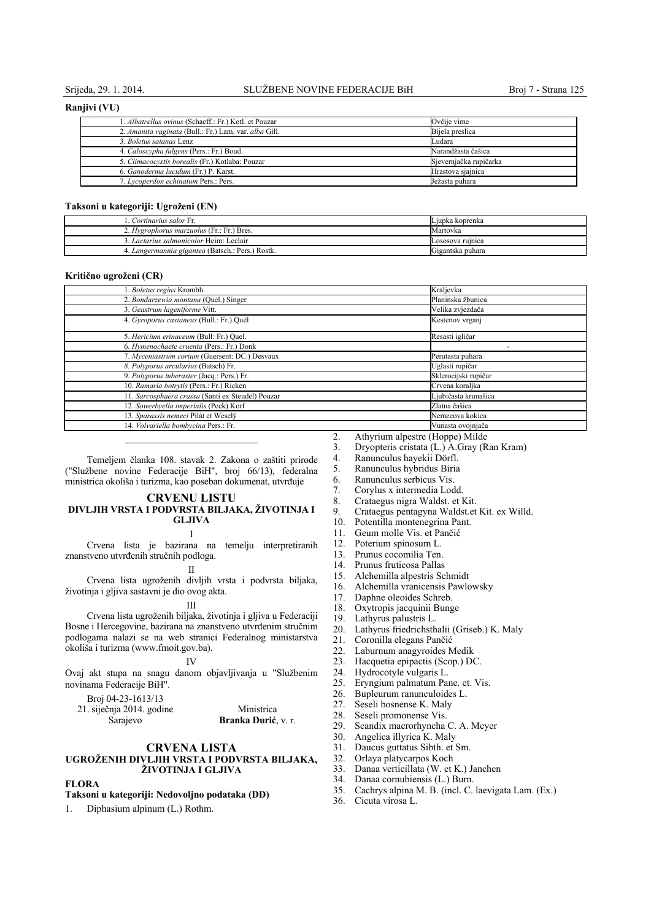#### **Ranjivi (VU)**

| 1. Albatrellus ovinus (Schaeff.: Fr.) Kotl. et Pouzar | Ovčije vime            |
|-------------------------------------------------------|------------------------|
| 2. Amanita vaginata (Bull.: Fr.) Lam. var. alba Gill. | Bijela preslica        |
| 3. Boletus satanas Lenz                               | Ludara                 |
| 4. Caloscypha fulgens (Pers.: Fr.) Boud.              | Narandžasta čašica     |
| 5. Climacocystis borealis (Fr.) Kotlaba: Pouzar       | Sjevernjačka rupičarka |
| 6. Ganoderma lucidum (Fr.) P. Karst.                  | Hrastova sjajnica      |
| 7. Lycoperdon echinatum Pers.: Pers.                  | Ježasta puhara         |

#### **Taksoni u kategoriji: Ugroženi (EN)**

| Cortinarius salor Fr.                            | Ljupka koprenka  |
|--------------------------------------------------|------------------|
| 2. Hygrophorus marzuolus (Fr.: Fr.) Bres.        | Martovka         |
| Lactarius salmonicolor Heim: Leclair             | Lososova ruinica |
| 4. Langermannia gigantea (Batsch.: Pers.) Rostk. | Gigantska puhara |

#### **Kritično ugroženi (CR)**

| 1. Boletus regius Krombh.                         | Kraljevka            |
|---------------------------------------------------|----------------------|
| 2. Bondarzewia montana (Quel.) Singer             | Planinska žbunica    |
| 3. Geastrum lageniforme Vitt.                     | Velika zvjezdača     |
| 4. Gyroporus castaneus (Bull.: Fr.) Quél          | Kestenov vrganj      |
| 5. Hericium erinaceum (Bull: Fr.) Quel.           | Resasti igličar      |
| 6. Hymenochaete cruenta (Pers.: Fr.) Donk         |                      |
| 7. Myceniastrum corium (Guersent: DC.) Desvaux    | Perutasta puhara     |
| 8. Polyporus arcularius (Batsch) Fr.              | Uglasti rupičar      |
| 9. Polyporus tuberaster (Jacq.: Pers.) Fr.        | Sklerocijski rupičar |
| 10. Ramaria botrytis (Pers.: Fr.) Ricken          | Crvena koraljka      |
| 11. Sarcosphaera crassa (Santi ex Steudel) Pouzar | Ljubičasta krunašica |
| 12. Sowerbyella imperialis (Peck) Korf            | Zlatna čašica        |
| 13. Sparassis nemeci Pilát et Weselý              | Nemecova kokica      |
| 14. Volvariella bombycina Pers.: Fr.              | Vunasta ovojnjača    |

Temeljem članka 108. stavak 2. Zakona o zaštiti prirode ("Službene novine Federacije BiH", broj 66/13), federalna ministrica okoliša i turizma, kao poseban dokumenat, utvrđuje

#### **CRVENU LISTU DIVLJIH VRSTA I PODVRSTA BILJAKA, ŽIVOTINJA I GLJIVA**

I

Crvena lista je bazirana na temelju interpretiranih znanstveno utvrđenih stručnih podloga.

II

Crvena lista ugroženih divljih vrsta i podvrsta biljaka, životinja i gljiva sastavni je dio ovog akta.

#### III

Crvena lista ugroženih biljaka, životinja i gljiva u Federaciji Bosne i Hercegovine, bazirana na znanstveno utvrđenim stručnim podlogama nalazi se na web stranici Federalnog ministarstva okoliša i turizma (www.fmoit.gov.ba).

#### IV

Ovaj akt stupa na snagu danom objavljivanja u "Službenim novinama Federacije BiH".

Broj 04-23-1613/13

21. siječnja 2014. godine Sarajevo Ministrica **Branka Đurić**, v. r.

### **CRVENA LISTA UGROŽENIH DIVLJIH VRSTA I PODVRSTA BILJAKA, ŽIVOTINJA I GLJIVA**

### **FLORA**

#### **Taksoni u kategoriji: Nedovoljno podataka (DD)**

1. Diphasium alpinum (L.) Rothm.

- 2. Athyrium alpestre (Hoppe) Milde<br>3. Dryopteris cristata (L.) A.Gray (R
- 3. Dryopteris cristata (L.) A.Gray (Ran Kram)
- 4. Ranunculus hayekii Dörfl.
- 5. Ranunculus hybridus Biria
- 6. Ranunculus serbicus Vis.
- 7. Corylus x intermedia Lodd.
- 8. Crataegus nigra Waldst. et Kit.
- 9. Crataegus pentagyna Waldst.et Kit. ex Willd.
- Potentilla montenegrina Pant.
- 11. Geum molle Vis. et Pančić
- 12. Poterium spinosum L.
- 13. Prunus cocomilia Ten.
- 14. Prunus fruticosa Pallas
- 15. Alchemilla alpestris Schmidt
- 16. Alchemilla vranicensis Pawlowsky
- 17. Daphne oleoides Schreb.
- 18. Oxytropis jacquinii Bunge<br>19 I. athyrus palustris L
- Lathyrus palustris L.
- 20. Lathyrus friedrichsthalii (Griseb.) K. Maly
- 21. Coronilla elegans Pančić
- 22. Laburnum anagyroides Medik
- 23. Hacquetia epipactis (Scop.) DC.
- 
- 24. Hydrocotyle vulgaris L. Eryngium palmatum Pane. et. Vis.
- 26. Bupleurum ranunculoides L.<br>27. Seseli bosnense K. Maly
- 27. Seseli bosnense K. Maly<br>28. Seseli promonense Vis.
- 28. Seseli promonense Vis.<br>29. Scandix macrorhyncha
- 29. Scandix macrorhyncha C. A. Meyer<br>30. Angelica illyrica K. Maly
- 30. Angelica illyrica K. Maly<br>31. Daucus guttatus Sibth. et
	- Daucus guttatus Sibth. et Sm.
- 32. Orlaya platycarpos Koch
- 33. Danaa verticillata (W. et K.) Janchen
- 34. Danaa cornubiensis (L.) Burn.
- 35. Cachrys alpina M. B. (incl. C. laevigata Lam. (Ex.)
- 36. Cicuta virosa L.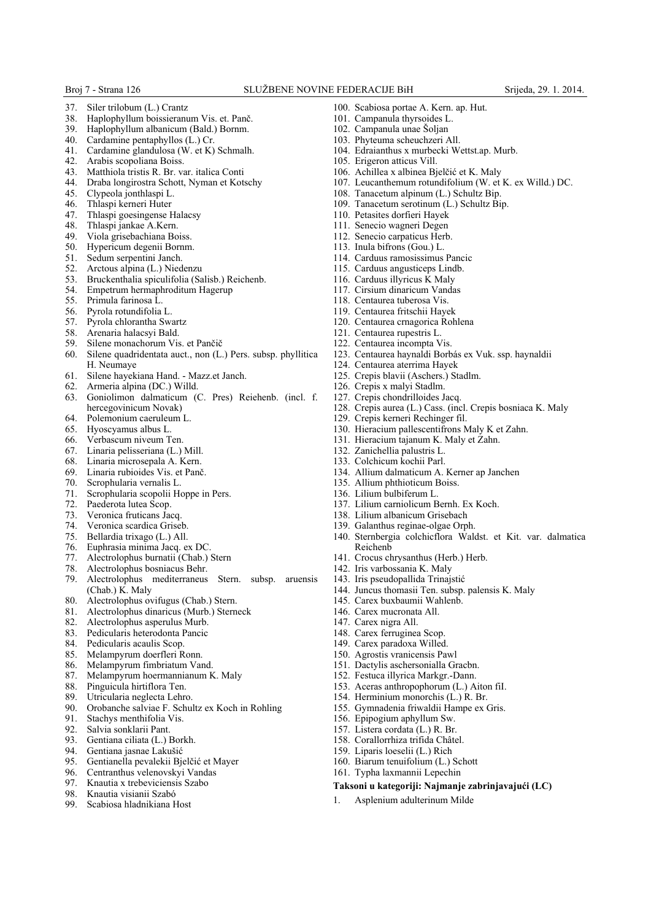- 37. Siler trilobum (L.) Crantz
- 38. Haplophyllum boissieranum Vis. et. Panč.
- 39. Haplophyllum albanicum (Bald.) Bornm.<br>40. Cardamine pentaphyllos (L.) Cr.
- Cardamine pentaphyllos (L.) Cr.
- 41. Cardamine glandulosa (W. et K) Schmalh.
- 42. Arabis scopoliana Boiss.
- 43. Matthiola tristis R. Br. var. italica Conti
- 44. Draba longirostra Schott, Nyman et Kotschy
- 45. Clypeola jonthlaspi L.
- 46. Thlaspi kerneri Huter
- 47. Thlaspi goesingense Halacsy<br> $\frac{48}{48}$  Thlaspi jankae A Kern
- Thlaspi jankae A.Kern.
- 49. Viola grisebachiana Boiss.
- Hypericum degenii Bornm.
- 51. Sedum serpentini Janch.<br>52. Arctous alpina (L.) Nied
- Arctous alpina (L.) Niedenzu
- 53. Bruckenthalia spiculifolia (Salisb.) Reichenb.
- 54. Empetrum hermaphroditum Hagerup
- 55. Primula farinosa L.
- 56. Pyrola rotundifolia L.
- 57. Pyrola chlorantha Swartz<br>58. Arenaria halacsyi Bald.
- 58. Arenaria halacsyi Bald.
- 
- 59. Silene monachorum Vis. et Pančič<br>60. Silene quadridentata auct., non (L. 60. Silene quadridentata auct., non (L.) Pers. subsp. phyllitica H. Neumaye
- 61. Silene hayekiana Hand. Mazz.et Janch.
- 
- 62. Armeria alpina (DC.) Willd. 63. Goniolimon dalmaticum (C. Pres) Reiehenb. (incl. f. hercegovinicum Novak)
- 64. Polemonium caeruleum L.<br>65. Hyoscyamus albus L.
- 65. Hyoscyamus albus L. Verbascum niveum Ten.
- 
- 67. Linaria pelisseriana (L.) Mill.
- 68. Linaria microsepala A. Kern.
- 69. Linaria rubioides Vis. et Panč.
- 70. Scrophularia vernalis L.
- 71. Scrophularia scopolii Hoppe in Pers.
- Paederota lutea Scop.
- 73. Veronica fruticans Jacq.
- Veronica scardica Griseb.
- 
- 75. Bellardia trixago (L.) All. 76. Euphrasia minima Jacq. ex DC.
- 77. Alectrolophus burnatii (Chab.) Stern
- 78. Alectrolophus bosniacus Behr.
- 79. Alectrolophus mediterraneus Stern. subsp. aruensis (Chab.) K. Maly
- 80. Alectrolophus ovifugus (Chab.) Stern.
- 81. Alectrolophus dinaricus (Murb.) Sterneck
- 82. Alectrolophus asperulus Murb.
- 83. Pedicularis heterodonta Pancic<br>84. Pedicularis acaulis Scop.
- 84. Pedicularis acaulis Scop.<br>85. Melampyrum doerfleri F
- Melampyrum doerfleri Ronn.
- 86. Melampyrum fimbriatum Vand.<br>87. Melampyrum hoermannianum K
- Melampyrum hoermannianum K. Maly
- 88. Pinguicula hirtiflora Ten.
- 
- 89. Utricularia neglecta Lehro.<br>90. Orobanche salviae F. Schu 90. Orobanche salviae F. Schultz ex Koch in Rohling
- 91. Stachys menthifolia Vis.<br>92. Salvia sonklarii Pant
- 92. Salvia sonklarii Pant.<br>93 Gentiana ciliata (L.) I
- 93. Gentiana ciliata (L.) Borkh.<br>94 Gentiana iasnae Lakušić
- Gentiana jasnae Lakušić
- 95. Gentianella pevalekii Bjelčić et Mayer
- 96. Centranthus velenovskyi Vandas
- 97. Knautia x trebeviciensis Szabo<br>98. Knautia visianii Szabó
- 98. Knautia visianii Szabó
- 99. Scabiosa hladnikiana Host
- 100. Scabiosa portae A. Kern. ap. Hut.
- 101. Campanula thyrsoides L.
- 102. Campanula unae Šoljan
- 103. Phyteuma scheuchzeri All.
- 104. Edraianthus x murbecki Wettst.ap. Murb.
- 105. Erigeron atticus Vill.
- 106. Achillea x albinea Bjelčić et K. Maly
- 107. Leucanthemum rotundifolium (W. et K. ex Willd.) DC.
- 108. Tanacetum alpinum (L.) Schultz Bip.
- 109. Tanacetum serotinum (L.) Schultz Bip.
- 110. Petasites dorfieri Hayek
- 111. Senecio wagneri Degen
- 112. Senecio carpaticus Herb.
- 113. Inula bifrons (Gou.) L.
- 114. Carduus ramosissimus Pancic
- 115. Carduus angusticeps Lindb.
- 116. Carduus illyricus K Maly
- 117. Cirsium dinaricum Vandas
- 118. Centaurea tuberosa Vis.
- 119. Centaurea fritschii Hayek
- 120. Centaurea crnagorica Rohlena
- 121. Centaurea rupestris L.
- 122. Centaurea incompta Vis.
- 123. Centaurea haynaldi Borbás ex Vuk. ssp. haynaldii
- 124. Centaurea aterrima Hayek
- 125. Crepis blavii (Aschers.) Stadlm.
- 126. Crepis x malyi Stadlm.
- 127. Crepis chondrilloides Jacq.
- 128. Crepis aurea (L.) Cass. (incl. Crepis bosniaca K. Maly

140. Sternbergia colchicflora Waldst. et Kit. var. dalmatica

- 129. Crepis kerneri Rechinger fil.
- 130. Hieracium pallescentifrons Maly K et Zahn.
- 131. Hieracium tajanum K. Maly et Zahn.

137. Lilium carniolicum Bernh. Ex Koch. 138. Lilium albanicum Grisebach 139. Galanthus reginae-olgae Orph.

141. Crocus chrysanthus (Herb.) Herb. 142. Iris varbossania K. Maly 143. Iris pseudopallida Trinajstić

145. Carex buxbaumii Wahlenb. 146. Carex mucronata All. 147. Carex nigra All. 148. Carex ferruginea Scop. 149. Carex paradoxa Willed. 150. Agrostis vranicensis Pawl 151. Dactylis aschersonialla Gracbn. 152. Festuca illyrica Markgr.-Dann. 153. Aceras anthropophorum (L.) Aiton fiI. 154. Herminium monorchis (L.) R. Br. 155. Gymnadenia friwaldii Hampe ex Gris.

156. Epipogium aphyllum Sw. 157. Listera cordata (L.) R. Br. 158. Corallorrhiza trifida Châtel. 159. Liparis loeselii (L.) Rich 160. Biarum tenuifolium (L.) Schott 161. Typha laxmannii Lepechin

1. Asplenium adulterinum Milde

144. Juncus thomasii Ten. subsp. palensis K. Maly

**Taksoni u kategoriji: Najmanje zabrinjavajući (LC)**

- 132. Zanichellia palustris L.
- 133. Colchicum kochii Parl. 134. Allium dalmaticum A. Kerner ap Janchen

Reichenb

135. Allium phthioticum Boiss. 136. Lilium bulbiferum L.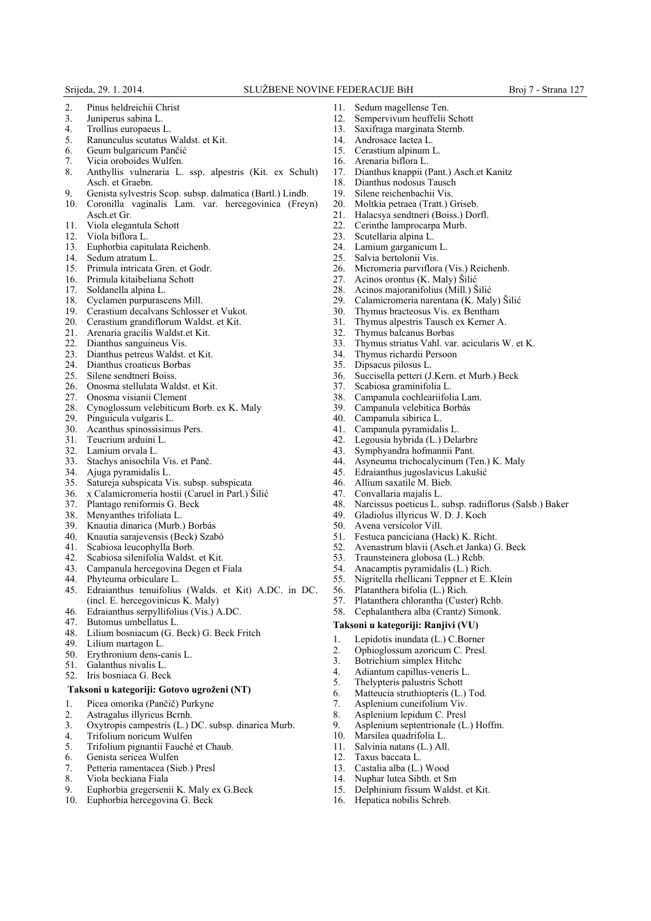- 2. Pinus heldreichii Christ<br>3. Juniperus sabina L.
- 3. Juniperus sabina L.
- 4. Trollius europaeus L.<br>5. Ranunculus scutatus
- 5. Ranunculus scutatus Waldst. et Kit.
- 6. Geum bulgaricum Pančić
- 7. Vicia oroboides Wulfen.
- 8. Anthyllis vulneraria L. ssp. alpestris (Kit. ex Schult) Asch. et Graebn.
- 9. Genista sylvestris Scop. subsp. dalmatica (Bartl.) Lindb.
- 10. Coronilla vaginalis Lam. var. hercegovinica (Freyn)
- Asch.et Gr. 11. Viola elegantula Schott
- 12. Viola biflora L.
- 13. Euphorbia capitulata Reichenb.
- 
- 14. Sedum atratum L.<br>15. Primula intricata C 15. Primula intricata Gren. et Godr.
- 16. Primula kitaibeliana Schott<br>17. Soldanella alpina L.
- Soldanella alpina L.
- 18. Cyclamen purpurascens Mill.
- 19. Cerastium decalvans Schlosser et Vukot.
- 20. Cerastium grandiflorum Waldst. et Kit.
- 21. Arenaria gracilis Waldst.et Kit.<br>22. Dianthus sanguineus Vis.
- Dianthus sanguineus Vis.
- 23. Dianthus petreus Waldst. et Kit.<br>24. Dianthus croaticus Borbas
- 24. Dianthus croaticus Borbas<br>25. Silene sendtneri Boiss.
- Silene sendtneri Boiss.
- 26. Onosma stellulata Waldst. et Kit.<br>27. Onosma visianii Clement
- 27. Onosma visianii Clement
- 28. Cynoglossum velebiticum Borb. ex K. Maly<br>29. Pinguicula vulgaris L.
- 29. Pinguicula vulgaris L.
- 30. Acanthus spinossisimus Pers.<br>31 Teucrium arduini L
- 31. Teucrium arduini L.
- 
- 32. Lamium orvala L. Stachys anisochila Vis. et Panč.
- 34. Ajuga pyramidalis L.
- Satureja subspicata Vis. subsp. subspicata
- 36. x Calamicromeria hostii (Caruel in Parl.) Šilić
- 37. Plantago reniformis G. Beck
- 38. Menyanthes trifoliata L.<br>39. Knautia dinarica (Murb.
- 39. Knautia dinarica (Murb.) Borbás
- 40. Knautia sarajevensis (Beck) Szabó<br>41. Scabiosa leucophylla Borb.<br>42. Scabiosa silenifolia Waldst. et Kit.
- Scabiosa leucophylla Borb.
- 
- 42. Scabiosa silenifolia Waldst. et Kit. 43. Campanula hercegovina Degen et Fiala
- 44. Phyteuma orbiculare L.
- 45. Edraianthus tenuifolius (Walds. et Kit) A.DC. in DC. (incl. E. hercegovinicus K. Maly)
- 46. Edraianthus serpyllifolius (Vis.) A.DC.
- 
- 47. Butomus umbellatus L.<br>48. Lilium bosniacum (G. 1 Lilium bosniacum (G. Beck) G. Beck Fritch
- 49. Lilium martagon L.
- 50. Erythronium dens-canis L.<br>51. Galanthus nivalis L.
- Galanthus nivalis L.
- 52. Iris bosniaca G. Beck

#### **Taksoni u kategoriji: Gotovo ugroženi (NT)**

- 1. Picea omorika (Pančič) Purkyne
- 
- 2. Astragalus illyricus Bernh.<br>3. Oxytropis campestris (L.) 3. Oxytropis campestris (L.) DC. subsp. dinarica Murb.
- 4. Trifolium noricum Wulfen<br>5. Trifolium pignantii Fauché
- 5. Trifolium pignantii Fauché et Chaub.
- 6. Genista sericea Wulfen
- 7. Petteria ramentacea (Sieb.) Presl
- 8. Viola beckiana Fiala
- 9. Euphorbia gregersenii K. Maly ex G.Beck
- 10. Euphorbia hercegovina G. Beck
- 
- 11. Sedum magellense Ten.<br>12. Semnervivum heuffelii Sempervivum heuffelii Schott
- 13. Saxifraga marginata Sternb.
- 14. Androsace lactea L.
- 15. Cerastium alpinum L.
- 16. Arenaria biflora L.
- 17. Dianthus knappii (Pant.) Asch.et Kanitz
- 18. Dianthus nodosus Tausch
- 
- 19. Silene reichenbachii Vis.<br>20. Moltkia petraea (Tratt.) 20. Moltkia petraea (Tratt.) Griseb.<br>21. Halacsva sendtneri (Boiss.) Dor
- 21. Halacsya sendtneri (Boiss.) Dorfl.<br>22. Cerinthe lamprocarna Murb.
- 22. Cerinthe lamprocarpa Murb.<br>23. Scutellaria alpina L.
- 23. Scutellaria alpina L.<br>24. Lamium garganicum
- 
- 24. Lamium garganicum L.<br>25. Salvia bertolonii Vis. 25. Salvia bertolonii Vis.<br>26. Micromeria parviflor
- Micromeria parviflora (Vis.) Reichenb.
- 27. Acinos orontus (K. Maly) Šilić<br>28. Acinos majoranifolius (Mill.) Š
- 28. Acinos majoranifolius (Mill.) Šilić
- 29. Calamicromeria narentana (K. Maly) Šilić
- 30. Thymus bracteosus Vis. ex Bentham
- 31. Thymus alpestris Tausch ex Kerner A.
- 32. Thymus balcanus Borbas<br>33. Thymus striatus Vahl. var
- 33. Thymus striatus Vahl. var. acicularis W. et K.
- 34. Thymus richardii Persoon<br>35. Dipsacus pilosus L.
- 35. Dipsacus pilosus L.<br>36. Succisella petteri (J.
- Succisella petteri (J.Kern. et Murb.) Beck
- 
- 37. Scabiosa graminifolia L. Campanula cochleariifolia Lam.
- 39. Campanula velebitica Borbás<br>40. Campanula sibirica L
- Campanula sibirica L.
- 41. Campanula pyramidalis L.<br>42. Legousia hybrida (L.) Deli
- Legousia hybrida (L.) Delarbre
- 43. Symphyandra hofmannii Pant.

Allium saxatile M. Bieb. 47. Convallaria majalis L.<br>48. Narcissus poeticus L.

49. Gladiolus illyricus W. D. J. Koch<br>50. Avena versicolor Vill. Avena versicolor Vill.

53. Traunsteinera globosa (L.) Rchb.<br>54. Anacamptis pyramidalis (L.) Ric 54. Anacamptis pyramidalis (L.) Rich.<br>55. Nigritella rhellicani Teppner et E. 55. Nigritella rhellicani Teppner et E. Klein

56. Platanthera bifolia (L.) Rich. 57. Platanthera chlorantha (Custer) Rchb. 58. Cephalanthera alba (Crantz) Simonk. **Taksoni u kategoriji: Ranjivi (VU)** 1. Lepidotis inundata (L.) C.Borner<br>2. Ophioglossum azoricum C. Presl. 2. Ophioglossum azoricum C. Presl.<br>3. Botrichium simplex Hitchc Botrichium simplex Hitchc 4. Adiantum capillus-veneris L.<br>5. The venteris palustris Schott Thelypteris palustris Schott 6. Matteucia struthiopteris  $(L)$  Tod.<br>7. Asplenium cupeifolium Viv Asplenium cuneifolium Viv. 8. Asplenium lepidum C. Presl<br>9. Asplenium septentrionale (L

10. Marsilea quadrifolia L.<br>11. Salvinia natans (L.) Al Salvinia natans (L.) All.

16. Hepatica nobilis Schreb.

12. Taxus baccata L. 13. Castalia alba (L.) Wood 14. Nuphar lutea Sibth. et Sm 15. Delphinium fissum Waldst. et Kit.

51. Festuca panciciana (Hack) K. Richt.<br>52. Avenastrum blavii (Asch et Janka) ( 52. Avenastrum blavii (Asch.et Janka) G. Beck<br>53. Traunsteinera globosa (L.) Rchb.

Asplenium septentrionale (L.) Hoffm.

Asyneuma trichocalycinum (Ten.) K. Maly

48. Narcissus poeticus L. subsp. radiiflorus (Salsb.) Baker

45. Edraianthus jugoslavicus Lakušić<br>46. Allium saxatile M. Bieb.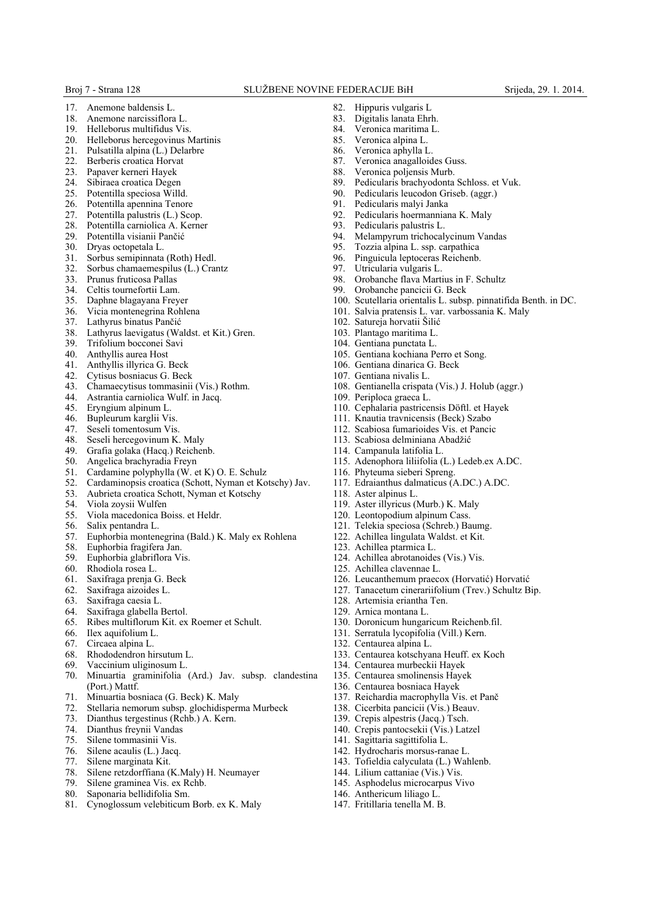- 17. Anemone baldensis L. 18. Anemone narcissiflora L.
- 19. Helleborus multifidus Vis.
- 20. Helleborus hercegovinus Martinis
- 21. Pulsatilla alpina (L.) Delarbre
- 22. Berberis croatica Horvat
- 
- 23. Papaver kerneri Hayek Sibiraea croatica Degen
- 
- 25. Potentilla speciosa Willd.
- 26. Potentilla apennina Tenore<br>27. Potentilla palustris (L.) Sco 27. Potentilla palustris (L.) Scop.<br>28. Potentilla carniolica A. Kerne
- 28. Potentilla carniolica A. Kerner<br>29. Potentilla visianii Pančić
- 29. Potentilla visianii Pančić
- Dryas octopetala L.
- 31. Sorbus semipinnata (Roth) Hedl.<br>32. Sorbus chamaemespilus (L.) Cra
- Sorbus chamaemespilus (L.) Crantz
- 33. Prunus fruticosa Pallas
- Celtis tournefortii Lam.
- 35. Daphne blagayana Freyer
- 36. Vicia montenegrina Rohlena
- 37. Lathyrus binatus Pančić
- 38. Lathyrus laevigatus (Waldst. et Kit.) Gren.
- 39. Trifolium bocconei Savi
- 40. Anthyllis aurea Host
- 41. Anthyllis illyrica G. Beck
- Cytisus bosniacus G. Beck
- 43. Chamaecytisus tommasinii (Vis.) Rothm.
- Astrantia carniolica Wulf. in Jacq.
- 45. Eryngium alpinum L.<br>46 Bupleurum karglii Vis
- Bupleurum karglii Vis.
- 47. Seseli tomentosum Vis.<br>48. Seseli hercegovinum K
- Seseli hercegovinum K. Maly
- 49. Grafia golaka (Hacq.) Reichenb.<br>50. Angelica brachyradia Freyn
- Angelica brachyradia Freyn
- 51. Cardamine polyphylla (W. et K) O. E. Schulz<br>52. Cardaminopsis croatica (Schott Nyman et Ko
- 52. Cardaminopsis croatica (Schott, Nyman et Kotschy) Jav.
- 53. Aubrieta croatica Schott, Nyman et Kotschy
- 54. Viola zoysii Wulfen
- 55. Viola macedonica Boiss. et Heldr.
- Salix pentandra L.
- 57. Euphorbia montenegrina (Bald.) K. Maly ex Rohlena
- Euphorbia fragifera Jan.
- 59. Euphorbia glabriflora Vis.<br>60. Rhodiola rosea L.
- Rhodiola rosea L.
- 61. Saxifraga prenja G. Beck
- 62. Saxifraga aizoides L.
- 63. Saxifraga caesia L.
- 64. Saxifraga glabella Bertol.
- 65. Ribes multiflorum Kit. ex Roemer et Schult.
- Ilex aquifolium L.
- 
- 67. Circaea alpina L.
- 68. Rhododendron hirsutum L.<br>69. Vaccinium uliginosum L.
- 69. Vaccinium uliginosum L. 70. Minuartia graminifolia (Ard.) Jav. subsp. clandestina (Port.) Mattf.
- 71. Minuartia bosniaca (G. Beck) K. Maly
- 72. Stellaria nemorum subsp. glochidisperma Murbeck
- 73. Dianthus tergestinus (Rchb.) A. Kern.
- Dianthus freynii Vandas
- 
- 75. Silene tommasinii Vis. Silene acaulis (L.) Jacq.
- 77. Silene marginata Kit.
- 78. Silene retzdorffiana (K.Maly) H. Neumayer
- 79. Silene graminea Vis. ex Rchb.
- Saponaria bellidifolia Sm.
- 81. Cynoglossum velebiticum Borb. ex K. Maly
- 82. Hippuris vulgaris L<br>83. Digitalis langta Ehr
- Digitalis lanata Ehrh.
- 84. Veronica maritima L.<br>85 Veronica alpina L.
- Veronica alpina L.
- 86. Veronica aphylla L.
- 87. Veronica anagalloides Guss.
- 
- 88. Veronica poljensis Murb.<br>89. Pedicularis brachvodonta Pedicularis brachyodonta Schloss. et Vuk.
- 90. Pedicularis leucodon Griseb. (aggr.)
- 91. Pedicularis malyi Janka
- 92. Pedicularis hoermanniana K. Maly<br>93. Pedicularis palustris L
- 93. Pedicularis palustris L.<br>94. Melampyrum trichocal
- Melampyrum trichocalycinum Vandas
- 95. Tozzia alpina L. ssp. carpathica<br>96. Pinguicula leptoceras Reichenb.
- 96. Pinguicula leptoceras Reichenb.<br>97 Utricularia vulgaris L
- Utricularia vulgaris L.
- 98. Orobanche flava Martius in F. Schultz<br>99. Orobanche pancicii G. Beck
- Orobanche pancicii G. Beck
- 100. Scutellaria orientalis L. subsp. pinnatifida Benth. in DC.
- 101. Salvia pratensis L. var. varbossania K. Maly
- 102. Satureja horvatii Šilić
- 103. Plantago maritima L.
- 104. Gentiana punctata L.
- 105. Gentiana kochiana Perro et Song.
- 106. Gentiana dinarica G. Beck
- 107. Gentiana nivalis L.
- 108. Gentianella crispata (Vis.) J. Holub (aggr.)

115. Adenophora liliifolia (L.) Ledeb.ex A.DC.

117. Edraianthus dalmaticus (A.DC.) A.DC.

- 109. Periploca graeca L.
- 110. Cephalaria pastricensis Döftl. et Hayek
- 111. Knautia travnicensis (Beck) Szabo
- 112. Scabiosa fumarioides Vis. et Pancic
- 113. Scabiosa delminiana Abadžić
- 114. Campanula latifolia L.

116. Phyteuma sieberi Spreng.

119. Aster illyricus (Murb.) K. Maly 120. Leontopodium alpinum Cass. 121. Telekia speciosa (Schreb.) Baumg. 122. Achillea lingulata Waldst. et Kit.

124. Achillea abrotanoides (Vis.) Vis.

130. Doronicum hungaricum Reichenb.fil. 131. Serratula lycopifolia (Vill.) Kern.

133. Centaurea kotschyana Heuff. ex Koch

134. Centaurea murbeckii Hayek 135. Centaurea smolinensis Hayek 136. Centaurea bosniaca Hayek 137. Reichardia macrophylla Vis. et Panč 138. Cicerbita pancicii (Vis.) Beauv. 139. Crepis alpestris (Jacq.) Tsch. 140. Crepis pantocsekii (Vis.) Latzel 141. Sagittaria sagittifolia L. 142. Hydrocharis morsus-ranae L. 143. Tofieldia calyculata (L.) Wahlenb. 144. Lilium cattaniae (Vis.) Vis. 145. Asphodelus microcarpus Vivo 146. Anthericum liliago L. 147. Fritillaria tenella M. B.

126. Leucanthemum praecox (Horvatić) Horvatić 127. Tanacetum cinerariifolium (Trev.) Schultz Bip.

118. Aster alpinus L.

123. Achillea ptarmica L.

125. Achillea clavennae L.

128. Artemisia eriantha Ten. 129. Arnica montana L.

132. Centaurea alpina L.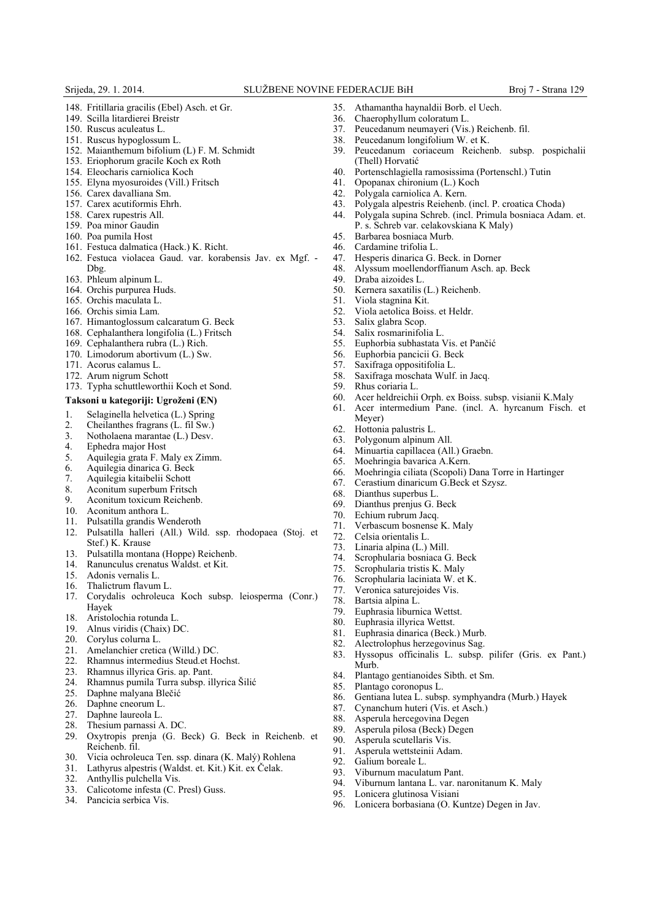- 148. Fritillaria gracilis (Ebel) Asch. et Gr.
- 149. Scilla litardierei Breistr
- 150. Ruscus aculeatus L.
- 151. Ruscus hypoglossum L.
- 152. Maianthemum bifolium (L) F. M. Schmidt
- 153. Eriophorum gracile Koch ex Roth
- 154. Eleocharis carniolica Koch
- 155. Elyna myosuroides (Vill.) Fritsch
- 156. Carex davalliana Sm.
- 157. Carex acutiformis Ehrh.
- 158. Carex rupestris All.
- 159. Poa minor Gaudin
- 160. Poa pumila Host
- 161. Festuca dalmatica (Hack.) K. Richt.
- 162. Festuca violacea Gaud. var. korabensis Jav. ex Mgf. Dbg.
- 163. Phleum alpinum L.
- 164. Orchis purpurea Huds.
- 165. Orchis maculata L.
- 166. Orchis simia Lam.
- 167. Himantoglossum calcaratum G. Beck
- 168. Cephalanthera longifolia (L.) Fritsch
- 169. Cephalanthera rubra (L.) Rich.
- 170. Limodorum abortivum (L.) Sw.
- 171. Acorus calamus L.
- 172. Arum nigrum Schott
- 173. Typha schuttleworthii Koch et Sond.
- **Taksoni u kategoriji: Ugroženi (EN)**

- 1. Selaginella helvetica (L.) Spring<br>
2. Cheilanthes fragrans (L. fil Sw.)
- 2. Cheilanthes fragrans  $(L, \text{fil Sw.})$ <br>3. Notholaena marantae  $(L)$  Desv.
- 3. Notholaena marantae (L.) Desv.<br>4. Enhedra maior Host 4. Ephedra major Host
- 5. Aquilegia grata F. Maly ex Zimm.
- 6. Aquilegia dinarica G. Beck
- 
- 7. Aquilegia kitaibelii Schott Aconitum superbum Fritsch
- 
- 9. Aconitum toxicum Reichenb.<br>10. Aconitum anthora L. Aconitum anthora L.
- 11. Pulsatilla grandis Wenderoth
- 12. Pulsatilla halleri (All.) Wild. ssp. rhodopaea (Stoj. et Stef.) K. Krause
- 13. Pulsatilla montana (Hoppe) Reichenb.
- 14. Ranunculus crenatus Waldst. et Kit.
- 15. Adonis vernalis L.
- 16. Thalictrum flavum L.
- 17. Corydalis ochroleuca Koch subsp. leiosperma (Conr.) Hayek
- 18. Aristolochia rotunda L.
- 19. Alnus viridis (Chaix) DC.
- 
- 20. Corylus colurna L.<br>21. Amelanchier cretic
- 21. Amelanchier cretica (Willd.) DC.<br>22. Rhamnus intermedius Steud.et Ho 22. Rhamnus intermedius Steud.et Hochst.
- 
- 23. Rhamnus illyrica Gris. ap. Pant.<br>24. Rhamnus pumila Turra subsp. il 24. Rhamnus pumila Turra subsp. illyrica Šilić
- 25. Daphne malyana Blečić<br>26. Daphne cneorum L
- Daphne cneorum L.
- 
- 27. Daphne laureola L.<br>28. Thesium parnassi A
- 28. Thesium parnassi A. DC.<br>29. Oxytropis prenja (G. E Oxytropis prenja (G. Beck) G. Beck in Reichenb. et Reichenb. fil.
- 30. Vicia ochroleuca Ten. ssp. dinara (K. Malý) Rohlena<br>31. Lathyrus alpestris (Waldst. et. Kit.) Kit. ex Čelak.
- Lathyrus alpestris (Waldst. et. Kit.) Kit. ex Čelak.
- 32. Anthyllis pulchella Vis.
- 33. Calicotome infesta (C. Presl) Guss.
- 34. Pancicia serbica Vis.
- 35. Athamantha haynaldii Borb. el Uech.
- 36. Chaerophyllum coloratum L.<br>37 Peucedanum neumaveri (Vis
- 37. Peucedanum neumayeri (Vis.) Reichenb. fil.<br>38. Peucedanum longifolium W. et K.
- Peucedanum longifolium W. et K.
- 39. Peucedanum coriaceum Reichenb. subsp. pospichalii (Thell) Horvatić
- 40. Portenschlagiella ramosissima (Portenschl.) Tutin 41. Opopanax chironium (L.) Koch
- 41. Opopanax chironium (L.) Koch
- 42. Polygala carniolica A. Kern.
- 43. Polygala alpestris Reiehenb. (incl. P. croatica Choda)
- 44. Polygala supina Schreb. (incl. Primula bosniaca Adam. et. P. s. Schreb var. celakovskiana K Maly)
- 45. Barbarea bosniaca Murb.<br>46 Cardamine trifolia L.
- 46. Cardamine trifolia L.<br>47. Hesperis dinarica G.
- 47. Hesperis dinarica G. Beck. in Dorner
- 48. Alyssum moellendorffianum Asch. ap. Beck
- 49. Draba aizoides L.<br>50. Kernera saxatilis
- Kernera saxatilis (L.) Reichenb.
- 51. Viola stagnina Kit.
- 52. Viola aetolica Boiss. et Heldr.
- 53. Salix glabra Scop.
- 
- 54. Salix rosmarinifolia L. 55. Euphorbia subhastata Vis. et Pančić<br>56. Euphorbia pancicii G. Beck
- 
- 56. Euphorbia pancicii G. Beck
- 57. Saxifraga oppositifolia L. Saxifraga moschata Wulf. in Jacq.
- 59. Rhus coriaria L.
- 60. Acer heldreichii Orph. ex Boiss. subsp. visianii K.Maly
- 61. Acer intermedium Pane. (incl. A. hyrcanum Fisch. et Meyer)

Hyssopus officinalis L. subsp. pilifer (Gris. ex Pant.)

86. Gentiana lutea L. subsp. symphyandra (Murb.) Hayek

94. Viburnum lantana L. var. naronitanum K. Maly

96. Lonicera borbasiana (O. Kuntze) Degen in Jav.

- 62. Hottonia palustris L.
- Polygonum alpinum All.
- 64. Minuartia capillacea (All.) Graebn.
- 65. Moehringia bavarica A.Kern.
- 66. Moehringia ciliata (Scopoli) Dana Torre in Hartinger
- 67. Cerastium dinaricum G.Beck et Szysz.

Verbascum bosnense K. Maly

- 
- 68. Dianthus superbus L. Dianthus prenjus G. Beck
- 70. Echium rubrum Jacq.

79. Euphrasia liburnica Wettst. 80. Euphrasia illyrica Wettst. 81. Euphrasia dinarica (Beck.) Murb. 82. Alectrolophus herzegovinus Sag.<br>83. Hyssonus officinalis L, subsp.

85. Plantago coronopus L.

90. Asperula scutellaris Vis.<br>91 Asperula wettsteinii Ada Asperula wettsteinii Adam.

93. Viburnum maculatum Pant.

Lonicera glutinosa Visiani

92. Galium boreale L.

84. Plantago gentianoides Sibth. et Sm.

87. Cynanchum huteri (Vis. et Asch.) 88. Asperula hercegovina Degen<br>89. Asperula pilosa (Beck) Degen Asperula pilosa (Beck) Degen

72. Celsia orientalis L.<br>73. Linaria alpina  $(L)$ Linaria alpina (L.) Mill. 74. Scrophularia bosniaca G. Beck Scrophularia tristis K. Maly 76. Scrophularia laciniata W. et K. 77. Veronica saturejoides Vis.

78. Bartsia alpina L.

Murb.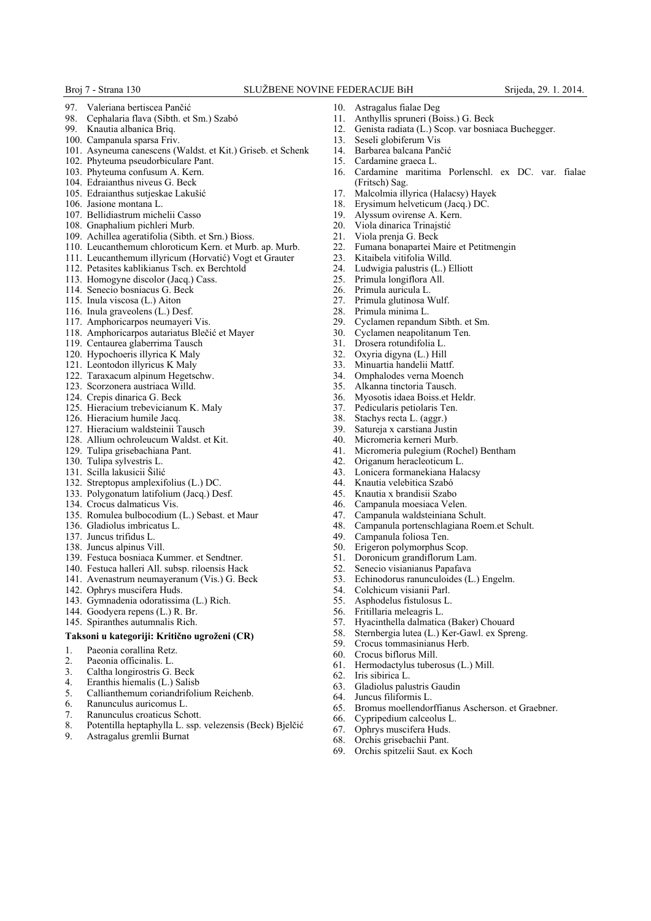- 97. Valeriana bertiscea Pančić<br>98. Cenhalaria flava (Sibth. et
- 98. Cephalaria flava (Sibth. et Sm.) Szabó
- Knautia albanica Brig.
- 100. Campanula sparsa Friv.
- 101. Asyneuma canescens (Waldst. et Kit.) Griseb. et Schenk
- 102. Phyteuma pseudorbiculare Pant.
- 103. Phyteuma confusum A. Kern.
- 104. Edraianthus niveus G. Beck 105. Edraianthus sutjeskae Lakušić
- 106. Jasione montana L.
- 107. Bellidiastrum michelii Casso
- 108. Gnaphalium pichleri Murb.
- 109. Achillea ageratifolia (Sibth. et Srn.) Bioss.
- 110. Leucanthemum chloroticum Kern. et Murb. ap. Murb.
- 111. Leucanthemum illyricum (Horvatić) Vogt et Grauter
- 112. Petasites kablikianus Tsch. ex Berchtold
- 113. Homogyne discolor (Jacq.) Cass.
- 114. Senecio bosniacus G. Beck
- 115. Inula viscosa (L.) Aiton
- 116. Inula graveolens (L.) Desf.
- 117. Amphoricarpos neumayeri Vis.
- 118. Amphoricarpos autariatus Blečić et Mayer
- 119. Centaurea glaberrima Tausch
- 120. Hypochoeris illyrica K Maly
- 121. Leontodon illyricus K Maly
- 122. Taraxacum alpinum Hegetschw.
- 123. Scorzonera austriaca Willd.
- 124. Crepis dinarica G. Beck
- 125. Hieracium trebevicianum K. Maly
- 126. Hieracium humile Jacq.
- 127. Hieracium waldsteinii Tausch
- 128. Allium ochroleucum Waldst. et Kit.
- 129. Tulipa grisebachiana Pant.
- 130. Tulipa sylvestris L.
- 131. Scilla lakusicii Šilić
- 132. Streptopus amplexifolius (L.) DC.
- 133. Polygonatum latifolium (Jacq.) Desf.
- 134. Crocus dalmaticus Vis.
- 135. Romulea bulbocodium (L.) Sebast. et Maur
- 136. Gladiolus imbricatus L.
- 137. Juncus trifidus L.
- 138. Juncus alpinus Vill.
- 139. Festuca bosniaca Kummer. et Sendtner.
- 140. Festuca halleri All. subsp. riloensis Hack
- 141. Avenastrum neumayeranum (Vis.) G. Beck
- 142. Ophrys muscifera Huds.
- 143. Gymnadenia odoratissima (L.) Rich.
- 144. Goodyera repens (L.) R. Br.
- 145. Spiranthes autumnalis Rich.

#### **Taksoni u kategoriji: Kritično ugroženi (CR)**

- 1. Paeonia corallina Retz.
- 2. Paeonia officinalis. L.
- 
- 3. Caltha longirostris G. Beck<br>4. Eranthis hiemalis (L.) Salis 4. Eranthis hiemalis (L.) Salisb
- 5. Callianthemum coriandrifolium Reichenb.<br>6. Ranunculus auricomus L.
- 6. Ranunculus auricomus L.
- 
- 7. Ranunculus croaticus Schott.<br>8. Potentilla heptaphylla L. ssp. 8. Potentilla heptaphylla L. ssp. velezensis (Beck) Bjelčić
- 9. Astragalus gremlii Burnat
- 10. Astragalus fialae Deg<br>11. Anthyllis spruneri (Be
- 11. Anthyllis spruneri (Boiss.) G. Beck
- 12. Genista radiata (L.) Scop. var bosniaca Buchegger.
- 13. Seseli globiferum Vis
- 14. Barbarea balcana Pančić
- 15. Cardamine graeca L.
- 16. Cardamine maritima Porlenschl. ex DC. var. fialae (Fritsch) Sag.
- 17. Malcolmia illyrica (Halacsy) Hayek
- 18. Erysimum helveticum (Jacq.) DC.
- 19. Alyssum ovirense A. Kern.<br>20. Viola dinarica Trinaistić
- 20. Viola dinarica Trinajstić<br>21. Viola prenja G. Beck
- 21. Viola prenja G. Beck<br>22. Fumana bonapartei M
- 22. Fumana bonapartei Maire et Petitmengin<br>23. Kitaibela vitifolia Willd.
- 23. Kitaibela vitifolia Willd.<br>24. Ludwigia palustris  $(L)$  I
- Ludwigia palustris (L.) Elliott
- 25. Primula longiflora All.<br>26 Primula auricula L
- Primula auricula L.
- 27. Primula glutinosa Wulf.<br>28. Primula minima L
- Primula minima L.
- 29. Cyclamen repandum Sibth. et Sm.
- 30. Cyclamen neapolitanum Ten.
- Drosera rotundifolia L.
- 32. Oxyria digyna (L.) Hill
- 33. Minuartia handelii Mattf.
- Omphalodes verna Moench
- 35. Alkanna tinctoria Tausch.
- 36. Myosotis idaea Boiss.et Heldr.
- 37. Pedicularis petiolaris Ten.<br>38. Stachys recta L (aggr)
- Stachys recta L. (aggr.)
- 39. Satureja x carstiana Justin<br>40 Micromeria kerneri Murb
- Micromeria kerneri Murb.
- 41. Micromeria pulegium (Rochel) Bentham
- 42. Origanum heracleoticum L.
- 43. Lonicera formanekiana Halacsy
- 44. Knautia velebitica Szabó
- 45. Knautia x brandisii Szabo

49. Campanula foliosa Ten. 50. Erigeron polymorphus Scop.<br>51. Doronicum grandiflorum La 51. Doronicum grandiflorum Lam.<br>52. Senecio visianianus Papafava 52. Senecio visianianus Papafava<br>53. Echinodorus ranunculoides (I

54. Colchicum visianii Parl. 55. Asphodelus fistulosus L. 56. Fritillaria meleagris L.

59. Crocus tommasinianus Herb.<br>60. Crocus biflorus Mill. 60. Crocus biflorus Mill.

66. Cypripedium calceolus L. 67. Ophrys muscifera Huds. 68. Orchis grisebachii Pant. 69. Orchis spitzelii Saut. ex Koch

Iris sibirica L. 63. Gladiolus palustris Gaudin 64. Juncus filiformis L.

61. Hermodactylus tuberosus (L.) Mill.<br>62. Iris sibirica L.

- Campanula moesiaca Velen.
- 47. Campanula waldsteiniana Schult.<br>48. Campanula portenschlagiana Roe
- 48. Campanula portenschlagiana Roem.et Schult.

53. Echinodorus ranunculoides (L.) Engelm.

65. Bromus moellendorffianus Ascherson. et Graebner.

57. Hyacinthella dalmatica (Baker) Chouard 58. Sternbergia lutea (L.) Ker-Gawl. ex Spreng.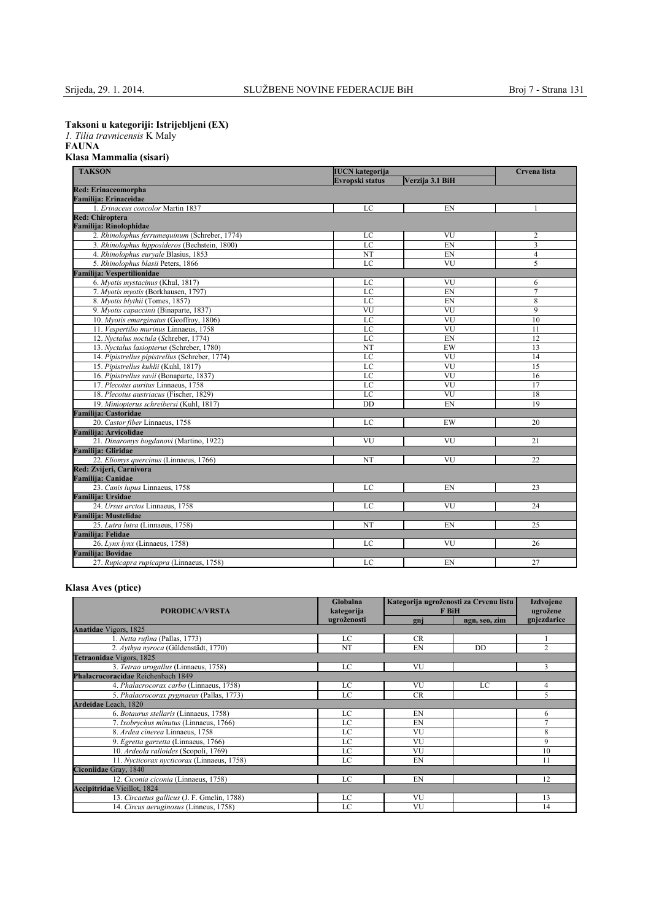**Taksoni u kategoriji: Istrijebljeni (EX)**

*1. Tilia travnicensis* K Maly

## **FAUNA Klasa Mammalia (sisari)**

| <b>TAKSON</b><br><b>IUCN</b> kategorija        |                 |                        | Crvena lista   |  |
|------------------------------------------------|-----------------|------------------------|----------------|--|
|                                                | Evropski status | Verzija 3.1 BiH        |                |  |
| <b>Red: Erinaceomorpha</b>                     |                 |                        |                |  |
| Familija: Erinaceidae                          |                 |                        |                |  |
| 1. Erinaceus concolor Martin 1837              | LC              | EN                     |                |  |
| <b>Red: Chiroptera</b>                         |                 |                        |                |  |
| Familija: Rinolophidae                         |                 |                        |                |  |
| 2. Rhinolophus ferrumequinum (Schreber, 1774)  | LC              | VU                     | $\overline{2}$ |  |
| 3. Rhinolophus hipposideros (Bechstein, 1800)  | LC              | EN                     | $\overline{3}$ |  |
| 4. Rhinolophus euryale Blasius, 1853           | NT              | EN                     | $\overline{4}$ |  |
| 5. Rhinolophus blasii Peters, 1866             | LC              | VU                     | 5              |  |
| Familija: Vespertilionidae                     |                 |                        |                |  |
| 6. Myotis mystacinus (Khul, 1817)              | LC              | VU                     | 6              |  |
| 7. Myotis myotis (Borkhausen, 1797)            | LC              | EN                     | $\overline{7}$ |  |
| 8. Myotis blythii (Tomes, 1857)                | LC              | EN                     | 8              |  |
| 9. Myotis capaccinii (Binaparte, 1837)         | VU              | VU                     | $\overline{9}$ |  |
| 10. Myotis emarginatus (Geoffroy, 1806)        | LC              | VU                     | 10             |  |
| 11. Vespertilio murinus Linnaeus, 1758         | LC              | VU                     | 11             |  |
| 12. Nyctalus noctula (Schreber, 1774)          | LC              | EN                     | 12             |  |
| 13. Nyctalus lasiopterus (Schreber, 1780)      | NT              | EW                     | 13             |  |
| 14. Pipistrellus pipistrellus (Schreber, 1774) | LC              | VU                     | 14             |  |
| 15. Pipistrellus kuhlii (Kuhl, 1817)           | LC              | VU                     | 15             |  |
| 16. Pipistrellus savii (Bonaparte, 1837)       | LC              | <b>VU</b>              | 16             |  |
| 17. Plecotus auritus Linnaeus, 1758            | LC              | VU                     | 17             |  |
| 18. Plecotus austriacus (Fischer, 1829)        | LC              | $\overline{\text{VU}}$ | 18             |  |
| 19. Miniopterus schreibersi (Kuhl, 1817)       | DD              | EN                     | 19             |  |
| <b>Familija: Castoridae</b>                    |                 |                        |                |  |
| 20. Castor fiber Linnaeus, 1758                | LC              | EW                     | 20             |  |
| Familija: Arvicolidae                          |                 |                        |                |  |
| 21. Dinaromys bogdanovi (Martino, 1922)        | VU              | <b>VU</b>              | 21             |  |
| <b>Familija: Gliridae</b>                      |                 |                        |                |  |
| 22. Eliomys quercinus (Linnaeus, 1766)         | NT              | VU                     | 22             |  |
| Red: Zvijeri, Carnivora                        |                 |                        |                |  |
| Familija: Canidae                              |                 |                        |                |  |
| 23. Canis lupus Linnaeus, 1758                 | LC              | EN                     | 23             |  |
| Familija: Ursidae                              |                 |                        |                |  |
| 24. Ursus arctos Linnaeus, 1758                | LC              | VU                     | 24             |  |
| <b>Familija: Mustelidae</b>                    |                 |                        |                |  |
| 25. Lutra lutra (Linnaeus, 1758)               | NT              | EN                     | 25             |  |
| <b>Familija: Felidae</b>                       |                 |                        |                |  |
| 26. Lynx lynx (Linnaeus, 1758)                 | LC              | VU                     | 26             |  |
| Familija: Bovidae                              |                 |                        |                |  |
| 27. Rupicapra rupicapra (Linnaeus, 1758)       | LC              | EN                     | 27             |  |

## **Klasa Aves (ptice)**

| <b>PORODICA/VRSTA</b>                       | Globalna<br>kategorija | Kategorija ugroženosti za Crvenu listu<br>F BiH |               | <b>Izdvojene</b><br>ugrožene |
|---------------------------------------------|------------------------|-------------------------------------------------|---------------|------------------------------|
|                                             | ugroženosti            | gnj                                             | ngn, seo, zim | gnjezdarice                  |
| <b>Anatidae Vigors</b> , 1825               |                        |                                                 |               |                              |
| 1. Netta rufina (Pallas, 1773)              | LC                     | <b>CR</b>                                       |               |                              |
| 2. Aythya nyroca (Güldenstädt, 1770)        | NT                     | EN                                              | DD            | $\overline{c}$               |
| Tetraonidae Vigors, 1825                    |                        |                                                 |               |                              |
| 3. Tetrao urogallus (Linnaeus, 1758)        | LC                     | VU                                              |               | 3                            |
| Phalacrocoracidae Reichenbach 1849          |                        |                                                 |               |                              |
| 4. Phalacrocorax carbo (Linnaeus, 1758)     | LC                     | VU                                              | LC            | $\overline{4}$               |
| 5. Phalacrocorax pygmaeus (Pallas, 1773)    | LC                     | <b>CR</b>                                       |               | 5                            |
| Ardeidae Leach, 1820                        |                        |                                                 |               |                              |
| 6. Botaurus stellaris (Linnaeus, 1758)      | LC                     | EN                                              |               | 6                            |
| 7. Ixobrychus minutus (Linnaeus, 1766)      | LC                     | EN                                              |               | $\tau$                       |
| 8. Ardea cinerea Linnaeus, 1758             | LC                     | VU                                              |               | 8                            |
| 9. Egretta garzetta (Linnaeus, 1766)        | LC                     | VU                                              |               | 9                            |
| 10. Ardeola ralloides (Scopoli, 1769)       | LC                     | VU                                              |               | 10                           |
| 11. Nycticorax nycticorax (Linnaeus, 1758)  | LC                     | EN                                              |               | 11                           |
| Ciconiidae Gray, 1840                       |                        |                                                 |               |                              |
| 12. Ciconia ciconia (Linnaeus, 1758)        | LC                     | EN                                              |               | 12                           |
| <b>Accipitridae Vieillot</b> , 1824         |                        |                                                 |               |                              |
| 13. Circaetus gallicus (J. F. Gmelin, 1788) | LC                     | VU                                              |               | 13                           |
| 14. Circus aeruginosus (Linneus, 1758)      | LC                     | VU                                              |               | 14                           |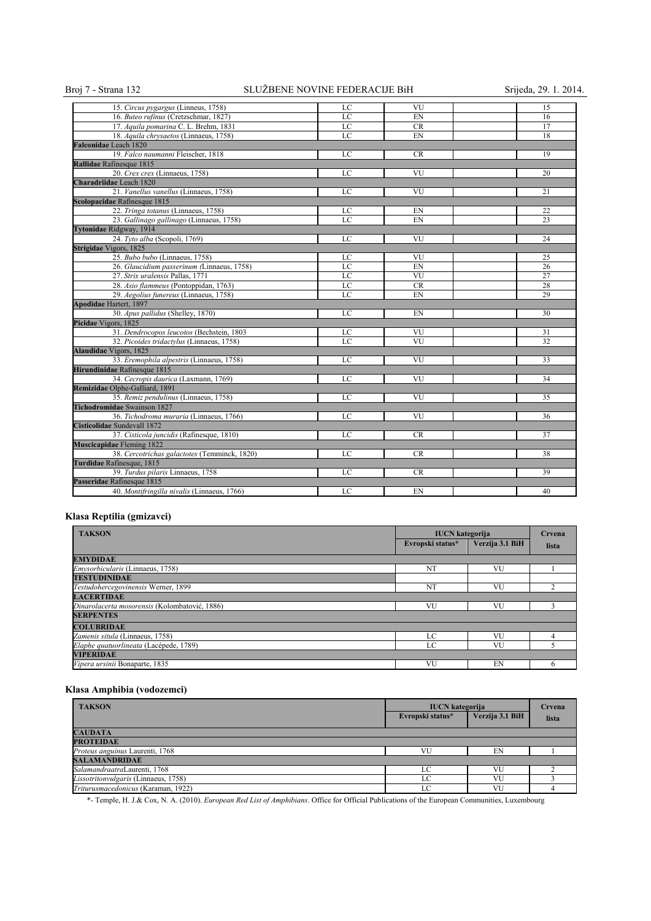## Broj 7 - Strana 132 SLUŽBENE NOVINE FEDERACIJE BiH Srijeda, 29. 1. 2014.

| 15. Circus pygargus (Linneus, 1758)          | LC | VU        | 15 |
|----------------------------------------------|----|-----------|----|
| 16. Buteo rufinus (Cretzschmar, 1827)        | LC | EN        | 16 |
| 17. Aquila pomarina C. L. Brehm, 1831        | LC | <b>CR</b> | 17 |
| 18. Aquila chrysaetos (Linnaeus, 1758)       | LC | EN        | 18 |
| Falconidae Leach 1820                        |    |           |    |
| 19. Falco naumanni Fleischer, 1818           | LC | <b>CR</b> | 19 |
| Rallidae Rafinesque 1815                     |    |           |    |
| 20. Crex crex (Linnaeus, 1758)               | LC | VU        | 20 |
| Charadriidae Leach 1820                      |    |           |    |
| 21. Vanellus vanellus (Linnaeus, 1758)       | LC | VU        | 21 |
| Scolopacidae Rafinesque 1815                 |    |           |    |
| 22. Tringa totanus (Linnaeus, 1758)          | LC | EN        | 22 |
| 23. Gallinago gallinago (Linnaeus, 1758)     | LC | EN        | 23 |
| Tytonidae Ridgway, 1914                      |    |           |    |
| 24. Tyto alba (Scopoli, 1769)                | LC | VU        | 24 |
| Strigidae Vigors, 1825                       |    |           |    |
| 25. Bubo bubo (Linnaeus, 1758)               | LC | VU        | 25 |
| 26. Glaucidium passerinum (Linnaeus, 1758)   | LC | EN        | 26 |
| 27. Strix uralensis Pallas, 1771             | LC | VU        | 27 |
| 28. Asio flammeus (Pontoppidan, 1763)        | LC | CR        | 28 |
| 29. Aegolius funereus (Linnaeus, 1758)       | LC | EN        | 29 |
| <b>Apodidae Hartert, 1897</b>                |    |           |    |
| 30. Apus pallidus (Shelley, 1870)            | LC | EN        | 30 |
| Picidae Vigors, 1825                         |    |           |    |
| 31. Dendrocopos leucotos (Bechstein, 1803    | LC | VU        | 31 |
| 32. Picoides tridactylus (Linnaeus, 1758)    | LC | VU        | 32 |
| <b>Alaudidae</b> Vigors, 1825                |    |           |    |
| 33. Eremophila alpestris (Linnaeus, 1758)    | LC | VU        | 33 |
| Hirundinidae Rafinesque 1815                 |    |           |    |
| 34. Cecropis daurica (Laxmann, 1769)         | LC | VU        | 34 |
| Remizidae Olphe-Galliard, 1891               |    |           |    |
| 35. Remiz pendulinus (Linnaeus, 1758)        | LC | VU        | 35 |
| <b>Tichodromidae</b> Swainson 1827           |    |           |    |
| 36. Tichodroma muraria (Linnaeus, 1766)      | LC | VU        | 36 |
| Cisticolidae Sundevall 1872                  |    |           |    |
| 37. Cisticola juncidis (Rafinesque, 1810)    | LC | <b>CR</b> | 37 |
| <b>Muscicapidae</b> Fleming 1822             |    |           |    |
| 38. Cercotrichas galactotes (Temminck, 1820) | LC | <b>CR</b> | 38 |
| Turdidae Rafinesque, 1815                    |    |           |    |
| 39. Turdus pilaris Linnaeus, 1758            | LC | <b>CR</b> | 39 |
| Passeridae Rafinesque 1815                   |    |           |    |
| 40. Montifringilla nivalis (Linnaeus, 1766)  | LC | EN        | 40 |

## **Klasa Reptilia (gmizavci)**

| <b>TAKSON</b>                                 | <b>IUCN</b> kategorija |                 | Crvena |
|-----------------------------------------------|------------------------|-----------------|--------|
|                                               | Evropski status*       | Verzija 3.1 BiH | lista  |
| <b>EMYDIDAE</b>                               |                        |                 |        |
| <i>Emysorbicularis</i> (Linnaeus, 1758)       | NT                     | VU              |        |
| <b>TESTUDINIDAE</b>                           |                        |                 |        |
| Testudohercegovinensis Werner, 1899           | NT                     | VU              |        |
| <b>LACERTIDAE</b>                             |                        |                 |        |
| Dinarolacerta mosorensis (Kolombatović, 1886) | VU                     | VU              |        |
| <b>SERPENTES</b>                              |                        |                 |        |
| <b>COLUBRIDAE</b>                             |                        |                 |        |
| Zamenis situla (Linnaeus, 1758)               | LC                     | VU              |        |
| Elaphe quatuorlineata (Lacépede, 1789)        | LC                     | VU              |        |
| <b>VIPERIDAE</b>                              |                        |                 |        |
| Vipera ursinii Bonaparte, 1835                | VU                     | EN              | n      |

## **Klasa Amphibia (vodozemci)**

| <b>TAKSON</b>                        | <b>IUCN</b> kategorija |                 | Crvena |
|--------------------------------------|------------------------|-----------------|--------|
|                                      | Evropski status*       | Verzija 3.1 BiH | lista  |
| <b>CAUDATA</b>                       |                        |                 |        |
| <b>PROTEIDAE</b>                     |                        |                 |        |
| Proteus anguinus Laurenti, 1768      | VU                     | EN              |        |
| <b>SALAMANDRIDAE</b>                 |                        |                 |        |
| SalamandraatraLaurenti, 1768         | LC                     | VU              |        |
| Lissotritonvulgaris (Linnaeus, 1758) | LC                     | VU              |        |
| Triturusmacedonicus (Karaman, 1922)  | LC                     | VU              |        |

\*- Temple, H. J.& Cox, N. A. (2010). *European Red List of Amphibians*. Office for Official Publications of the European Communities, Luxembourg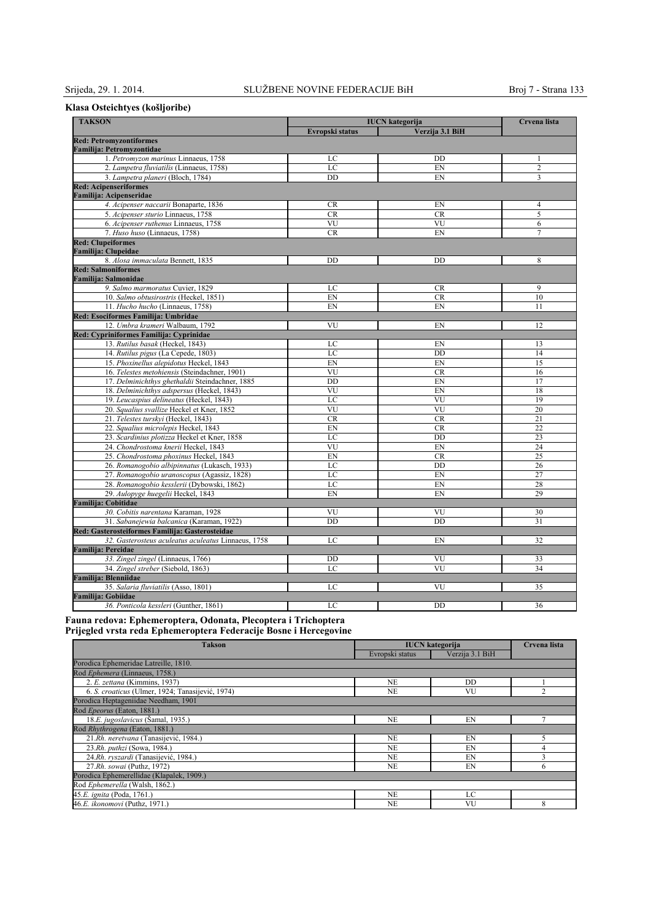## **Klasa Osteichtyes (košljoribe)**

| <b>TAKSON</b>                                               | <b>IUCN</b> kategorija |                 |                |
|-------------------------------------------------------------|------------------------|-----------------|----------------|
|                                                             | Evropski status        | Verzija 3.1 BiH | Crvena lista   |
| <b>Red: Petromyzontiformes</b><br>Familija: Petromyzontidae |                        |                 |                |
| 1. Petromyzon marinus Linnaeus, 1758                        | LC                     | DD              | $\mathbf{1}$   |
| 2. Lampetra fluviatilis (Linnaeus, 1758)                    | LC                     | EN              | $\overline{2}$ |
| 3. Lampetra planeri (Bloch, 1784)                           | DD                     | EN              | 3              |
| <b>Red: Acipenseriformes</b>                                |                        |                 |                |
| Familija: Acipenseridae                                     |                        |                 |                |
| 4. Acipenser naccarii Bonaparte, 1836                       | <b>CR</b>              | EN              | $\overline{4}$ |
| 5. Acipenser sturio Linnaeus, 1758                          | <b>CR</b>              | <b>CR</b>       | 5              |
| 6. Acipenser ruthenus Linnaeus, 1758                        | VU                     | VU              | 6              |
| 7. Huso huso (Linnaeus, 1758)                               | CR                     | EN              | 7              |
| <b>Red: Clupeiformes</b><br><b>Familija: Clupeidae</b>      |                        |                 |                |
| 8. Alosa immaculata Bennett, 1835                           | DD                     | DD              | 8              |
| <b>Red: Salmoniformes</b>                                   |                        |                 |                |
| <b>Familija: Salmonidae</b>                                 |                        |                 |                |
| 9. Salmo marmoratus Cuvier, 1829                            | LC                     | <b>CR</b>       | 9              |
| 10. Salmo obtusirostris (Heckel, 1851)                      | EN                     | <b>CR</b>       | 10             |
| 11. Hucho hucho (Linnaeus, 1758)                            | EN                     | EN              | 11             |
| Red: Esociformes Familija: Umbridae                         |                        |                 |                |
| 12. Umbra krameri Walbaum, 1792                             | VU                     | EN              | 12             |
| Red: Cypriniformes Familija: Cyprinidae                     |                        |                 |                |
| 13. Rutilus basak (Heckel, 1843)                            | LC                     | EN              | 13             |
| 14. Rutilus pigus (La Cepede, 1803)                         | LC                     | DD              | 14             |
| 15. Phoxinellus alepidotus Heckel, 1843                     | EN                     | EN              | 15             |
| 16. Telestes metohiensis (Steindachner, 1901)               | VU                     | <b>CR</b>       | 16             |
| 17. Delminichthys ghethaldii Steindachner, 1885             | DD                     | EN              | 17             |
| 18. Delminichthys adspersus (Heckel, 1843)                  | VU                     | EN              | 18             |
| 19. Leucaspius delineatus (Heckel, 1843)                    | LC                     | VU              | 19             |
| 20. Squalius svallize Heckel et Kner, 1852                  | VU                     | VU              | 20             |
| 21. Telestes turskyi (Heckel, 1843)                         | <b>CR</b>              | CR              | 21             |
| 22. Squalius microlepis Heckel, 1843                        | EN                     | <b>CR</b>       | 22             |
| 23. Scardinius plotizza Heckel et Kner, 1858                | LC                     | DD              | 23             |
| 24. Chondrostoma knerii Heckel, 1843                        | VU                     | EN              | 24             |
| 25. Chondrostoma phoxinus Heckel, 1843                      | EN                     | <b>CR</b>       | 25             |
| 26. Romanogobio albipinnatus (Lukasch, 1933)                | LC                     | DD              | 26             |
| 27. Romanogobio uranoscopus (Agassiz, 1828)                 | LC                     | EN              | 27             |
| 28. Romanogobio kesslerii (Dybowski, 1862)                  | LC                     | EN              | 28             |
| 29. Aulopyge huegelii Heckel, 1843                          | EN                     | EN              | 29             |
| Familija: Cobitidae                                         |                        |                 |                |
| 30. Cobitis narentana Karaman, 1928                         | VU                     | VU              | 30             |
| 31. Sabanejewia balcanica (Karaman, 1922)                   | DD                     | <b>DD</b>       | 31             |
| Red: Gasterosteiformes Familija: Gasterosteidae             |                        |                 |                |
| 32. Gasterosteus aculeatus aculeatus Linnaeus, 1758         | LC                     | EN              | 32             |
| <b>Familija: Percidae</b>                                   |                        |                 |                |
| 33. Zingel zingel (Linnaeus, 1766)                          | DD                     | VU              | 33             |
| 34. Zingel streber (Siebold, 1863)                          | LC                     | VU              | 34             |
| <b>Familija: Blenniidae</b>                                 |                        |                 |                |
| 35. Salaria fluviatilis (Asso, 1801)                        | LC                     | VU              | 35             |
| <b>Familija: Gobiidae</b>                                   |                        |                 |                |
| 36. Ponticola kessleri (Gunther, 1861)                      | LC                     | DD              | 36             |

**Fauna redova: Ephemeroptera, Odonata, Plecoptera i Trichoptera Prijegled vrsta reda Ephemeroptera Federacije Bosne i Hercegovine** 

| <b>Takson</b>                                    | <b>IUCN</b> kategorija |                 | Crvena lista |
|--------------------------------------------------|------------------------|-----------------|--------------|
|                                                  | Evropski status        | Verzija 3.1 BiH |              |
| Porodica Ephemeridae Latreille, 1810.            |                        |                 |              |
| Rod Ephemera (Linnaeus, 1758.)                   |                        |                 |              |
| 2. E. zettana (Kimmins, 1937)                    | NE                     | <b>DD</b>       |              |
| 6. S. croaticus (Ulmer, 1924; Tanasijević, 1974) | <b>NE</b>              | VU              | C            |
| Porodica Heptageniidae Needham, 1901             |                        |                 |              |
| Rod Epeorus (Eaton, 1881.)                       |                        |                 |              |
| 18.E. jugoslavicus (Šamal, 1935.)                | <b>NE</b>              | EN              |              |
| Rod Rhythrogena (Eaton, 1881.)                   |                        |                 |              |
| 21.Rh. neretvana (Tanasijević, 1984.)            | <b>NE</b>              | EN              |              |
| 23.Rh. puthzi (Sowa, 1984.)                      | <b>NE</b>              | EN              | 4            |
| 24.Rh. ryszardi (Tanasijević, 1984.)             | <b>NE</b>              | EN              |              |
| 27.Rh. sowai (Puthz, 1972)                       | <b>NE</b>              | EN              | <sub>(</sub> |
| Porodica Ephemerellidae (Klapalek, 1909.)        |                        |                 |              |
| Rod Ephemerella (Walsh, 1862.)                   |                        |                 |              |
| 45.E. ignita (Poda, 1761.)                       | <b>NE</b>              | LC              |              |
| 46.E. ikonomovi (Puthz, 1971.)                   | <b>NE</b>              | VU              | 8            |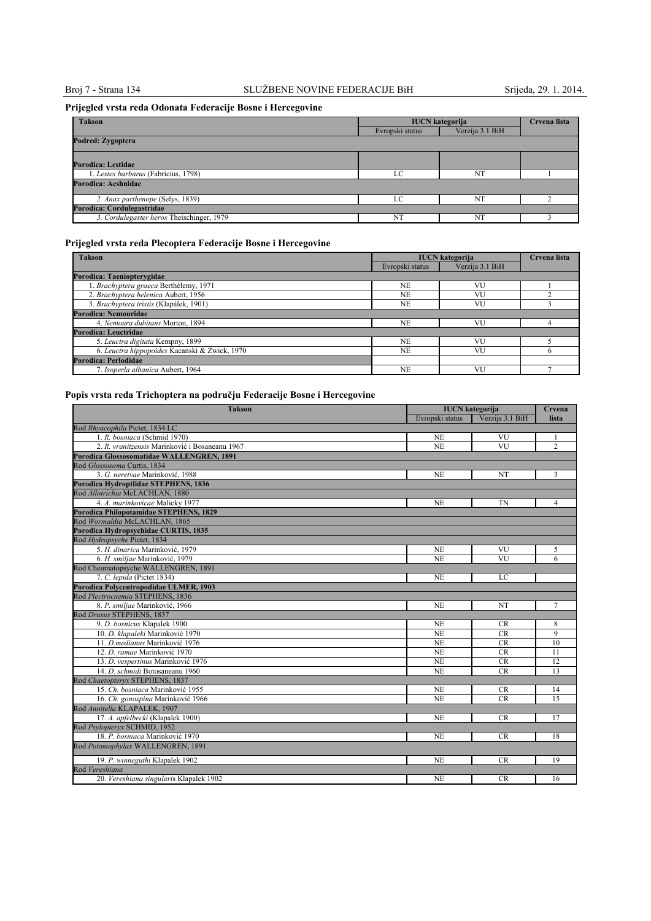## Broj 7 - Strana 134 SLUŽBENE NOVINE FEDERACIJE BiH Srijeda, 29. 1. 2014.

## **Prijegled vrsta reda Odonata Federacije Bosne i Hercegovine**

| <b>Takson</b>                             | <b>IUCN</b> kategorija | Crvena lista    |  |
|-------------------------------------------|------------------------|-----------------|--|
|                                           | Evropski status        | Verzija 3.1 BiH |  |
| Podred: Zygoptera                         |                        |                 |  |
|                                           |                        |                 |  |
| Porodica: Lestidae                        |                        |                 |  |
| 1. Lestes barbarus (Fabricius, 1798)      | LC                     | NT              |  |
| Porodica: Aeshnidae                       |                        |                 |  |
| 2. Anax parthenope (Selys, 1839)          | ιC                     | NT              |  |
| Porodica: Cordulegastridae                |                        |                 |  |
| 3. Cordulegaster heros Theischinger, 1979 | NT                     | NT              |  |

## **Prijegled vrsta reda Plecoptera Federacije Bosne i Hercegovine**

| <b>Takson</b>                                 | <b>IUCN</b> kategorija |                 | Crvena lista |
|-----------------------------------------------|------------------------|-----------------|--------------|
|                                               | Evropski status        | Verzija 3.1 BiH |              |
| Porodica: Taenioptervgidae                    |                        |                 |              |
| 1. Brachyptera graeca Berthélemy, 1971        | NE                     | VU              |              |
| 2. Brachyptera helenica Aubert, 1956          | <b>NE</b>              | VU              |              |
| 3. Brachyptera tristis (Klapálek, 1901)       | <b>NE</b>              | VU              |              |
| Porodica: Nemouridae                          |                        |                 |              |
| 4. Nemoura dubitans Morton, 1894              | <b>NE</b>              | <b>VU</b>       |              |
| Porodica: Leuctridae                          |                        |                 |              |
| 5. Leuctra digitata Kempny, 1899              | NE.                    | VU              |              |
| 6. Leuctra hippopoides Kacanski & Zwick, 1970 | <b>NE</b>              | VU              | n            |
| Porodica: Perlodidae                          |                        |                 |              |
| 7. Isoperla albanica Aubert, 1964             | NF.                    | VU              |              |

## **Popis vrsta reda Trichoptera na području Federacije Bosne i Hercegovine**

| <b>Takson</b>                                  | <b>IUCN</b> kategorija |                 | Crvena          |
|------------------------------------------------|------------------------|-----------------|-----------------|
|                                                | Evropski status        | Verzija 3.1 BiH | lista           |
| Rod Rhyacophila Pictet, 1834 LC                |                        |                 |                 |
| 1. R. bosniaca (Schmid 1970)                   | <b>NE</b>              | VU              | 1               |
| 2. R. vranitzensis Marinković i Bosaneanu 1967 | <b>NE</b>              | VU              | $\overline{c}$  |
| Porodica Glossosomatidae WALLENGREN, 1891      |                        |                 |                 |
| Rod Glossosoma Curtis, 1834                    |                        |                 |                 |
| 3. G. neretvae Marinković, 1988                | <b>NE</b>              | NT              | 3               |
| Porodica Hydroptlidae STEPHENS, 1836           |                        |                 |                 |
| Rod Allotrichia McLACHLAN, 1880                |                        |                 |                 |
| 4. A. marinkovicae Malicky 1977                | <b>NE</b>              | <b>TN</b>       | $\overline{4}$  |
| Porodica Philopotamidae STEPHENS, 1829         |                        |                 |                 |
| Rod Wormaldia McLACHLAN, 1865                  |                        |                 |                 |
| Porodica Hydropsychidae CURTIS, 1835           |                        |                 |                 |
| Rod Hydropsyche Pictet, 1834                   |                        |                 |                 |
| 5. H. dinarica Marinković, 1979                | <b>NE</b>              | VU              | 5               |
| 6. H. smiliae Marinković, 1979                 | N <sub>E</sub>         | VU              | 6               |
| Rod Cheumatopsyche WALLENGREN, 1891            |                        |                 |                 |
| 7. C. lepida (Pictet 1834)                     | <b>NE</b>              | LC              |                 |
| Porodica Polycentropodidae ULMER, 1903         |                        |                 |                 |
| Rod Plectrocnemia STEPHENS, 1836               |                        |                 |                 |
| 8. P. smiljae Marinković, 1966                 | <b>NE</b>              | NT              | 7               |
| Rod Drusus STEPHENS, 1837                      |                        |                 |                 |
| 9. D. bosnicus Klapalek 1900                   | <b>NE</b>              | <b>CR</b>       | 8               |
| 10. D. klapaleki Marinković 1970               | NE                     | <b>CR</b>       | 9               |
| 11. D. medianus Marinković 1976                | <b>NE</b>              | <b>CR</b>       | 10              |
| 12. D. ramae Marinković 1970                   | <b>NE</b>              | CR              | 11              |
| 13. D. vespertinus Marinković 1976             | NE                     | <b>CR</b>       | 12              |
| 14. D. schmidi Botosaneanu 1960                | <b>NE</b>              | <b>CR</b>       | 13              |
| Rod Chaetoptervx STEPHENS, 1837                |                        |                 |                 |
| 15. Ch. bosniaca Marinković 1955               | <b>NE</b>              | CR              | 14              |
| 16. Ch. gonospina Marinković 1966              | <b>NE</b>              | CR              | $\overline{15}$ |
| Rod Annitella KLAPALEK, 1907                   |                        |                 |                 |
| 17. A. apfelbecki (Klapalek 1900)              | <b>NE</b>              | <b>CR</b>       | 17              |
| Rod Psylopteryx SCHMID, 1952                   |                        |                 |                 |
| 18. P. bosniaca Marinković 1970                | <b>NE</b>              | CR              | 18              |
| Rod Potamophylax WALLENGREN, 1891              |                        |                 |                 |
| 19. P. winneguthi Klapalek 1902                | <b>NE</b>              | CR              | 19              |
| Rod Vereshiana                                 |                        |                 |                 |
| 20. Vereshiana singularis Klapalek 1902        | <b>NE</b>              | CR              | 16              |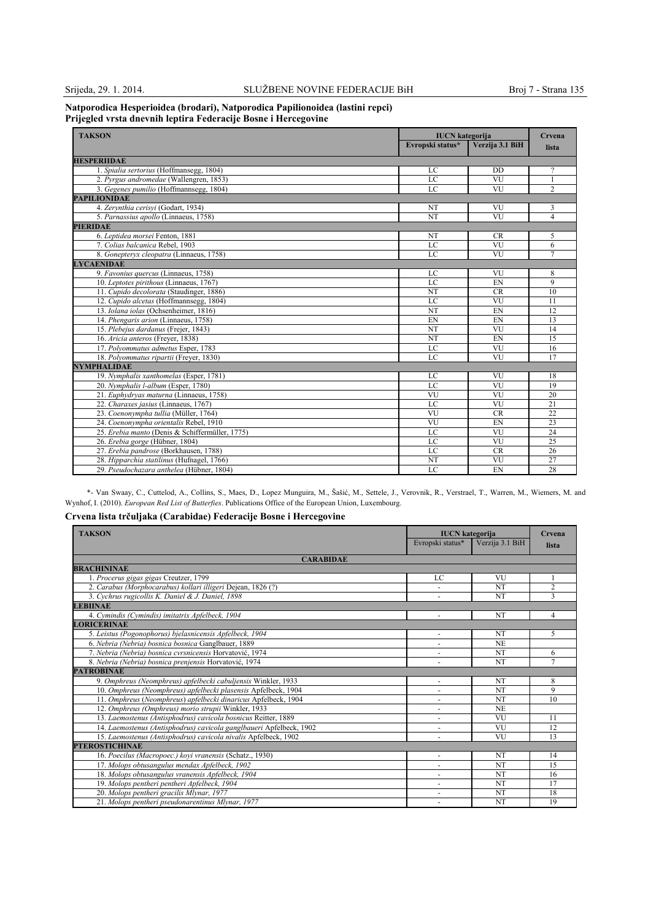#### **Natporodica Hesperioidea (brodari), Natporodica Papilionoidea (lastini repci) Prijegled vrsta dnevnih leptira Federacijе Bosne i Hercegovine**

| <b>TAKSON</b>                                   | <b>IUCN</b> kategorija<br>Evropski status* | Verzija 3.1 BiH | Crvena          |
|-------------------------------------------------|--------------------------------------------|-----------------|-----------------|
|                                                 |                                            |                 | lista           |
| <b>HESPERIIDAE</b>                              |                                            |                 |                 |
| 1. Spialia sertorius (Hoffmansegg, 1804)        | LC                                         | <b>DD</b>       | ?               |
| 2. Pyrgus andromedae (Wallengren, 1853)         | LC                                         | VU              |                 |
| 3. Gegenes pumilio (Hoffmannsegg, 1804)         | LC                                         | VU              | $\overline{2}$  |
| <b>PAPILIONIDAE</b>                             |                                            |                 |                 |
| 4. Zervnthia cerisvi (Godart, 1934)             | NT                                         | VU              | 3               |
| 5. Parnassius apollo (Linnaeus, 1758)           | <b>NT</b>                                  | VU              | 4               |
| <b>PIERIDAE</b>                                 |                                            |                 |                 |
| 6. Leptidea morsei Fenton, 1881                 | NT                                         | CR              | 5               |
| 7. Colias balcanica Rebel, 1903                 | LC                                         | VU              | 6               |
| 8. Gonepteryx cleopatra (Linnaeus, 1758)        | LC                                         | VU              | $\overline{7}$  |
| <b>LYCAENIDAE</b>                               |                                            |                 |                 |
| 9. Favonius quercus (Linnaeus, 1758)            | LC                                         | VU              | 8               |
| 10. Leptotes pirithous (Linnaeus, 1767)         | LC                                         | EN              | 9               |
| 11. Cupido decolorata (Staudinger, 1886)        | NT                                         | <b>CR</b>       | 10              |
| 12. Cupido alcetas (Hoffmannsegg, 1804)         | LC                                         | VU              | 11              |
| 13. Iolana iolas (Ochsenheimer, 1816)           | NT                                         | EN              | 12              |
| 14. Phengaris arion (Linnaeus, 1758)            | EN                                         | EN              | 13              |
| 15. Plebejus dardanus (Frejer, 1843)            | NT                                         | VU              | 14              |
| 16. Aricia anteros (Freyer, 1838)               | NT                                         | EN              | 15              |
| 17. Polyommatus admetus Esper, 1783             | LC                                         | VU              | 16              |
| 18. Polyommatus ripartii (Freyer, 1830)         | LC                                         | VU              | 17              |
| <b>NYMPHALIDAE</b>                              |                                            |                 |                 |
| 19. Nymphalis xanthomelas (Esper, 1781)         | LC                                         | VU              | 18              |
| 20. Nymphalis l-album (Esper, 1780)             | LC                                         | VU              | 19              |
| 21. Euphydryas maturna (Linnaeus, 1758)         | VU                                         | VU              | 20              |
| 22. Charaxes jasius (Linnaeus, 1767)            | LC                                         | VU              | 21              |
| 23. Coenonympha tullia (Müller, 1764)           | VU                                         | <b>CR</b>       | 22              |
| 24. Coenonympha orientalis Rebel, 1910          | VU                                         | EN              | $\overline{23}$ |
| 25. Erebia manto (Denis & Schiffermüller, 1775) | $_{\rm LC}$                                | VU              | 24              |
| 26. Erebia gorge (Hübner, 1804)                 | LC                                         | VU              | 25              |
| 27. Erebia pandrose (Borkhausen, 1788)          | LC                                         | <b>CR</b>       | 26              |
| 28. Hipparchia statilinus (Hufnagel, 1766)      | NT                                         | VU              | 27              |
| 29. Pseudochazara anthelea (Hübner, 1804)       | LC                                         | EN              | 28              |

\*- Van Swaay, C., Cuttelod, A., Collins, S., Maes, D., Lopez Munguira, M., Šašić, M., Settele, J., Verovnik, R., Verstrael, T., Warren, M., Wiemers, M. and Wynhof, I. (2010). *European Red List of Butterfies*. Publications Office of the European Union, Luxembourg.

## **Crvena lista trčuljaka (Carabidae) Federacije Bosne i Hercegovine**

| <b>TAKSON</b>                                                       | <b>IUCN</b> kategorija   |                 | Crvena         |
|---------------------------------------------------------------------|--------------------------|-----------------|----------------|
|                                                                     | Evropski status*         | Verzija 3.1 BiH | lista          |
| <b>CARABIDAE</b>                                                    |                          |                 |                |
| <b>BRACHININAE</b>                                                  |                          |                 |                |
| 1. Procerus gigas gigas Creutzer, 1799                              | LC                       | <b>VU</b>       |                |
| 2. Carabus (Morphocarabus) kollari illigeri Dejean, 1826 (?)        |                          | NT              | $\overline{2}$ |
| 3. Cychrus rugicollis K. Daniel & J. Daniel, 1898                   |                          | NT              | $\mathbf{3}$   |
| <b>LEBIINAE</b>                                                     |                          |                 |                |
| 4. Cymindis (Cymindis) imitatrix Apfelbeck, 1904                    |                          | <b>NT</b>       | 4              |
| <b>LORICERINAE</b>                                                  |                          |                 |                |
| 5. Leistus (Pogonophorus) bjelasnicensis Apfelbeck, 1904            |                          | NT              | 5              |
| 6. Nebria (Nebria) bosnica bosnica Ganglbauer, 1889                 |                          | N <sub>E</sub>  |                |
| 7. Nebria (Nebria) bosnica cvrsnicensis Horvatović, 1974            |                          | NT              | 6              |
| 8. Nebria (Nebria) bosnica prenjensis Horvatović, 1974              | $\ddot{\phantom{1}}$     | NT              | 7              |
| <b>PATROBINAE</b>                                                   |                          |                 |                |
| 9. Omphreus (Neomphreus) apfelbecki cabuljensis Winkler, 1933       |                          | NT              | 8              |
| 10. Omphreus (Neomphreus) apfelbecki plasensis Apfelbeck, 1904      |                          | NT              | 9              |
| 11. Omphreus (Neomphreus) apfelbecki dinaricus Apfelbeck, 1904      | ٠                        | NT              | 10             |
| 12. Omphreus (Omphreus) morio strupii Winkler, 1933                 |                          | <b>NE</b>       |                |
| 13. Laemostenus (Antisphodrus) cavicola bosnicus Reitter, 1889      | ٠                        | VU              | 11             |
| 14. Laemostenus (Antisphodrus) cavicola ganglbaueri Apfelbeck, 1902 |                          | VU              | 12             |
| 15. Laemostenus (Antisphodrus) cavicola nivalis Apfelbeck, 1902     | $\overline{\phantom{a}}$ | VU              | 13             |
| <b>PTEROSTICHINAE</b>                                               |                          |                 |                |
| 16. Poecilus (Macropoec.) kovi vranensis (Schatz., 1930)            | ٠                        | NT              | 14             |
| 17. Molops obtusangulus mendax Apfelbeck, 1902                      |                          | NT              | 15             |
| 18. Molops obtusangulus vranensis Apfelbeck, 1904                   | ٠                        | <b>NT</b>       | 16             |
| 19. Molops pentheri pentheri Apfelbeck, 1904                        |                          | NT              | 17             |
| 20. Molops pentheri gracilis Mlynar, 1977                           | ٠                        | NT              | 18             |
| 21. Molops pentheri pseudonarentinus Mlynar, 1977                   |                          | <b>NT</b>       | 19             |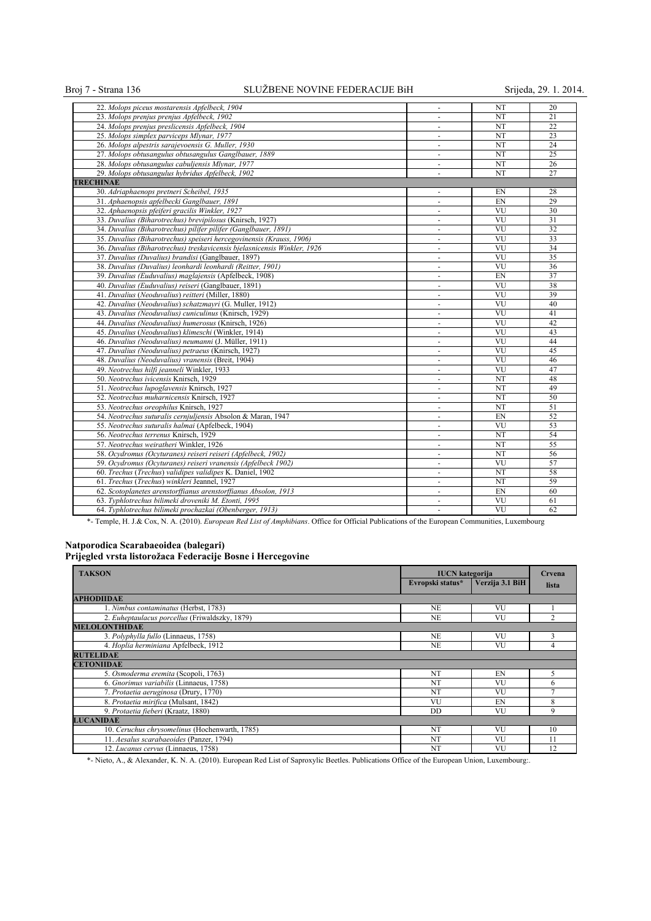## Broj 7 - Strana 136 SLUŽBENE NOVINE FEDERACIJE BiH Srijeda, 29. 1. 2014.

| 22. Molops piceus mostarensis Apfelbeck, 1904                            |                          | NT                     | 20              |
|--------------------------------------------------------------------------|--------------------------|------------------------|-----------------|
| 23. Molops prenjus prenjus Apfelbeck, 1902                               | $\blacksquare$           | NT                     | 21              |
| 24. Molops prenjus preslicensis Apfelbeck, 1904                          | $\overline{\phantom{a}}$ | <b>NT</b>              | 22              |
| 25. Molops simplex parviceps Mlynar, 1977                                | $\blacksquare$           | NT                     | 23              |
| 26. Molops alpestris sarajevoensis G. Muller, 1930                       | $\blacksquare$           | NT                     | 24              |
| 27. Molops obtusangulus obtusangulus Ganglbauer, 1889                    | $\blacksquare$           | NT                     | $\overline{25}$ |
| 28. Molops obtusangulus cabuljensis Mlynar, 1977                         | $\sim$                   | NT                     | 26              |
| 29. Molops obtusangulus hybridus Apfelbeck, 1902                         | $\blacksquare$           | NT                     | 27              |
| <b>TRECHINAE</b>                                                         |                          |                        |                 |
| 30. Adriaphaenops pretneri Scheibel, 1935                                | $\blacksquare$           | EN                     | 28              |
| 31. Aphaenopsis apfelbecki Ganglbauer, 1891                              | $\blacksquare$           | EN                     | 29              |
|                                                                          |                          | VU                     | 30              |
| 32. Aphaenopsis pfeiferi gracilis Winkler, 1927                          | $\overline{\phantom{a}}$ | VU                     | 31              |
| 33. Duvalius (Biharotrechus) brevipilosus (Knirsch, 1927)                | $\blacksquare$           |                        |                 |
| 34. Duvalius (Biharotrechus) pilifer pilifer (Ganglbauer, 1891)          | $\blacksquare$           | VU<br>VU               | 32              |
| 35. Duvalius (Biharotrechus) speiseri hercegovinensis (Krauss, 1906)     | $\overline{\phantom{a}}$ |                        | 33              |
| 36. Duvalius (Biharotrechus) treskavicensis bjelasnicensis Winkler, 1926 | $\blacksquare$           | VU                     | 34              |
| 37. Duvalius (Duvalius) brandisi (Ganglbauer, 1897)                      | $\omega$                 | VU                     | 35              |
| 38. Duvalius (Duvalius) leonhardi leonhardi (Reitter, 1901)              | $\overline{\phantom{a}}$ | VU                     | 36              |
| 39. Duvalius (Euduvalius) maglajensis (Apfelbeck, 1908)                  | $\sim$                   | EN                     | 37              |
| 40. Duvalius (Euduvalius) reiseri (Ganglbauer, 1891)                     | $\omega$                 | VU                     | 38              |
| 41. Duvalius (Neoduvalius) reitteri (Miller, 1880)                       | ÷                        | VU                     | 39              |
| 42. Duvalius (Neoduvalius) schatzmayri (G. Muller, 1912)                 | $\blacksquare$           | VU                     | 40              |
| 43. Duvalius (Neoduvalius) cuniculinus (Knirsch, 1929)                   | $\blacksquare$           | VU                     | 41              |
| 44. Duvalius (Neoduvalius) humerosus (Knirsch, 1926)                     | $\sim$                   | VU                     | 42              |
| 45. Duvalius (Neoduvalius) klimeschi (Winkler, 1914)                     |                          | VU                     | 43              |
| 46. Duvalius (Neoduvalius) neumanni (J. Müller, 1911)                    | $\overline{\phantom{a}}$ | VU                     | 44              |
| 47. Duvalius (Neoduvalius) petraeus (Knirsch, 1927)                      | ÷.                       | VU                     | 45              |
| 48. Duvalius (Neoduvalius) vranensis (Breit, 1904)                       | $\ddot{\phantom{1}}$     | VU                     | 46              |
| 49. Neotrechus hilfi jeanneli Winkler, 1933                              | $\sim$                   | VU                     | 47              |
| 50. Neotrechus ivicensis Knirsch, 1929                                   | $\sim$                   | NT                     | 48              |
| 51. Neotrechus lupoglavensis Knirsch, 1927                               | $\blacksquare$           | <b>NT</b>              | 49              |
| 52. Neotrechus muharnicensis Knirsch, 1927                               | $\overline{\phantom{a}}$ | NT                     | 50              |
| 53. Neotrechus oreophilus Knirsch, 1927                                  | $\omega$                 | <b>NT</b>              | 51              |
| 54. Neotrechus suturalis cernjuljensis Absolon & Maran, 1947             | ä,                       | EN                     | 52              |
| 55. Neotrechus suturalis halmai (Apfelbeck, 1904)                        | $\overline{\phantom{a}}$ | VU                     | 53              |
| 56. Neotrechus terrenus Knirsch, 1929                                    | ÷.                       | NT                     | 54              |
| 57. Neotrechus weiratheri Winkler, 1926                                  | $\sim$                   | NT                     | 55              |
| 58. Ocydromus (Ocyturanes) reiseri reiseri (Apfelbeck, 1902)             | $\sim$                   | NT                     | 56              |
| 59. Ocydromus (Ocyturanes) reiseri vranensis (Apfelbeck 1902)            | $\sim$                   | VU                     | 57              |
| 60. Trechus (Trechus) validipes validipes K. Daniel, 1902                | $\blacksquare$           | <b>NT</b>              | 58              |
| 61. Trechus (Trechus) winkleri Jeannel, 1927                             | $\overline{\phantom{a}}$ | NT                     | 59              |
| 62. Scotoplanetes arenstorffianus arenstorffianus Absolon, 1913          | $\blacksquare$           | EN                     | 60              |
| 63. Typhlotrechus bilimeki droveniki M. Etonti, 1995                     | ä,                       | VU                     | 61              |
| 64. Typhlotrechus bilimeki prochazkai (Obenberger, 1913)                 | $\blacksquare$           | $\overline{\text{VU}}$ | 62              |
|                                                                          |                          |                        |                 |

\*- Temple, H. J.& Cox, N. A. (2010). *European Red List of Amphibians*. Office for Official Publications of the European Communities, Luxembourg

# **Natporodica Scarabaeoidea (balegari)**

| Prijegled vrsta listorožaca Federacije Bosne i Hercegovine |  |  |
|------------------------------------------------------------|--|--|
|------------------------------------------------------------|--|--|

| <b>TAKSON</b>                                  | <b>IUCN</b> kategorija |                 | Crvena |
|------------------------------------------------|------------------------|-----------------|--------|
|                                                | Evropski status*       | Verzija 3.1 BiH | lista  |
| <b>APHODIIDAE</b>                              |                        |                 |        |
| 1. Nimbus contaminatus (Herbst, 1783)          | N <sub>E</sub>         | VU              |        |
| 2. Euheptaulacus porcellus (Friwaldszky, 1879) | <b>NE</b>              | VU              |        |
| <b>MELOLONTHIDAE</b>                           |                        |                 |        |
| 3. Polyphylla fullo (Linnaeus, 1758)           | <b>NE</b>              | VU              | 3      |
| 4. Hoplia herminiana Apfelbeck, 1912           | <b>NE</b>              | VU              | 4      |
| <b>RUTELIDAE</b>                               |                        |                 |        |
| <b>CETONIIDAE</b>                              |                        |                 |        |
| 5. Osmoderma eremita (Scopoli, 1763)           | <b>NT</b>              | EN              | C.     |
| 6. Gnorimus variabilis (Linnaeus, 1758)        | <b>NT</b>              | <b>VU</b>       | 6      |
| 7. Protaetia aeruginosa (Drury, 1770)          | <b>NT</b>              | VU              |        |
| 8. Protaetia mirifica (Mulsant, 1842)          | VU                     | EN              | 8      |
| 9. Protaetia fieberi (Kraatz, 1880)            | <b>DD</b>              | VU              | 9      |
| <b>LUCANIDAE</b>                               |                        |                 |        |
| 10. Ceruchus chrysomelinus (Hochenwarth, 1785) | <b>NT</b>              | VU              | 10     |
| 11. Aesalus scarabaeoides (Panzer, 1794)       | <b>NT</b>              | VU              | 11     |
| 12. Lucanus cervus (Linnaeus, 1758)            | NT                     | VU              | 12     |

\*- Nieto, A., & Alexander, K. N. A. (2010). European Red List of Saproxylic Beetles. Publications Office of the European Union, Luxembourg:.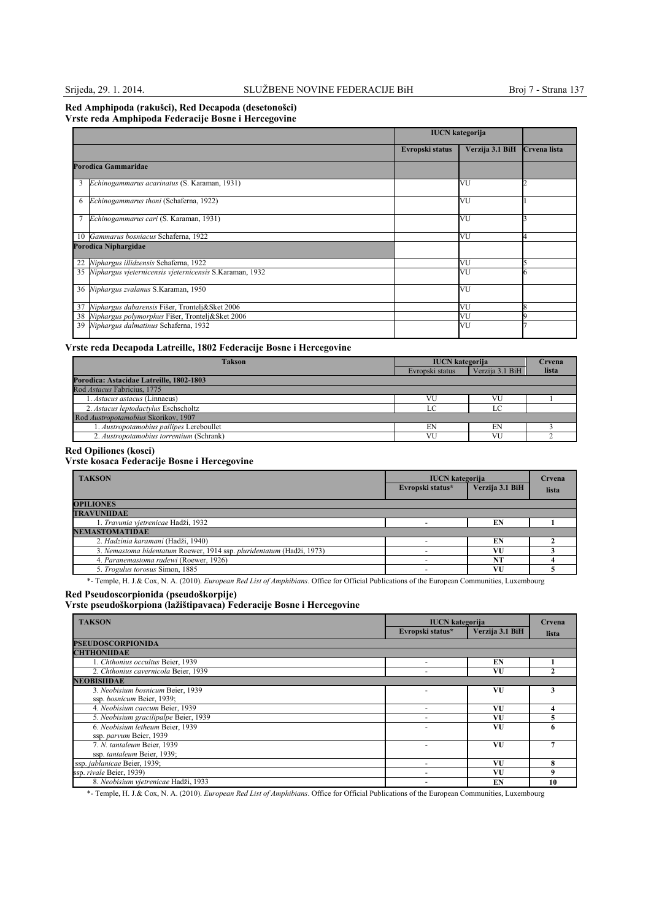### **Red Amphipoda (rakušci), Red Decapoda (desetonošci) Vrste reda Amphipoda Federacije Bosne i Hercegovine**

|    |                                                            | <b>IUCN</b> kategorija |                 |              |
|----|------------------------------------------------------------|------------------------|-----------------|--------------|
|    |                                                            | Evropski status        | Verzija 3.1 BiH | Crvena lista |
|    | Porodica Gammaridae                                        |                        |                 |              |
| 3  | Echinogammarus acarinatus (S. Karaman, 1931)               |                        | VU              |              |
| 6  | Echinogammarus thoni (Schaferna, 1922)                     |                        | VU              |              |
|    | Echinogammarus cari (S. Karaman, 1931)                     |                        | VU              |              |
|    | 10 Gammarus bosniacus Schaferna, 1922                      |                        | VU              |              |
|    | Porodica Niphargidae                                       |                        |                 |              |
| 22 | Niphargus illidzensis Schaferna, 1922                      |                        | VU              |              |
|    | 35 Niphargus vjeternicensis vjeternicensis S.Karaman, 1932 |                        | VU              |              |
|    | 36 Niphargus zvalanus S.Karaman, 1950                      |                        | VU              |              |
| 37 | Niphargus dabarensis Fišer, Trontelj&Sket 2006             |                        | VU              |              |
|    | 38 Niphargus polymorphus Fišer, Trontelj&Sket 2006         |                        | VU              |              |
|    | 39 Niphargus dalmatinus Schaferna, 1932                    |                        | VU              |              |

## **Vrste reda Decapoda Latreille, 1802 Federacije Bosne i Hercegovine**

| <b>Takson</b>                            | <b>IUCN</b> kategorija |                 | Crvena |
|------------------------------------------|------------------------|-----------------|--------|
|                                          | Evropski status        | Verzija 3.1 BiH | lista  |
| Porodica: Astacidae Latreille, 1802-1803 |                        |                 |        |
| Rod Astacus Fabricius, 1775              |                        |                 |        |
| 1. Astacus astacus (Linnaeus)            | VU                     |                 |        |
| 2. Astacus leptodactylus Eschscholtz     | $\Gamma$               |                 |        |
| Rod Austropotamobius Skorikov, 1907      |                        |                 |        |
| 1. Austropotamobius pallipes Lereboullet | EN                     | EN              |        |
| 2. Austropotamobius torrentium (Schrank) | VU                     | VU              |        |

### **Red Opiliones (kosci)**

## **Vrste kosaca Federacije Bosne i Hercegovine**

| <b>TAKSON</b>                                                         | <b>IUCN</b> kategorija<br>Evropski status* | Verzija 3.1 BiH | Crvena<br>lista |
|-----------------------------------------------------------------------|--------------------------------------------|-----------------|-----------------|
| <b>OPILIONES</b>                                                      |                                            |                 |                 |
| <b>TRAVUNIIDAE</b>                                                    |                                            |                 |                 |
| 1. Travunia vjetrenicae Hadži, 1932                                   |                                            | EN              |                 |
| <b>NEMASTOMATIDAE</b>                                                 |                                            |                 |                 |
| 2. Hadzinia karamani (Hadži, 1940)                                    |                                            | EN              |                 |
| 3. Nemastoma bidentatum Roewer, 1914 ssp. pluridentatum (Hadži, 1973) |                                            | VU              |                 |
| 4. Paranemastoma radewi (Roewer, 1926)                                |                                            | NT              |                 |
| 5. Trogulus torosus Simon, 1885                                       |                                            | VU              |                 |

\*- Temple, H. J.& Cox, N. A. (2010). *European Red List of Amphibians*. Office for Official Publications of the European Communities, Luxembourg

#### **Red Pseudoscorpionida (pseudoškorpije)**

**Vrste pseudoškorpiona (lažištipavaca) Federacije Bosne i Hercegovine**

| <b>TAKSON</b>                         | <b>IUCN</b> kategorija   |                 | Crvena |
|---------------------------------------|--------------------------|-----------------|--------|
|                                       | Evropski status*         | Verzija 3.1 BiH | lista  |
| <b>PSEUDOSCORPIONIDA</b>              |                          |                 |        |
| <b>CHTHONIIDAE</b>                    |                          |                 |        |
| 1. Chthonius occultus Beier, 1939     |                          | EN              |        |
| 2. Chthonius cavernicola Beier, 1939  |                          | VU              |        |
| <b>NEOBISHDAE</b>                     |                          |                 |        |
| 3. Neobisium bosnicum Beier, 1939     |                          | VU              |        |
| ssp. bosnicum Beier, 1939;            |                          |                 |        |
| 4. Neobisium caecum Beier, 1939       | $\overline{\phantom{a}}$ | VU              |        |
| 5. Neobisium gracilipalpe Beier, 1939 |                          | VU              |        |
| 6. Neobisium letheum Beier, 1939      |                          | VU              |        |
| ssp. parvum Beier, 1939               |                          |                 |        |
| 7. N. tantaleum Beier, 1939           |                          | VU              |        |
| ssp. tantaleum Beier, 1939;           |                          |                 |        |
| ssp. jablanicae Beier, 1939;          |                          | VU              | 8      |
| ssp. rivale Beier, 1939)              |                          | VU              | 9      |
| 8. Neobisium vietrenicae Hadži, 1933  |                          | EN              | 10     |

\*- Temple, H. J.& Cox, N. A. (2010). *European Red List of Amphibians*. Office for Official Publications of the European Communities, Luxembourg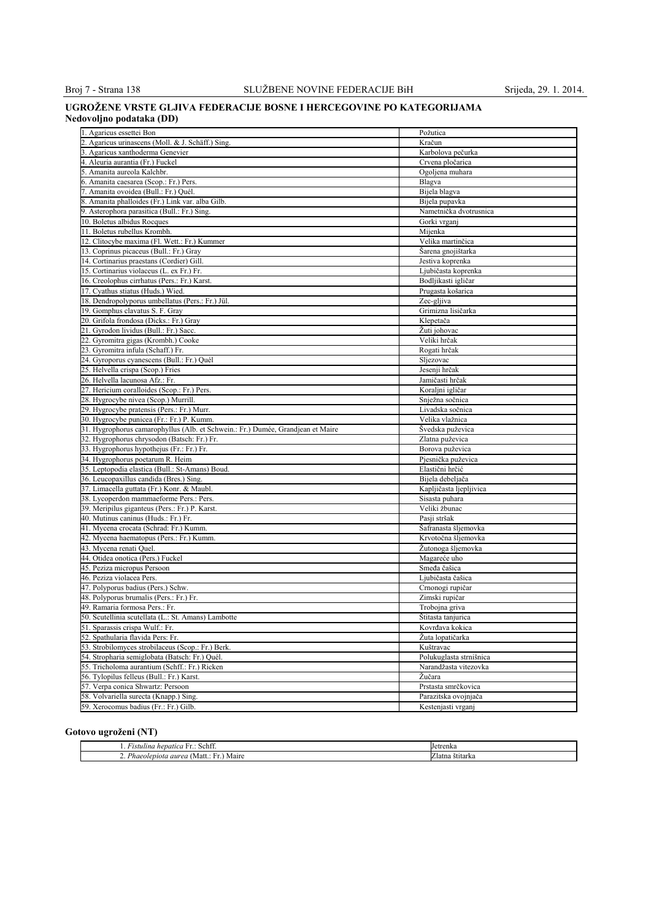## **UGROŽENE VRSTE GLJIVA FEDERACIJE BOSNE I HERCEGOVINE PO KATEGORIJAMA Nedovoljno podataka (DD)**

| 1. Agaricus essettei Bon                                                        | Požutica                                   |
|---------------------------------------------------------------------------------|--------------------------------------------|
| 2. Agaricus urinascens (Moll. & J. Schäff.) Sing.                               | Kračun                                     |
| 3. Agaricus xanthoderma Genevier                                                | Karbolova pečurka                          |
| 4. Aleuria aurantia (Fr.) Fuckel                                                | Crvena pločarica                           |
| 5. Amanita aureola Kalchbr.                                                     | Ogoljena muhara                            |
| 6. Amanita caesarea (Scop.: Fr.) Pers.                                          | Blagva                                     |
| 7. Amanita ovoidea (Bull.: Fr.) Quél.                                           | Bijela blagva                              |
| 8. Amanita phalloides (Fr.) Link var. alba Gilb.                                | Bijela pupavka                             |
| 9. Asterophora parasitica (Bull.: Fr.) Sing.                                    | Nametnička dvotrusnica                     |
| 10. Boletus albidus Rocques                                                     | Gorki vrganj                               |
| 11. Boletus rubellus Krombh.                                                    | Mijenka                                    |
| 12. Clitocybe maxima (Fl. Wett.: Fr.) Kummer                                    | Velika martinčica                          |
| 13. Coprinus picaceus (Bull.: Fr.) Gray                                         | Šarena gnojištarka                         |
| 14. Cortinarius praestans (Cordier) Gill.                                       | Jestiva koprenka                           |
|                                                                                 |                                            |
| 15. Cortinarius violaceus (L. ex Fr.) Fr.                                       | Ljubičasta koprenka                        |
| 16. Creolophus cirrhatus (Pers.: Fr.) Karst.                                    | Bodljikasti igličar                        |
| 17. Cyathus stiatus (Huds.) Wied.                                               | Prugasta košarica                          |
| 18. Dendropolyporus umbellatus (Pers.: Fr.) Jül.                                | Zec-gljiva                                 |
| 19. Gomphus clavatus S. F. Gray                                                 | Grimizna lisičarka                         |
| 20. Grifola frondosa (Dicks.: Fr.) Gray                                         | Klepetača                                  |
| 21. Gyrodon lividus (Bull.: Fr.) Sacc.                                          | Žuti johovac                               |
| 22. Gyromitra gigas (Krombh.) Cooke                                             | Veliki hrčak                               |
| 23. Gyromitra infula (Schaff.) Fr.                                              | Rogati hrčak                               |
| 24. Gyroporus cyanescens (Bull.: Fr.) Quél                                      | Sljezovac                                  |
| 25. Helvella crispa (Scop.) Fries                                               | Jesenji hrčak                              |
| 26. Helvella lacunosa Afz.: Fr.                                                 | Jamičasti hrčak                            |
| 27. Hericium coralloides (Scop.: Fr.) Pers.                                     | Koraljni igličar                           |
| 28. Hygrocybe nivea (Scop.) Murrill.                                            | Snježna sočnica                            |
| 29. Hygrocybe pratensis (Pers.: Fr.) Murr.                                      | Livadska sočnica                           |
| 30. Hygrocybe punicea (Fr.: Fr.) P. Kumm.                                       | Velika vlažnica                            |
| 31. Hygrophorus camarophyllus (Alb. et Schwein.: Fr.) Dumée, Grandjean et Maire | Švedska puževica                           |
| 32. Hygrophorus chrysodon (Batsch: Fr.) Fr.                                     | Zlatna puževica                            |
| 33. Hygrophorus hypothejus (Fr.: Fr.) Fr.                                       | Borova puževica                            |
| 34. Hygrophorus poetarum R. Heim                                                | Pjesnička puževica                         |
| 35. Leptopodia elastica (Bull.: St-Amans) Boud.                                 | Elastični hrčić                            |
| 36. Leucopaxillus candida (Bres.) Sing.                                         | Bijela debeljača                           |
| 37. Limacella guttata (Fr.) Konr. & Maubl.                                      | Kapljičasta ljepljivica                    |
| 38. Lycoperdon mammaeforme Pers.: Pers.                                         | Sisasta puhara                             |
| 39. Meripilus giganteus (Pers.: Fr.) P. Karst.                                  | Veliki žbunac                              |
| 40. Mutinus caninus (Huds.: Fr.) Fr.                                            | Pasji stršak                               |
| 41. Mycena crocata (Schrad: Fr.) Kumm.                                          | Šafranasta šljemovka                       |
| 42. Mycena haematopus (Pers.: Fr.) Kumm.                                        | Krvotočna šljemovka                        |
| 43. Mycena renati Quel.                                                         | Žutonoga šljemovka                         |
| 44. Otidea onotica (Pers.) Fuckel                                               | Magareće uho                               |
| 45. Peziza micropus Persoon                                                     | Smeđa čašica                               |
| 46. Peziza violacea Pers.                                                       |                                            |
|                                                                                 | Ljubičasta čašica                          |
| 47. Polyporus badius (Pers.) Schw.                                              | Crnonogi rupičar                           |
| 48. Polyporus brumalis (Pers.: Fr.) Fr.                                         | Zimski rupičar                             |
| 49. Ramaria formosa Pers.: Fr.                                                  | Trobojna griva                             |
| 50. Scutellinia scutellata (L.: St. Amans) Lambotte                             | Stitasta tanjurica                         |
| 51. Sparassis crispa Wulf.: Fr.                                                 | Kovrđava kokica                            |
| 52. Spathularia flavida Pers: Fr.                                               | Žuta lopatičarka                           |
| 53. Strobilomyces strobilaceus (Scop.: Fr.) Berk.                               | Kuštravac                                  |
| 54. Stropharia semiglobata (Batsch: Fr.) Quél.                                  | Polukuglasta strnišnica                    |
| 55. Tricholoma aurantium (Schff.: Fr.) Ricken                                   | Narandžasta vitezovka                      |
| 56. Tylopilus felleus (Bull.: Fr.) Karst.                                       | Žučara                                     |
| 57. Verpa conica Shwartz: Persoon                                               |                                            |
|                                                                                 | Prstasta smrčkovica                        |
| 58. Volvariella surecta (Knapp.) Sing.<br>59. Xerocomus badius (Fr.: Fr.) Gilb. | Parazitska ovojnjača<br>Kestenjasti vrganj |

## **Gotovo ugroženi (NT)**

| .com<br>Schtt<br>H<br>hepatica<br>ustulina :<br>.   | <b>Jetrenka</b> |
|-----------------------------------------------------|-----------------|
| Phaeolepiota aurea (.<br>Maire<br>'Matu<br>.<br>. . | ∠latna štītarka |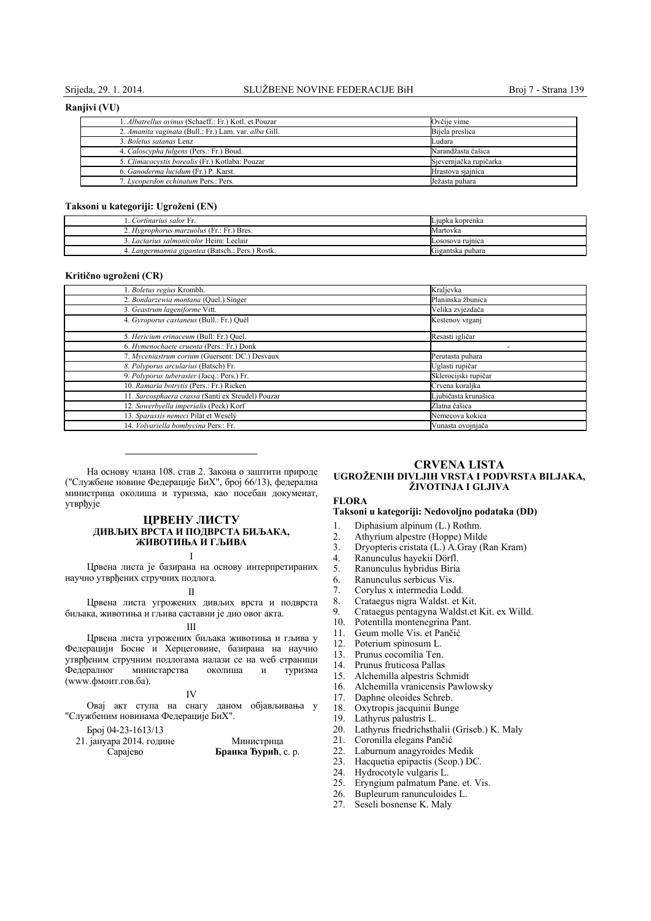#### **Ranjivi (VU)**

| 1. Albatrellus ovinus (Schaeff.: Fr.) Kotl. et Pouzar | Ovčije vime            |
|-------------------------------------------------------|------------------------|
| 2. Amanita vaginata (Bull.: Fr.) Lam. var. alba Gill. | Bijela preslica        |
| 3. Boletus satanas Lenz                               | Ludara                 |
| 4. Caloscypha fulgens (Pers.: Fr.) Boud.              | Narandžasta čašica     |
| 5. Climacocystis borealis (Fr.) Kotlaba: Pouzar       | Sjevernjačka rupičarka |
| 6. Ganoderma lucidum (Fr.) P. Karst.                  | Hrastova siajnica      |
| 7. Lycoperdon echinatum Pers.: Pers.                  | Ježasta puhara         |

#### **Taksoni u kategoriji: Ugroženi (EN)**

| <i>Lortinarius salor</i> Fr.                     | Ljupka koprenka  |
|--------------------------------------------------|------------------|
| Bres.<br><i>Hygrophorus marzuolus</i> (Fr.: Fr.) | Martovka         |
| Lactarius salmonicolor Heim: Leclair             | Lososova ruinica |
| 4. Langermannia gigantea (Batsch.: Pers.) Rostk. | Gigantska puhara |

#### **Kritično ugroženi (CR)**

| 1. Boletus regius Krombh.                         | Kraljevka            |
|---------------------------------------------------|----------------------|
| 2. Bondarzewia montana (Quel.) Singer             | Planinska žbunica    |
| 3. Geastrum lageniforme Vitt.                     | Velika zvjezdača     |
| 4. Gyroporus castaneus (Bull.: Fr.) Quél          | Kestenov vrganj      |
| 5. Hericium erinaceum (Bull: Fr.) Quel.           | Resasti igličar      |
| 6. Hymenochaete cruenta (Pers.: Fr.) Donk         |                      |
| 7. Myceniastrum corium (Guersent: DC.) Desvaux    | Perutasta puhara     |
| 8. Polyporus arcularius (Batsch) Fr.              | Uglasti rupičar      |
| 9. Polyporus tuberaster (Jacq.: Pers.) Fr.        | Sklerocijski rupičar |
| 10. Ramaria botrytis (Pers.: Fr.) Ricken          | Crvena koraljka      |
| 11. Sarcosphaera crassa (Santi ex Steudel) Pouzar | Ljubičasta krunašica |
| 12. Sowerbyella imperialis (Peck) Korf            | Zlatna čašica        |
| 13. Sparassis nemeci Pilát et Weselý              | Nemecova kokica      |
| 14. Volvariella bombycina Pers.: Fr.              | Vunasta ovojnjača    |

На основу члана 108. став 2. Закона о заштити природе ("Службене новине Федерације БиХ", број 66/13), федерална министрица околиша и туризма, као посебан докуменат, утврђује

## **ЦРВЕНУ ЛИСТУ ДИВЉИХ ВРСТA И ПОДВРСТA БИЉAКA, ЖИВОТИЊA И ГЉИВA**

#### I

Црвена листа је базирана на основу интерпретираних научно утврђених стручних подлога.

#### II

Црвена листа угрожених дивљих врста и подврста биљака, животиња и гљива саставни је дио овог акта.

## III

Црвена листа угрожених биљака животиња и гљива у Федерацији Босне и Херцеговине, базирана на научно утврђеним стручним подлогама налази се на wеб страници министарства околиша и туризма (www.фмоит.гов.ба).

### IV

Овај акт ступа на снагу даном објављивања у "Службеним новинама Федерације БиХ".

#### Број 04-23-1613/13

| 21. јануара 2014. године | Министрица          |  |
|--------------------------|---------------------|--|
| Сарајево                 | Бранка Ђурић, с. р. |  |

## **CRVENA LISTA UGROŽENIH DIVLJIH VRSTA I PODVRSTA BILJAKA, ŽIVOTINJA I GLJIVA**

## **FLORA**

## **Taksoni u kategoriji: Nedovoljno podataka (DD)**

- 1. Diphasium alpinum (L.) Rothm.
- 
- 2. Athyrium alpestre (Hoppe) Milde<br>3. Dryonteris cristata  $(L)$  A Gray (R 3. Dryopteris cristata  $(L)$   $\overrightarrow{A}$ . Gray (Ran Kram)<br>4. Ranunculus havekii Dörfl.
- 
- 4. Ranunculus hayekii Dörfl. 5. Ranunculus hybridus Biria
- 6. Ranunculus serbicus Vis.
- 7. Corylus x intermedia Lodd.
- 
- 8. Crataegus nigra Waldst. et Kit.<br>9. Crataegus pentagyna Waldst.et 9. Crataegus pentagyna Waldst.et Kit. ex Willd.
- 
- 10. Potentilla montenegrina Pant.<br>11. Geum molle Vis. et Pančić Geum molle Vis. et Pančić
- 
- 12. Poterium spinosum L.<br>13. Prunus cocomilia Ten Prunus cocomilia Ten.
- 
- 14. Prunus fruticosa Pallas<br>15. Alchemilla alpestris Sc 15. Alchemilla alpestris Schmidt
- 16. Alchemilla vranicensis Pawlowsky
- 17. Daphne oleoides Schreb.
- 18. Oxytropis jacquinii Bunge
- 19. Lathyrus palustris L.
- 20. Lathyrus friedrichsthalii (Griseb.) K. Maly
- 21. Coronilla elegans Pančić
- 
- 22. Laburnum anagyroides Medik<br>23. Hacquetia epinactis (Scop.) DC
- 23. Hacquetia epipactis (Scop.) DC.<br>24. Hydrocotyle vulgaris L.
- 24. Hydrocotyle vulgaris L.<br>25. Eryngium palmatum Pa Eryngium palmatum Pane. et. Vis.
- 
- 26. Bupleurum ranunculoides L.<br>27. Seseli bosnense K. Maly Seseli bosnense K. Maly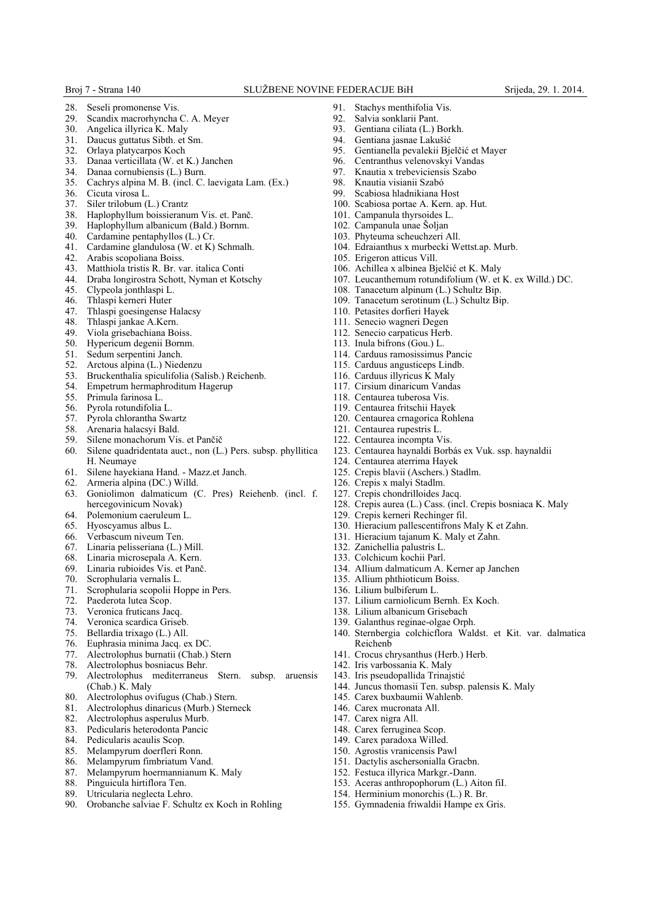- 28. Seseli promonense Vis.<br>29 Seandix macrorhyncha
- 29. Scandix macrorhyncha C. A. Meyer<br>30. Angelica illyrica K. Maly
- 30. Angelica illyrica K. Maly<br>31. Daucus guttatus Sibth. et
- Daucus guttatus Sibth. et Sm.
- 32. Orlaya platycarpos Koch
- 33. Danaa verticillata (W. et K.) Janchen
- 34. Danaa cornubiensis (L.) Burn.
- 35. Cachrys alpina M. B. (incl. C. laevigata Lam. (Ex.)
- 36. Cicuta virosa L.
- 37. Siler trilobum (L.) Crantz
- 38. Haplophyllum boissieranum Vis. et. Panč.
- Haplophyllum albanicum (Bald.) Bornm.
- 40. Cardamine pentaphyllos (L.) Cr.<br>41. Cardamine glandulosa (W. et K)
- Cardamine glandulosa (W. et K) Schmalh.
- 42. Arabis scopoliana Boiss.<br>43 Matthiola tristis R Br va
- Matthiola tristis R. Br. var. italica Conti
- 44. Draba longirostra Schott, Nyman et Kotschy
- Clypeola jonthlaspi L.
- 46. Thlaspi kerneri Huter
- 47. Thlaspi goesingense Halacsy
- 48. Thlaspi jankae A.Kern.
- Viola grisebachiana Boiss.
- 50. Hypericum degenii Bornm.<br>51. Sedum serpentini Janch.
- Sedum serpentini Janch.
- 
- 52. Arctous alpina (L.) Niedenzu<br>53. Bruckenthalia spiculifolia (Sa 53. Bruckenthalia spiculifolia (Salisb.) Reichenb.
- 54. Empetrum hermaphroditum Hagerup
- 55. Primula farinosa L.
- 
- 56. Pyrola rotundifolia L. 57. Pyrola chlorantha Swartz
- 
- 58. Arenaria halacsyi Bald.<br>59 Silene monachorum Vis Silene monachorum Vis. et Pančič
- 60. Silene quadridentata auct., non (L.) Pers. subsp. phyllitica H. Neumaye
- 61. Silene hayekiana Hand. Mazz.et Janch.
- 62. Armeria alpina (DC.) Willd.
- 63. Goniolimon dalmaticum (C. Pres) Reiehenb. (incl. f. hercegovinicum Novak)
- 64. Polemonium caeruleum L.
- 65. Hyoscyamus albus L.
- 66. Verbascum niveum Ten.
- 67. Linaria pelisseriana (L.) Mill.
- 68. Linaria microsepala A. Kern.
- 69. Linaria rubioides Vis. et Panč.
- 70. Scrophularia vernalis L.
- 71. Scrophularia scopolii Hoppe in Pers.
- 72. Paederota lutea Scop.
- Veronica fruticans Jacq.
- 74. Veronica scardica Griseb.<br>75. Bellardia trixago (L.) All.
- Bellardia trixago (L.) All.
- 76. Euphrasia minima Jacq. ex DC.
- 77. Alectrolophus burnatii (Chab.) Stern<br>78. Alectrolophus bosniacus Behr.
- 78. Alectrolophus bosniacus Behr.
- Alectrolophus mediterraneus Stern. subsp. aruensis (Chab.) K. Maly
- 
- 80. Alectrolophus ovifugus (Chab.) Stern.<br>81. Alectrolophus dinaricus (Murb.) Stern 81. Alectrolophus dinaricus (Murb.) Sterneck
- 82. Alectrolophus asperulus Murb.<br>83 Pedicularis heterodonta Pancic
- Pedicularis heterodonta Pancic
- 84. Pedicularis acaulis Scop.<br>85. Melampyrum doerfleri F
- Melampyrum doerfleri Ronn.
- 86. Melampyrum fimbriatum Vand.
- 87. Melampyrum hoermannianum K. Maly
- 88. Pinguicula hirtiflora Ten.
- 89. Utricularia neglecta Lehro.
- 90. Orobanche salviae F. Schultz ex Koch in Rohling
- 91. Stachys menthifolia Vis.<br>92. Salvia sonklarii Pant
- 92. Salvia sonklarii Pant.<br>93 Gentiana ciliata (L.)
- 93. Gentiana ciliata (L.) Borkh.<br>94. Gentiana iasnae Lakušić
- Gentiana jasnae Lakušić
- 95. Gentianella pevalekii Bjelčić et Mayer
- 96. Centranthus velenovskyi Vandas
- 97. Knautia x trebeviciensis Szabo
- 98. Knautia visianii Szabó
- 99. Scabiosa hladnikiana Host
- 100. Scabiosa portae A. Kern. ap. Hut.
- 101. Campanula thyrsoides L.
- 102. Campanula unae Šoljan
- 103. Phyteuma scheuchzeri All.
- 104. Edraianthus x murbecki Wettst.ap. Murb.
- 105. Erigeron atticus Vill.
- 106. Achillea x albinea Bjelčić et K. Maly
- 107. Leucanthemum rotundifolium (W. et K. ex Willd.) DC.
- 108. Tanacetum alpinum (L.) Schultz Bip.
- 109. Tanacetum serotinum (L.) Schultz Bip.
- 110. Petasites dorfieri Hayek
- 111. Senecio wagneri Degen
- 112. Senecio carpaticus Herb.
- 113. Inula bifrons (Gou.) L.
- 114. Carduus ramosissimus Pancic
- 115. Carduus angusticeps Lindb.
- 116. Carduus illyricus  $\hat{K}$  Maly
- 117. Cirsium dinaricum Vandas
- 118. Centaurea tuberosa Vis.
- 119. Centaurea fritschii Hayek
- 120. Centaurea crnagorica Rohlena
- 121. Centaurea rupestris L.
- 122. Centaurea incompta Vis.

126. Crepis x malyi Stadlm. 127. Crepis chondrilloides Jacq.

132. Zanichellia palustris L. 133. Colchicum kochii Parl.

Reichenb

135. Allium phthioticum Boiss. 136. Lilium bulbiferum L.

123. Centaurea haynaldi Borbás ex Vuk. ssp. haynaldii

130. Hieracium pallescentifrons Maly K et Zahn. 131. Hieracium tajanum K. Maly et Zahn.

134. Allium dalmaticum A. Kerner ap Janchen

137. Lilium carniolicum Bernh. Ex Koch. 138. Lilium albanicum Grisebach 139. Galanthus reginae-olgae Orph.

141. Crocus chrysanthus (Herb.) Herb. 142. Iris varbossania K. Maly 143. Iris pseudopallida Trinajstić

145. Carex buxbaumii Wahlenb. 146. Carex mucronata All. 147. Carex nigra All. 148. Carex ferruginea Scop. 149. Carex paradoxa Willed. 150. Agrostis vranicensis Pawl 151. Dactylis aschersonialla Gracbn. 152. Festuca illyrica Markgr.-Dann. 153. Aceras anthropophorum (L.) Aiton fiI. 154. Herminium monorchis (L.) R. Br. 155. Gymnadenia friwaldii Hampe ex Gris.

144. Juncus thomasii Ten. subsp. palensis K. Maly

128. Crepis aurea (L.) Cass. (incl. Crepis bosniaca K. Maly

140. Sternbergia colchicflora Waldst. et Kit. var. dalmatica

124. Centaurea aterrima Hayek 125. Crepis blavii (Aschers.) Stadlm.

129. Crepis kerneri Rechinger fil.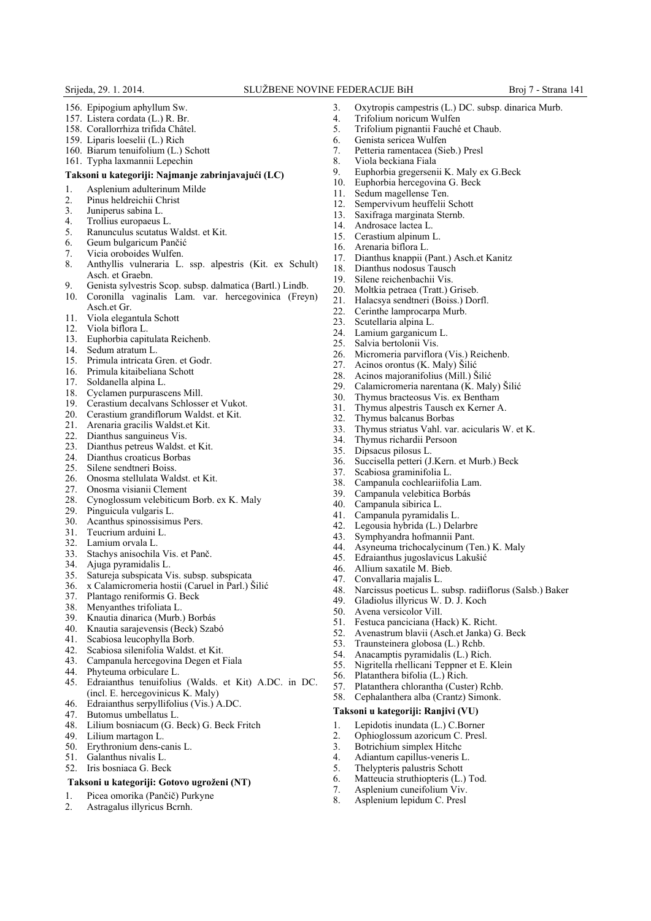- 156. Epipogium aphyllum Sw.
- 157. Listera cordata (L.) R. Br.
- 158. Corallorrhiza trifida Châtel.
- 159. Liparis loeselii (L.) Rich
- 160. Biarum tenuifolium (L.) Schott
- 161. Typha laxmannii Lepechin

### **Taksoni u kategoriji: Najmanje zabrinjavajući (LC)**

- 1. Asplenium adulterinum Milde<br>2. Pinus heldreichii Christ
- 2. Pinus heldreichii Christ<br>3. Juniperus sabina L.
- 
- 3. Juniperus sabina L. 4. Trollius europaeus L.<br>5. Ranunculus scutatus
- 5. Ranunculus scutatus Waldst. et Kit.
- 6. Geum bulgaricum Pančić
- 7. Vicia oroboides Wulfen.<br>8. Anthyllis vulneraria L
- 8. Anthyllis vulneraria L. ssp. alpestris (Kit. ex Schult) Asch. et Graebn.
- 9. Genista sylvestris Scop. subsp. dalmatica (Bartl.) Lindb.
- 10. Coronilla vaginalis Lam. var. hercegovinica (Freyn) Asch.et Gr.
- 11. Viola elegantula Schott
- 12. Viola biflora L.
- 13. Euphorbia capitulata Reichenb.<br>14. Sedum atratum L.
- 
- 14. Sedum atratum L.<br>15. Primula intricata 0 Primula intricata Gren. et Godr.
- 16. Primula kitaibeliana Schott
- 17. Soldanella alpina L.
- 18. Cyclamen purpurascens Mill.<br>19. Cerastium decalvans Schlosse
- 19. Cerastium decalvans Schlosser et Vukot.
- 20. Cerastium grandiflorum Waldst. et Kit.
- 21. Arenaria gracilis Waldst.et Kit.
- 22. Dianthus sanguineus Vis.
- 23. Dianthus petreus Waldst. et Kit.
- 24. Dianthus croaticus Borbas
- 25. Silene sendtneri Boiss.
- 26. Onosma stellulata Waldst. et Kit.<br>27. Onosma visianii Clement
- 27. Onosma visianii Clement
- 28. Cynoglossum velebiticum Borb. ex K. Maly
- 29. Pinguicula vulgaris L.<br>30. Acanthus spinossisimu
- 30. Acanthus spinossisimus Pers.<br>31 Teucrium arduini L
- Teucrium arduini L.
- 32. Lamium orvala L.
- Stachys anisochila Vis. et Panč.
- 34. Ajuga pyramidalis L.
- 35. Satureja subspicata Vis. subsp. subspicata<br>36. x Calamicromeria hostii (Caruel in Parl.) Š
- 36. x Calamicromeria hostii (Caruel in Parl.) Šilić
- Plantago reniformis G. Beck
- 38. Menyanthes trifoliata L.<br>39. Knautia dinarica (Murb.
- 39. Knautia dinarica (Murb.) Borbás
- 40. Knautia sarajevensis (Beck) Szabó
- 41. Scabiosa leucophylla Borb.<br>42. Scabiosa silenifolia Waldst
- 42. Scabiosa silenifolia Waldst. et Kit.
- 43. Campanula hercegovina Degen et Fiala
- Phyteuma orbiculare L.
- 45. Edraianthus tenuifolius (Walds. et Kit) A.DC. in DC. (incl. E. hercegovinicus K. Maly)
- 46. Edraianthus serpyllifolius (Vis.) A.DC.
- 47. Butomus umbellatus L.<br>48. Lilium bosniacum (G. 1
- 48. Lilium bosniacum (G. Beck) G. Beck Fritch
- Lilium martagon L.
- 50. Erythronium dens-canis L.
- 51. Galanthus nivalis L.
- 52. Iris bosniaca G. Beck

#### **Taksoni u kategoriji: Gotovo ugroženi (NT)**

- 1. Picea omorika (Pančič) Purkyne
- 2. Astragalus illyricus Bcrnh.
- 3. Oxytropis campestris  $(L)$  DC. subsp. dinarica Murb.<br>  $\Lambda$  Trifolium poricum Wulfen
- 4. Trifolium noricum Wulfen<br>5. Trifolium nignantii Fauché
- 5. Trifolium pignantii Fauché et Chaub.
- 6. Genista sericea Wulfen
- 7. Petteria ramentacea (Sieb.) Presl
- 8. Viola beckiana Fiala
- 9. Euphorbia gregersenii K. Maly ex G.Beck
- 10. Euphorbia hercegovina G. Beck
- 11. Sedum magellense Ten.
- 12. Sempervivum heuffelii Schott 13. Saxifraga marginata Sternb.
- 14. Androsace lactea L.
- 15. Cerastium alpinum L.
- 16. Arenaria biflora L.
- 
- 17. Dianthus knappii (Pant.) Asch.et Kanitz<br>18. Dianthus nodosus Tausch Dianthus nodosus Tausch
- 
- 19. Silene reichenbachii Vis.
- 20. Moltkia petraea (Tratt.) Griseb.
- 21. Halacsya sendtneri (Boiss.) Dorfl.
- Cerinthe lamprocarpa Murb.
- 23. Scutellaria alpina L.
- 24. Lamium garganicum L.<br>25. Salvia bertolonii Vis.
- 25. Salvia bertolonii Vis.<br>26. Micromeria parviflor
- 26. Micromeria parviflora (Vis.) Reichenb.<br>27. Acinos orontus (K. Maly) Šilić
- 27. Acinos orontus (K. Maly) Šilić<br>28. Acinos maioranifolius (Mill.) Š
- 28. Acinos majoranifolius (Mill.) Šilić
- 29. Calamicromeria narentana (K. Maly) Šilić<br>30. Thymus bracteosus Vis. ex Bentham
- Thymus bracteosus Vis. ex Bentham
- 31. Thymus alpestris Tausch ex Kerner A.
- 32. Thymus balcanus Borbas
- 33. Thymus striatus Vahl. var. acicularis W. et K.
- 34. Thymus richardii Persoon
- 35. Dipsacus pilosus L.
- 36. Succisella petteri (J.Kern. et Murb.) Beck
- 37. Scabiosa graminifolia L. Campanula cochleariifolia Lam.

39. Campanula velebitica Borbás<br>40. Campanula sibirica L Campanula sibirica L. 41. Campanula pyramidalis L<br>42. Legousia hybrida (L.) Del

Legousia hybrida (L.) Delarbre 43. Symphyandra hofmannii Pant.

45. Edraianthus jugoslavicus Lakušić<br>46. Allium saxatile M. Bieb. Allium saxatile M. Bieb. 47. Convallaria majalis L.

49. Gladiolus illyricus W. D. J. Koch

53. Traunsteinera globosa (L.) Rchb.<br>54. Anacamptis pyramidalis (L.) Ric 54. Anacamptis pyramidalis (L.) Rich.<br>55. Nigritella rhellicani Teppner et E. 55. Nigritella rhellicani Teppner et E. Klein<br>56. Platanthera bifolia (L.) Rich.

56. Platanthera bifolia (L.) Rich.<br>57. Platanthera chlorantha (Custo

51. Festuca panciciana (Hack) K. Richt. 52. Avenastrum blavii (Asch.et Janka) G. Beck

57. Platanthera chlorantha (Custer) Rchb. 58. Cephalanthera alba (Crantz) Simonk. **Taksoni u kategoriji: Ranjivi (VU)** 1. Lepidotis inundata (L.) C.Borner<br>2. Ophioglossum azoricum C. Presl 2. Ophioglossum azoricum C. Presl.<br>3. Botrichium simplex Hitchc Botrichium simplex Hitchc 4. Adiantum capillus-veneris L. 5. Thelypteris palustris Schott 6. Matteucia struthiopteris (L.) Tod. 7. Asplenium cuneifolium Viv. 8. Asplenium lepidum C. Presl

50. Avena versicolor Vill.

44. Asyneuma trichocalycinum (Ten.) K. Maly<br>45. Edraianthus jugoslavicus Lakušić

48. Narcissus poeticus L. subsp. radiiflorus (Salsb.) Baker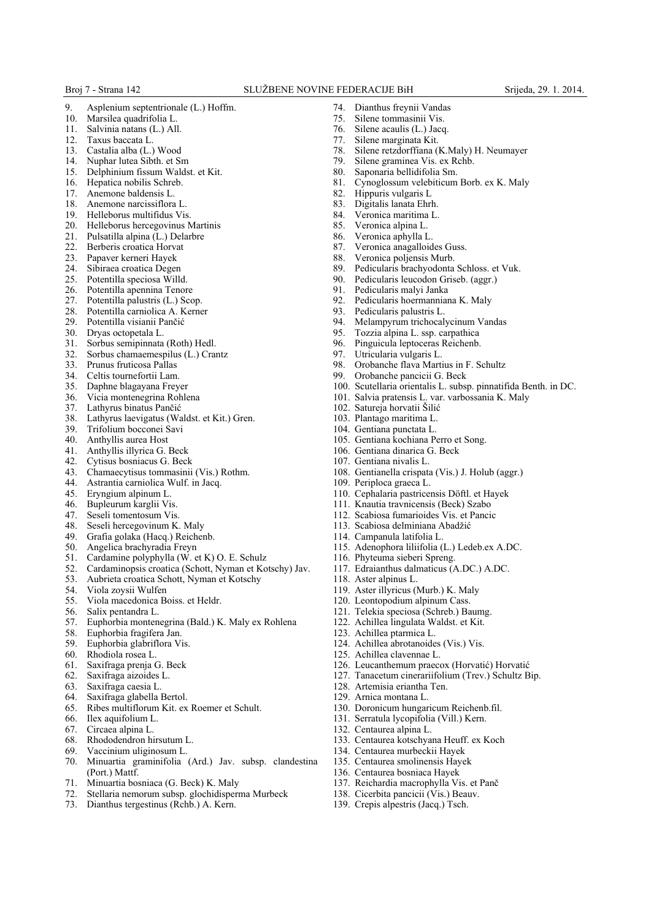- 9. Asplenium septentrionale (L.) Hoffm.<br>10 Marsilea quadrifolia L.
- Marsilea quadrifolia L.
- 11. Salvinia natans (L.) All.<br>12. Taxus baccata L.
- Taxus baccata L.
- 13. Castalia alba (L.) Wood
- 14. Nuphar lutea Sibth. et Sm
- 15. Delphinium fissum Waldst. et Kit.
- 16. Hepatica nobilis Schreb.
- 17. Anemone baldensis L.
- 18. Anemone narcissiflora L. 19. Helleborus multifidus Vis.
- 20. Helleborus hercegovinus Martinis
- 
- 21. Pulsatilla alpina (L.) Delarbre<br>22. Berberis croatica Horvat
- 22. Berberis croatica Horvat<br>23. Papaver kerneri Havek
- 23. Papaver kerneri Hayek<br>24. Sibiraea croatica Deger Sibiraea croatica Degen
- 
- 25. Potentilla speciosa Willd. Potentilla apennina Tenore
- 27. Potentilla palustris (L.) Scop.
- 28. Potentilla carniolica A. Kerner
- 29. Potentilla visianii Pančić
- Dryas octopetala L.
- 
- 31. Sorbus semipinnata (Roth) Hedl.<br>32. Sorbus chamaemespilus (L.) Cra Sorbus chamaemespilus (L.) Crantz
- 
- 33. Prunus fruticosa Pallas Celtis tournefortii Lam.
- 
- 35. Daphne blagayana Freyer Vicia montenegrina Rohlena
- 37. Lathyrus binatus Pančić<br>38. Lathyrus laevigatus (Wa
- Lathyrus laevigatus (Waldst. et Kit.) Gren.
- 39. Trifolium bocconei Savi
- 40. Anthyllis aurea Host
- 
- 41. Anthyllis illyrica G. Beck Cytisus bosniacus G. Beck
- 43. Chamaecytisus tommasinii (Vis.) Rothm.<br>44. Astrantia carniolica Wulf. in Jacq.
- Astrantia carniolica Wulf. in Jacq.
- 
- 45. Eryngium alpinum L. Bupleurum karglii Vis.
- 47. Seseli tomentosum Vis.<br>48. Seseli hercegovinum K
- Seseli hercegovinum K. Maly
- 49. Grafia golaka (Hacq.) Reichenb.<br>50. Angelica brachyradia Frevn
- Angelica brachyradia Freyn
- 51. Cardamine polyphylla (W. et K) O. E. Schulz<br>52. Cardaminopsis croatica (Schott, Nyman et Ko
- 52. Cardaminopsis croatica (Schott, Nyman et Kotschy) Jav.
- 53. Aubrieta croatica Schott, Nyman et Kotschy
- 54. Viola zoysii Wulfen
- 55. Viola macedonica Boiss. et Heldr.
- 56. Salix pentandra L.
- 57. Euphorbia montenegrina (Bald.) K. Maly ex Rohlena
- 58. Euphorbia fragifera Jan.
- 59. Euphorbia glabriflora Vis.<br>60. Rhodiola rosea L
- 60. Rhodiola rosea L.
- 61. Saxifraga prenja G. Beck
- Saxifraga aizoides L.
- 63. Saxifraga caesia L.
- 64. Saxifraga glabella Bertol.
- 65. Ribes multiflorum Kit. ex Roemer et Schult.
- 66. Ilex aquifolium L.<br>67. Circaea alpina I
- Circaea alpina L.
- 68. Rhododendron hirsutum L.<br>69 Vaccinium uliginosum L.
- Vaccinium uliginosum L.
- 70. Minuartia graminifolia (Ard.) Jav. subsp. clandestina (Port.) Mattf.
- 
- 71. Minuartia bosniaca (G. Beck) K. Maly Stellaria nemorum subsp. glochidisperma Murbeck
- 73. Dianthus tergestinus (Rchb.) A. Kern.
- 74. Dianthus freynii Vandas
- 75. Silene tommasinii Vis.
- 76. Silene acaulis (L.) Jacq.
- Silene marginata Kit.
- 78. Silene retzdorffiana (K.Maly) H. Neumayer
- 79. Silene graminea Vis. ex Rchb.
- 80. Saponaria bellidifolia Sm.
- 81. Cynoglossum velebiticum Borb. ex K. Maly
- 82. Hippuris vulgaris L
- 83. Digitalis lanata Ehrh.
- 84. Veronica maritima L.<br>85 Veronica alpina L.
- Veronica alpina L.
- 86. Veronica aphylla L.<br>87. Veronica anagalloid
- 87. Veronica anagalloides Guss.<br>88. Veronica poliensis Murb.
- 88. Veronica poljensis Murb.<br>89. Pedicularis brachyodonta
- Pedicularis brachyodonta Schloss. et Vuk.
- 90. Pedicularis leucodon Griseb. (aggr.)
- 91. Pedicularis malyi Janka
- 92. Pedicularis hoermanniana K. Maly 93. Pedicularis palustris L.
- Pedicularis palustris L.
- 94. Melampyrum trichocalycinum Vandas<br>95. Tozzia alpina L. ssp. carpathica
- 95. Tozzia alpina L. ssp. carpathica<br>96. Pinguicula lentoceras Reichenb.
- 
- 96. Pinguicula leptoceras Reichenb.<br>97. Utricularia vulgaris L.
- 97. Utricularia vulgaris L.<br>98. Orobanche flava Mart 98. Orobanche flava Martius in F. Schultz<br>99. Orobanche pancicii G. Beck
- Orobanche pancicii G. Beck
- 100. Scutellaria orientalis L. subsp. pinnatifida Benth. in DC.
- 101. Salvia pratensis L. var. varbossania K. Maly
- 102. Satureja horvatii Šilić
- 103. Plantago maritima L.
- 104. Gentiana punctata L.

107. Gentiana nivalis L.

109. Periploca graeca L.

116. Phyteuma sieberi Spreng.

118. Aster alpinus L.

123. Achillea ptarmica L.

125. Achillea clavennae L.

128. Artemisia eriantha Ten. 129. Arnica montana L.

132. Centaurea alpina L.

105. Gentiana kochiana Perro et Song.

108. Gentianella crispata (Vis.) J. Holub (aggr.)

115. Adenophora liliifolia (L.) Ledeb.ex A.DC.

117. Edraianthus dalmaticus (A.DC.) A.DC.

119. Aster illyricus (Murb.) K. Maly 120. Leontopodium alpinum Cass. 121. Telekia speciosa (Schreb.) Baumg. 122. Achillea lingulata Waldst. et Kit.

124. Achillea abrotanoides (Vis.) Vis.

130. Doronicum hungaricum Reichenb.fil. 131. Serratula lycopifolia (Vill.) Kern.

133. Centaurea kotschyana Heuff. ex Koch

137. Reichardia macrophylla Vis. et Panč 138. Cicerbita pancicii (Vis.) Beauv. 139. Crepis alpestris (Jacq.) Tsch.

134. Centaurea murbeckii Hayek 135. Centaurea smolinensis Hayek 136. Centaurea bosniaca Hayek

126. Leucanthemum praecox (Horvatić) Horvatić 127. Tanacetum cinerariifolium (Trev.) Schultz Bip.

110. Cephalaria pastricensis Döftl. et Hayek 111. Knautia travnicensis (Beck) Szabo 112. Scabiosa fumarioides Vis. et Pancic 113. Scabiosa delminiana Abadžić 114. Campanula latifolia L.

106. Gentiana dinarica G. Beck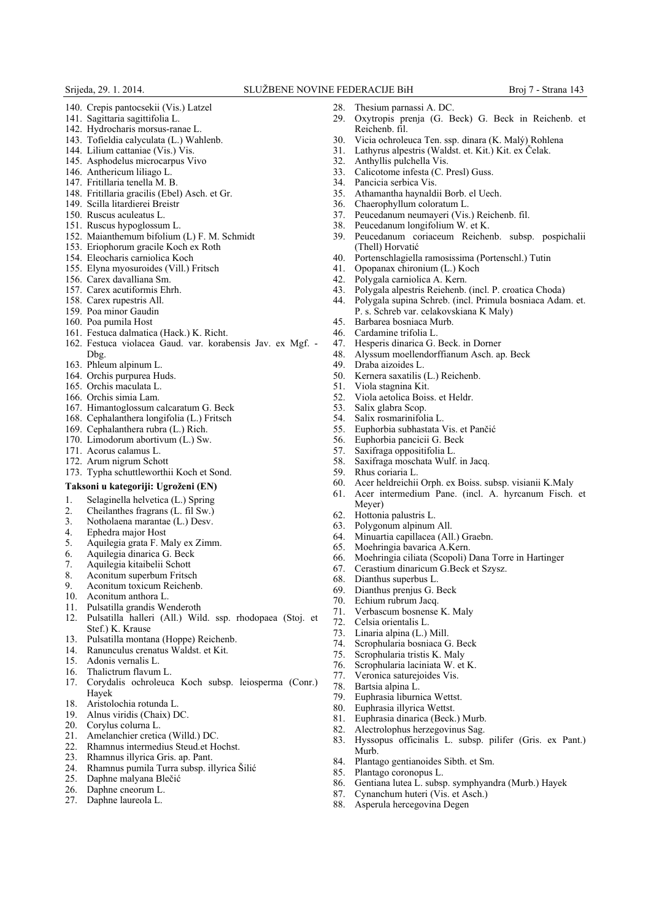- 140. Crepis pantocsekii (Vis.) Latzel
- 141. Sagittaria sagittifolia L.
- 142. Hydrocharis morsus-ranae L.
- 143. Tofieldia calyculata (L.) Wahlenb.
- 144. Lilium cattaniae (Vis.) Vis.
- 145. Asphodelus microcarpus Vivo
- 146. Anthericum liliago L.
- 147. Fritillaria tenella M. B.
- 148. Fritillaria gracilis (Ebel) Asch. et Gr.
- 149. Scilla litardierei Breistr
- 150. Ruscus aculeatus L.
- 151. Ruscus hypoglossum L.
- 152. Maianthemum bifolium (L) F. M. Schmidt
- 153. Eriophorum gracile Koch ex Roth
- 154. Eleocharis carniolica Koch
- 155. Elyna myosuroides (Vill.) Fritsch
- 156. Carex davalliana Sm.
- 157. Carex acutiformis Ehrh.
- 158. Carex rupestris All.
- 159. Poa minor Gaudin
- 160. Poa pumila Host
- 161. Festuca dalmatica (Hack.) K. Richt.
- 162. Festuca violacea Gaud. var. korabensis Jav. ex Mgf. Dbg.
- 163. Phleum alpinum L.
- 164. Orchis purpurea Huds.
- 165. Orchis maculata L.
- 166. Orchis simia Lam.
- 167. Himantoglossum calcaratum G. Beck
- 168. Cephalanthera longifolia (L.) Fritsch
- 169. Cephalanthera rubra (L.) Rich.
- 170. Limodorum abortivum (L.) Sw.
- 171. Acorus calamus L.
- 172. Arum nigrum Schott
- 173. Typha schuttleworthii Koch et Sond.

## **Taksoni u kategoriji: Ugroženi (EN)**

- 1. Selaginella helvetica (L.) Spring
- 
- 2. Cheilanthes fragrans  $(L \text{ if } l \text{ } Sw.)$ <br>3. Notholaena marantae  $(L)$  Desv. 3. Notholaena marantae (L.) Desv.
- 
- 4. Ephedra major Host 5. Aquilegia grata F. Maly ex Zimm.
- 6. Aquilegia dinarica G. Beck
- 7. Aquilegia kitaibelii Schott
- 8. Aconitum superbum Fritsch
- 9. Aconitum toxicum Reichenb.<br>10 Aconitum anthora L
- Aconitum anthora L.
- 11. Pulsatilla grandis Wenderoth
- 12. Pulsatilla halleri (All.) Wild. ssp. rhodopaea (Stoj. et Stef.) K. Krause
- 13. Pulsatilla montana (Hoppe) Reichenb.
- 14. Ranunculus crenatus Waldst. et Kit.
- 15. Adonis vernalis L.
- 16. Thalictrum flavum L.
- 17. Corydalis ochroleuca Koch subsp. leiosperma (Conr.) Hayek
- 18. Aristolochia rotunda L.
- 19. Alnus viridis (Chaix) DC.<br>20. Corvlus columna L.
- 20. Corylus colurna L.<br>21. Amelanchier cretic
- 21. Amelanchier cretica (Willd.) DC.<br>22. Rhamnus intermedius Steud.et Ho
- 22. Rhamnus intermedius Steud.et Hochst.
- 23. Rhamnus illyrica Gris. ap. Pant.
- 24. Rhamnus pumila Turra subsp. illyrica Šilić
- 25. Daphne malyana Blečić
- 26. Daphne cneorum L.
- 27. Daphne laureola L.
- 28. Thesium parnassi A. DC.<br>29. Oxytronis prenia (G. F.
- Oxytropis prenja (G. Beck) G. Beck in Reichenb. et Reichenb. fil.
- 30. Vicia ochroleuca Ten. ssp. dinara (K. Malý) Rohlena
- 31. Lathyrus alpestris (Waldst. et. Kit.) Kit. ex Čelak.
- 32. Anthyllis pulchella Vis.
- 33. Calicotome infesta (C. Presl) Guss.
- 34. Pancicia serbica Vis.
- 35. Athamantha haynaldii Borb. el Uech.
- 36. Chaerophyllum coloratum L.
- 37. Peucedanum neumayeri (Vis.) Reichenb. fil.<br>38. Peucedanum longifolium W. et K.
- 38. Peucedanum longifolium W. et K.<br>39. Peucedanum coriaceum Reiche 39. Peucedanum coriaceum Reichenb. subsp. pospichalii (Thell) Horvatić
- 40. Portenschlagiella ramosissima (Portenschl.) Tutin
- 41. Opopanax chironium (L.) Koch
- 
- 42. Polygala carniolica A. Kern. 43. Polygala alpestris Reiehenb. (incl. P. croatica Choda)
- 44. Polygala supina Schreb. (incl. Primula bosniaca Adam. et. P. s. Schreb var. celakovskiana K Maly)
- 45. Barbarea bosniaca Murb.
- 46. Cardamine trifolia L.<br>47. Hesperis dinarica G.
- 47. Hesperis dinarica G. Beck. in Dorner<br>48. Alyssum moellendorffianum Asch. at
	- 48. Alyssum moellendorffianum Asch. ap. Beck
- 
- 49. Draba aizoides L.<br>50. Kernera saxatilis Kernera saxatilis (L.) Reichenb.
- 51. Viola stagnina Kit.
- 52. Viola aetolica Boiss. et Heldr.
- 53. Salix glabra Scop.<br>54 Salix rosmarinifol
- 
- 54. Salix rosmarinifolia L.<br>55. Euphorbia subhastata 55. Euphorbia subhastata Vis. et Pančić<br>56. Euphorbia pancicii G. Beck
- 56. Euphorbia pancicii G. Beck
- 57. Saxifraga oppositifolia L.
- 58. Saxifraga moschata Wulf. in Jacq.

64. Minuartia capillacea (All.) Graebn. Moehringia bavarica A.Kern.

- 59. Rhus coriaria L.<br>60 Acer heldreichii
- 60. Acer heldreichii Orph. ex Boiss. subsp. visianii K.Maly

66. Moehringia ciliata (Scopoli) Dana Torre in Hartinger 67. Cerastium dinaricum G.Beck et Szysz.

83. Hyssopus officinalis L. subsp. pilifer (Gris. ex Pant.)

86. Gentiana lutea L. subsp. symphyandra (Murb.) Hayek

- 61. Acer intermedium Pane. (incl. A. hyrcanum Fisch. et Meyer)
- 62. Hottonia palustris L.

68. Dianthus superbus L. 69. Dianthus prenjus G. Beck 70. Echium rubrum Jacq. 71. Verbascum bosnense K. Maly

72. Celsia orientalis L. 73. Linaria alpina (L.) Mill. 74. Scrophularia bosniaca G. Beck Scrophularia tristis K. Maly 76. Scrophularia laciniata W. et K. Veronica saturejoides Vis.

78. Bartsia alpina L.

Murb.

79. Euphrasia liburnica Wettst. 80. Euphrasia illyrica Wettst. 81. Euphrasia dinarica (Beck.) Murb. 82. Alectrolophus herzegovinus Sag.

85. Plantago coronopus L.

84. Plantago gentianoides Sibth. et Sm.

87. Cynanchum huteri (Vis. et Asch.) 88. Asperula hercegovina Degen

Polygonum alpinum All.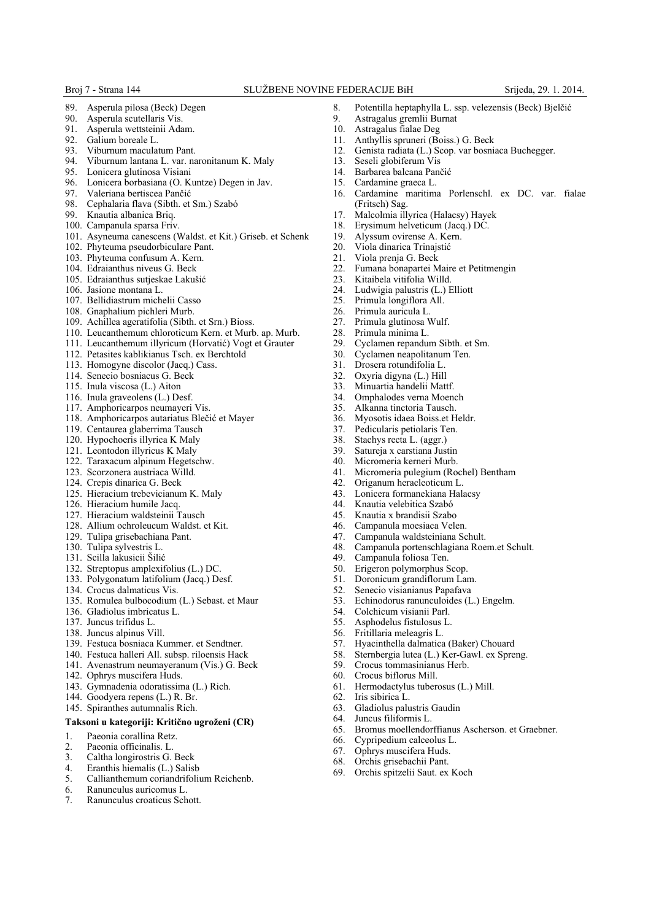## Broj 7 - Strana 144 SLUŽBENE NOVINE FEDERACIJE BiH Srijeda, 29. 1. 2014.

- 89. Asperula pilosa (Beck) Degen<br>90. Asperula scutellaris Vis.
- 90. Asperula scutellaris Vis.<br>91 Asperula wettsteinii Ada
- 91. Asperula wettsteinii Adam.<br>92. Galium boreale L.
- Galium boreale L.
- 93. Viburnum maculatum Pant.
- 94. Viburnum lantana L. var. naronitanum K. Maly
- 95. Lonicera glutinosa Visiani
- 96. Lonicera borbasiana (O. Kuntze) Degen in Jav.
- 97. Valeriana bertiscea Pančić<br>98. Cephalaria flava (Sibth. et
- 98. Cephalaria flava (Sibth. et Sm.) Szabó
- Knautia albanica Briq.
- 100. Campanula sparsa Friv.
- 101. Asyneuma canescens (Waldst. et Kit.) Griseb. et Schenk
- 102. Phyteuma pseudorbiculare Pant.
- 103. Phyteuma confusum A. Kern.
- 104. Edraianthus niveus G. Beck
- 105. Edraianthus sutjeskae Lakušić
- 106. Jasione montana L.
- 107. Bellidiastrum michelii Casso
- 108. Gnaphalium pichleri Murb.
- 109. Achillea ageratifolia (Sibth. et Srn.) Bioss.
- 110. Leucanthemum chloroticum Kern. et Murb. ap. Murb.
- 111. Leucanthemum illyricum (Horvatić) Vogt et Grauter
- 112. Petasites kablikianus Tsch. ex Berchtold
- 113. Homogyne discolor (Jacq.) Cass.
- 114. Senecio bosniacus G. Beck
- 115. Inula viscosa (L.) Aiton
- 116. Inula graveolens (L.) Desf.
- 117. Amphoricarpos neumayeri Vis.
- 118. Amphoricarpos autariatus Blečić et Mayer
- 119. Centaurea glaberrima Tausch
- 120. Hypochoeris illyrica K Maly
- 121. Leontodon illyricus K Maly
- 122. Taraxacum alpinum Hegetschw.
- 123. Scorzonera austriaca Willd.
- 124. Crepis dinarica G. Beck
- 125. Hieracium trebevicianum K. Maly
- 126. Hieracium humile Jacq.
- 127. Hieracium waldsteinii Tausch
- 128. Allium ochroleucum Waldst. et Kit.
- 129. Tulipa grisebachiana Pant.
- 130. Tulipa sylvestris L.
- 131. Scilla lakusicii Šilić
- 132. Streptopus amplexifolius (L.) DC.
- 133. Polygonatum latifolium (Jacq.) Desf.
- 134. Crocus dalmaticus Vis.
- 135. Romulea bulbocodium (L.) Sebast. et Maur
- 136. Gladiolus imbricatus L.
- 137. Juncus trifidus L.
- 138. Juncus alpinus Vill.
- 139. Festuca bosniaca Kummer. et Sendtner.
- 140. Festuca halleri All. subsp. riloensis Hack
- 141. Avenastrum neumayeranum (Vis.) G. Beck
- 142. Ophrys muscifera Huds.
- 143. Gymnadenia odoratissima (L.) Rich.
- 144. Goodyera repens (L.) R. Br.
- 145. Spiranthes autumnalis Rich.

#### **Taksoni u kategoriji: Kritično ugroženi (CR)**

- 
- 1. Paeonia corallina Retz.<br>2. Paeonia officinalis. L. 2. Paeonia officinalis. L.
- 3. Caltha longirostris G. Beck
- 4. Eranthis hiemalis (L.) Salisb
- 5. Callianthemum coriandrifolium Reichenb.
- 6. Ranunculus auricomus L.
- 7. Ranunculus croaticus Schott.
- 8. Potentilla heptaphylla L. ssp. velezensis (Beck) Bjelčić<br>9. Astragalus gremlji Burnat
- 9. Astragalus gremlii Burnat<br>10 Astragalus fialae Deg
- Astragalus fialae Deg
- 11. Anthyllis spruneri (Boiss.) G. Beck
- 12. Genista radiata (L.) Scop. var bosniaca Buchegger.
- 13. Seseli globiferum Vis
- 14. Barbarea balcana Pančić
- 15. Cardamine graeca L.
- 16. Cardamine maritima Porlenschl. ex DC. var. fialae (Fritsch) Sag.
- 17. Malcolmia illyrica (Halacsy) Hayek
- 18. Erysimum helveticum (Jacq.) DC.
- 19. Alyssum ovirense A. Kern.
- 20. Viola dinarica Trinajstić<br>21. Viola prenia G. Beck
- 21. Viola prenja G. Beck<br>22. Fumana bonapartei M
- 22. Fumana bonapartei Maire et Petitmengin
- 23. Kitaibela vitifolia Willd.<br>24. Ludwigia palustris (L) I
- Ludwigia palustris (L.) Elliott
- 
- 25. Primula longiflora All. Primula auricula L.
- 27. Primula glutinosa Wulf.<br>28. Primula minima I
- 28. Primula minima L.<br>29. Cyclamen repandu
- 29. Cyclamen repandum Sibth. et Sm.<br>30. Cyclamen neapolitanum Ten.
- Cyclamen neapolitanum Ten.
- 31. Drosera rotundifolia L.
- 32. Oxyria digyna (L.) Hill
- 
- 33. Minuartia handelii Mattf. Omphalodes verna Moench
- 
- 35. Alkanna tinctoria Tausch.<br>36 Myosotis idaea Boiss et H Myosotis idaea Boiss.et Heldr.
- 
- 37. Pedicularis petiolaris Ten.<br>38. Stachys recta L (aggr) Stachys recta L. (aggr.)
- 39. Satureja x carstiana Justin

49. Campanula foliosa Ten.<br>50. Erigeron polymorphus S 50. Erigeron polymorphus Scop.<br>51. Doronicum grandiflorum Lar Doronicum grandiflorum Lam. 52. Senecio visianianus Papafava

54. Colchicum visianii Parl. 55. Asphodelus fistulosus L. 56. Fritillaria meleagris L.

59. Crocus tommasinianus Herb.<br>60. Crocus biflorus Mill. Crocus biflorus Mill. 61. Hermodactylus tuberosus (L.) Mill.

63. Gladiolus palustris Gaudin 64. Juncus filiformis L.

66. Cypripedium calceolus L. 67. Ophrys muscifera Huds. 68. Orchis grisebachii Pant. 69. Orchis spitzelii Saut. ex Koch

62. Iris sibirica L.

Micromeria kerneri Murb.

41. Micromeria pulegium (Rochel) Bentham Origanum heracleoticum L. 43. Lonicera formanekiana Halacsy<br>44. Knautia velebitica Szabó 44. Knautia velebitica Szabó 45. Knautia x brandisii Szabo Campanula moesiaca Velen. 47. Campanula waldsteiniana Schult.<br>48. Campanula portenschlagiana Roe

48. Campanula portenschlagiana Roem.et Schult.

53. Echinodorus ranunculoides (L.) Engelm.

57. Hyacinthella dalmatica (Baker) Chouard<br>58. Sternbergia lutea (L.) Ker-Gawl. ex Spre 58. Sternbergia lutea (L.) Ker-Gawl. ex Spreng.

65. Bromus moellendorffianus Ascherson. et Graebner.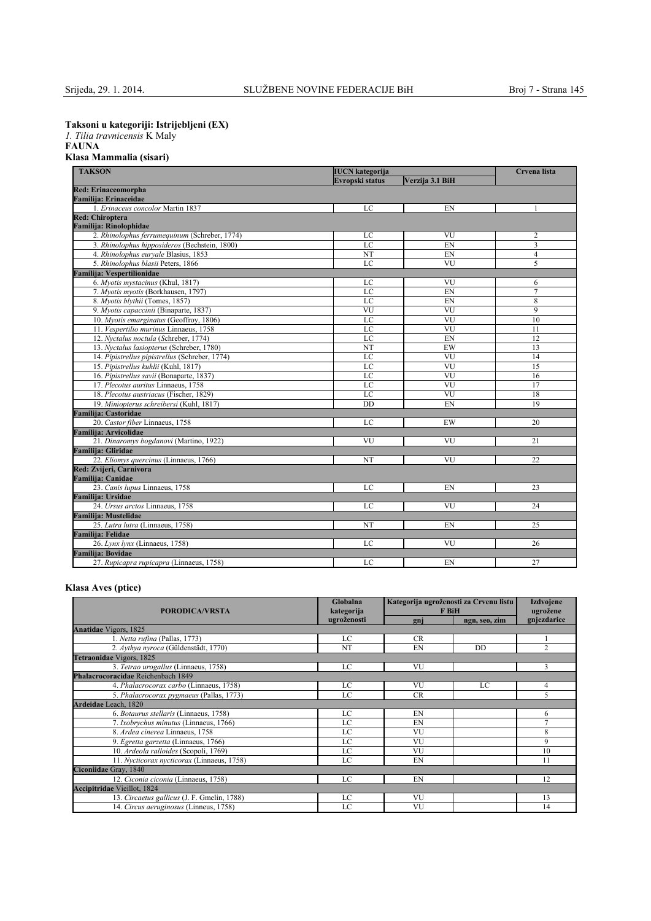**Taksoni u kategoriji: Istrijebljeni (EX)**

*1. Tilia travnicensis* K Maly

## **FAUNA Klasa Mammalia (sisari)**

| <b>TAKSON</b><br><b>IUCN</b> kategorija        |                 |                        | Crvena lista   |  |
|------------------------------------------------|-----------------|------------------------|----------------|--|
|                                                | Verzija 3.1 BiH |                        |                |  |
| <b>Red: Erinaceomorpha</b>                     |                 |                        |                |  |
| Familija: Erinaceidae                          |                 |                        |                |  |
| 1. Erinaceus concolor Martin 1837              | LC              | EN                     |                |  |
| <b>Red: Chiroptera</b>                         |                 |                        |                |  |
| Familija: Rinolophidae                         |                 |                        |                |  |
| 2. Rhinolophus ferrumequinum (Schreber, 1774)  | LC              | VU                     | 2              |  |
| 3. Rhinolophus hipposideros (Bechstein, 1800)  | LC              | EN                     | $\overline{3}$ |  |
| 4. Rhinolophus euryale Blasius, 1853           | NT              | EN                     | $\overline{4}$ |  |
| 5. Rhinolophus blasii Peters, 1866             | LC              | VU                     | 5              |  |
| Familija: Vespertilionidae                     |                 |                        |                |  |
| 6. Myotis mystacinus (Khul, 1817)              | LC              | VU                     | 6              |  |
| 7. Myotis myotis (Borkhausen, 1797)            | LC              | EN                     | $\overline{7}$ |  |
| 8. Myotis blythii (Tomes, 1857)                | LC              | EN                     | 8              |  |
| 9. Myotis capaccinii (Binaparte, 1837)         | VU              | VU                     | 9              |  |
| 10. Myotis emarginatus (Geoffroy, 1806)        | LC              | VU                     | 10             |  |
| 11. Vespertilio murinus Linnaeus, 1758         | LC              | VU                     | 11             |  |
| 12. Nyctalus noctula (Schreber, 1774)          | LC              | EN                     | 12             |  |
| 13. Nyctalus lasiopterus (Schreber, 1780)      | NT              | EW                     | 13             |  |
| 14. Pipistrellus pipistrellus (Schreber, 1774) | LC              | VU                     | 14             |  |
| 15. Pipistrellus kuhlii (Kuhl, 1817)           | $_{\rm LC}$     | VU                     | 15             |  |
| 16. Pipistrellus savii (Bonaparte, 1837)       | LC              | VU                     | 16             |  |
| 17. Plecotus auritus Linnaeus, 1758            | LC              | VU                     | 17             |  |
| 18. Plecotus austriacus (Fischer, 1829)        | LC              | $\overline{\text{VU}}$ | 18             |  |
| 19. Miniopterus schreibersi (Kuhl, 1817)       | DD              | EN                     | 19             |  |
| <b>Familija: Castoridae</b>                    |                 |                        |                |  |
| 20. Castor fiber Linnaeus, 1758                | LC              | EW                     | 20             |  |
| Familija: Arvicolidae                          |                 |                        |                |  |
| 21. Dinaromys bogdanovi (Martino, 1922)        | VU              | <b>VU</b>              | 21             |  |
| <b>Familija: Gliridae</b>                      |                 |                        |                |  |
| 22. Eliomys quercinus (Linnaeus, 1766)         | NT              | VU                     | 22             |  |
| Red: Zvijeri, Carnivora                        |                 |                        |                |  |
| <b>Familija: Canidae</b>                       |                 |                        |                |  |
| 23. Canis lupus Linnaeus, 1758                 | LC              | EN                     | 23             |  |
| Familija: Ursidae                              |                 |                        |                |  |
| 24. Ursus arctos Linnaeus, 1758                | LC              | VU                     | 24             |  |
| <b>Familija: Mustelidae</b>                    |                 |                        |                |  |
| 25. Lutra lutra (Linnaeus, 1758)               | NT              | EN                     | 25             |  |
| Familija: Felidae                              |                 |                        |                |  |
| 26. Lynx lynx (Linnaeus, 1758)                 | LC              | <b>VU</b>              | 26             |  |
| <b>Familija: Bovidae</b>                       |                 |                        |                |  |
| 27. Rupicapra rupicapra (Linnaeus, 1758)       | LC              | EN                     | 27             |  |

## **Klasa Aves (ptice)**

| Globalna<br>kategorija<br><b>PORODICA/VRSTA</b> |             | Kategorija ugroženosti za Crvenu listu<br><b>F</b> BiH |               | <b>Izdvojene</b><br>ugrožene |
|-------------------------------------------------|-------------|--------------------------------------------------------|---------------|------------------------------|
|                                                 | ugroženosti | gnj                                                    | ngn, seo, zim | gnjezdarice                  |
| <b>Anatidae Vigors, 1825</b>                    |             |                                                        |               |                              |
| 1. Netta rufina (Pallas, 1773)                  | LC          | <b>CR</b>                                              |               |                              |
| 2. Aythya nyroca (Güldenstädt, 1770)            | NT          | EN                                                     | DD            | $\overline{c}$               |
| Tetraonidae Vigors, 1825                        |             |                                                        |               |                              |
| 3. Tetrao urogallus (Linnaeus, 1758)            | LC          | VU                                                     |               | 3                            |
| Phalacrocoracidae Reichenbach 1849              |             |                                                        |               |                              |
| 4. Phalacrocorax carbo (Linnaeus, 1758)         | LC          | VU                                                     | LC            | 4                            |
| 5. Phalacrocorax pygmaeus (Pallas, 1773)        | LC          | <b>CR</b>                                              |               | 5                            |
| Ardeidae Leach, 1820                            |             |                                                        |               |                              |
| 6. Botaurus stellaris (Linnaeus, 1758)          | LC          | EN                                                     |               | 6                            |
| 7. Ixobrychus minutus (Linnaeus, 1766)          | LC          | EN                                                     |               | $\tau$                       |
| 8. Ardea cinerea Linnaeus, 1758                 | LC          | VU                                                     |               | 8                            |
| 9. Egretta garzetta (Linnaeus, 1766)            | LC          | VU                                                     |               | 9                            |
| 10. Ardeola ralloides (Scopoli, 1769)           | LC          | VU                                                     |               | 10                           |
| 11. Nycticorax nycticorax (Linnaeus, 1758)      | LC          | EN                                                     |               | 11                           |
| Ciconiidae Gray, 1840                           |             |                                                        |               |                              |
| 12. Ciconia ciconia (Linnaeus, 1758)            | LC          | EN                                                     |               | 12                           |
| <b>Accipitridae Vieillot</b> , 1824             |             |                                                        |               |                              |
| 13. Circaetus gallicus (J. F. Gmelin, 1788)     | LC          | VU                                                     |               | 13                           |
| 14. Circus aeruginosus (Linneus, 1758)          | LC          | VU                                                     |               | 14                           |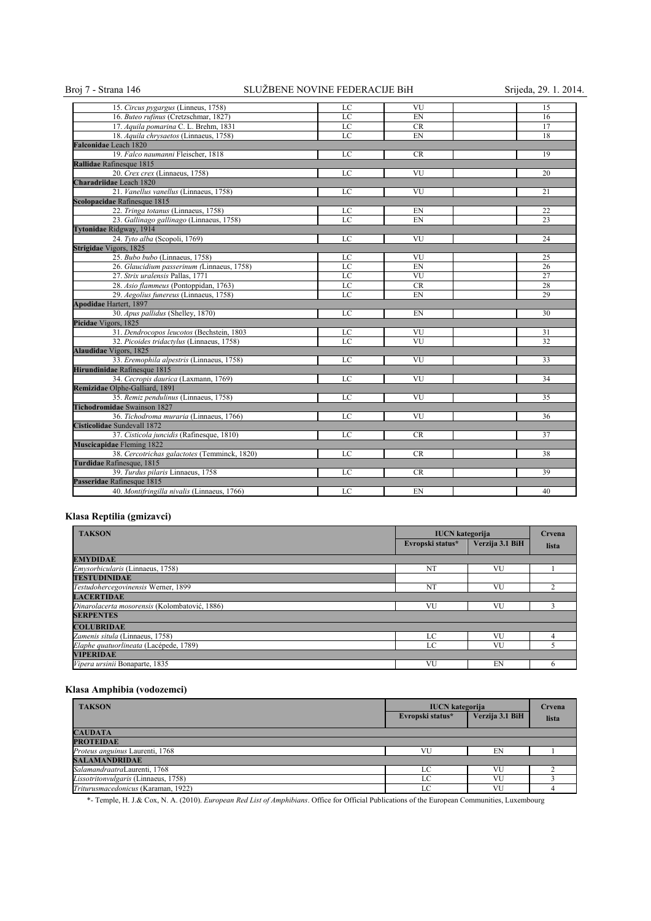## Broj 7 - Strana 146 SLUŽBENE NOVINE FEDERACIJE BiH Srijeda, 29. 1. 2014.

| 15. Circus pygargus (Linneus, 1758)          | LC | VU        | 15 |
|----------------------------------------------|----|-----------|----|
| 16. Buteo rufinus (Cretzschmar, 1827)        | LC | EN        | 16 |
| 17. Aquila pomarina C. L. Brehm, 1831        | LC | <b>CR</b> | 17 |
| 18. Aquila chrysaetos (Linnaeus, 1758)       | LC | EN        | 18 |
| <b>Falconidae</b> Leach 1820                 |    |           |    |
| 19. Falco naumanni Fleischer, 1818           | LC | <b>CR</b> | 19 |
| Rallidae Rafinesque 1815                     |    |           |    |
| 20. Crex crex (Linnaeus, 1758)               | LC | VU        | 20 |
| Charadriidae Leach 1820                      |    |           |    |
| 21. Vanellus vanellus (Linnaeus, 1758)       | LC | VU        | 21 |
| Scolopacidae Rafinesque 1815                 |    |           |    |
| 22. Tringa totanus (Linnaeus, 1758)          | LC | <b>FN</b> | 22 |
| 23. Gallinago gallinago (Linnaeus, 1758)     | LC | EN        | 23 |
| <b>Tytonidae Ridgway</b> , 1914              |    |           |    |
| 24. Tyto alba (Scopoli, 1769)                | LC | VU        | 24 |
| Strigidae Vigors, 1825                       |    |           |    |
| 25. Bubo bubo (Linnaeus, 1758)               | LC | VU        | 25 |
| 26. Glaucidium passerinum (Linnaeus, 1758)   | LC | EN        | 26 |
| 27. Strix uralensis Pallas, 1771             | LC | VU        | 27 |
| 28. Asio flammeus (Pontoppidan, 1763)        | LC | <b>CR</b> | 28 |
| 29. Aegolius funereus (Linnaeus, 1758)       | LC | EN        | 29 |
| <b>Apodidae Hartert, 1897</b>                |    |           |    |
| 30. Apus pallidus (Shelley, 1870)            | LC | EN        | 30 |
| Picidae Vigors, 1825                         |    |           |    |
| 31. Dendrocopos leucotos (Bechstein, 1803    | LC | VU        | 31 |
| 32. Picoides tridactylus (Linnaeus, 1758)    | LC | VU        | 32 |
| <b>Alaudidae</b> Vigors, 1825                |    |           |    |
| 33. Eremophila alpestris (Linnaeus, 1758)    | LC | VU        | 33 |
| Hirundinidae Rafinesque 1815                 |    |           |    |
| 34. Cecropis daurica (Laxmann, 1769)         | LC | VU        | 34 |
| Remizidae Olphe-Galliard, 1891               |    |           |    |
| 35. Remiz pendulinus (Linnaeus, 1758)        | LC | VU        | 35 |
| <b>Tichodromidae</b> Swainson 1827           |    |           |    |
| 36. Tichodroma muraria (Linnaeus, 1766)      | LC | VU        | 36 |
| Cisticolidae Sundevall 1872                  |    |           |    |
| 37. Cisticola juncidis (Rafinesque, 1810)    | LC | <b>CR</b> | 37 |
| <b>Muscicapidae</b> Fleming 1822             |    |           |    |
| 38. Cercotrichas galactotes (Temminck, 1820) | LC | <b>CR</b> | 38 |
| Turdidae Rafinesque, 1815                    |    |           |    |
| 39. Turdus pilaris Linnaeus, 1758            | LC | <b>CR</b> | 39 |
| Passeridae Rafinesque 1815                   |    |           |    |
| 40. Montifringilla nivalis (Linnaeus, 1766)  | LC | EN        | 40 |

## **Klasa Reptilia (gmizavci)**

| <b>TAKSON</b>                                 | <b>IUCN</b> kategorija |                 | Crvena |
|-----------------------------------------------|------------------------|-----------------|--------|
|                                               | Evropski status*       | Verzija 3.1 BiH | lista  |
| <b>EMYDIDAE</b>                               |                        |                 |        |
| <i>Emysorbicularis</i> (Linnaeus, 1758)       | NT                     | VU              |        |
| <b>TESTUDINIDAE</b>                           |                        |                 |        |
| Testudohercegovinensis Werner, 1899           | NT                     | VU              |        |
| <b>LACERTIDAE</b>                             |                        |                 |        |
| Dinarolacerta mosorensis (Kolombatović, 1886) | VU                     | VU              |        |
| <b>SERPENTES</b>                              |                        |                 |        |
| <b>COLUBRIDAE</b>                             |                        |                 |        |
| Zamenis situla (Linnaeus, 1758)               | LC                     | VU              |        |
| Elaphe quatuorlineata (Lacépede, 1789)        | LC                     | VU              |        |
| <b>VIPERIDAE</b>                              |                        |                 |        |
| Vipera ursinii Bonaparte, 1835                | VU                     | EN              | n      |

## **Klasa Amphibia (vodozemci)**

| <b>TAKSON</b>                        | <b>IUCN</b> kategorija |                 | Crvena |
|--------------------------------------|------------------------|-----------------|--------|
|                                      | Evropski status*       | Verzija 3.1 BiH | lista  |
| <b>CAUDATA</b>                       |                        |                 |        |
| <b>PROTEIDAE</b>                     |                        |                 |        |
| Proteus anguinus Laurenti, 1768      | VU                     | EN              |        |
| <b>SALAMANDRIDAE</b>                 |                        |                 |        |
| SalamandraatraLaurenti, 1768         | LC                     | VU              |        |
| Lissotritonvulgaris (Linnaeus, 1758) | LC                     | VU              |        |
| Triturusmacedonicus (Karaman, 1922)  | LC                     | VU              |        |

\*- Temple, H. J.& Cox, N. A. (2010). *European Red List of Amphibians*. Office for Official Publications of the European Communities, Luxembourg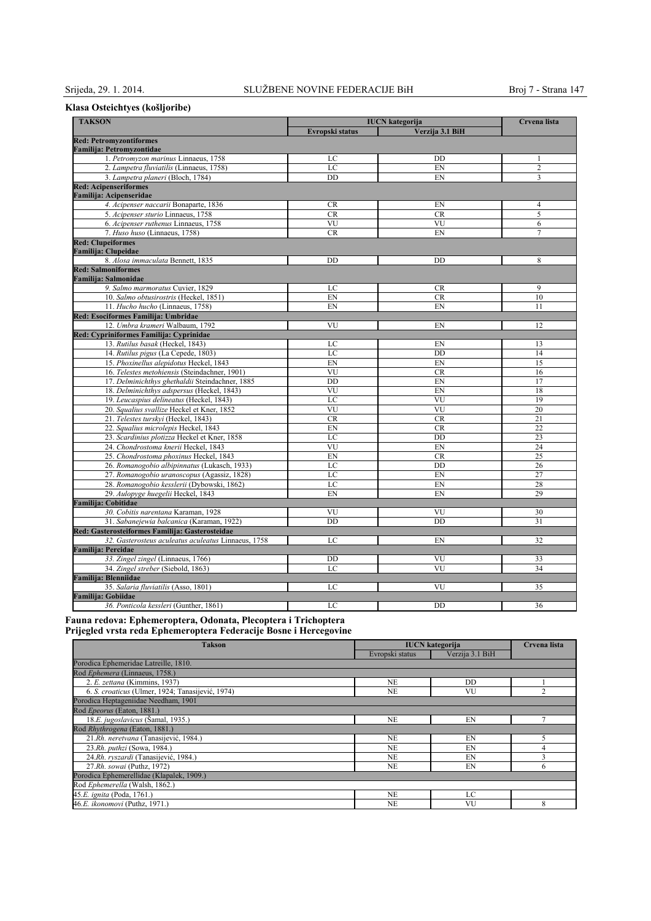## **Klasa Osteichtyes (košljoribe)**

| <b>TAKSON</b>                                       | <b>IUCN</b> kategorija | Crvena lista    |                |
|-----------------------------------------------------|------------------------|-----------------|----------------|
| Evropski status                                     |                        | Verzija 3.1 BiH |                |
| <b>Red: Petromyzontiformes</b>                      |                        |                 |                |
| Familija: Petromyzontidae                           |                        |                 |                |
| 1. Petromyzon marinus Linnaeus, 1758                | LC                     | DD              | 1              |
| 2. Lampetra fluviatilis (Linnaeus, 1758)            | LC                     | EN              | $\overline{2}$ |
| 3. Lampetra planeri (Bloch, 1784)                   | DD                     | EN              | 3              |
| <b>Red: Acipenseriformes</b>                        |                        |                 |                |
| Familija: Acipenseridae                             |                        |                 |                |
| 4. Acipenser naccarii Bonaparte, 1836               | <b>CR</b>              | EN              | 4              |
| 5. Acipenser sturio Linnaeus, 1758                  | <b>CR</b>              | <b>CR</b>       | 5              |
| 6. Acipenser ruthenus Linnaeus, 1758                | VU                     | VU              | 6              |
| 7. Huso huso (Linnaeus, 1758)                       | <b>CR</b>              | EN              | 7              |
| <b>Red: Clupeiformes</b>                            |                        |                 |                |
| <b>Familija: Clupeidae</b>                          |                        |                 |                |
| 8. Alosa immaculata Bennett, 1835                   | DD                     | DD              | 8              |
| <b>Red: Salmoniformes</b>                           |                        |                 |                |
| Familija: Salmonidae                                |                        |                 |                |
| 9. Salmo marmoratus Cuvier, 1829                    | LC                     | CR.             | 9              |
| 10. Salmo obtusirostris (Heckel, 1851)              | EN                     | <b>CR</b>       | 10             |
| 11. Hucho hucho (Linnaeus, 1758)                    | EN                     | EN              | 11             |
| Red: Esociformes Familija: Umbridae                 |                        |                 |                |
| 12. Umbra krameri Walbaum, 1792                     | VU                     | EN              | 12             |
| Red: Cypriniformes Familija: Cyprinidae             |                        |                 |                |
| 13. Rutilus basak (Heckel, 1843)                    | LC                     | EN              | 13             |
| 14. Rutilus pigus (La Cepede, 1803)                 | LC                     | DD              | 14             |
| 15. Phoxinellus alepidotus Heckel, 1843             | EN                     | EN              | 15             |
| 16. Telestes metohiensis (Steindachner, 1901)       | VU                     | <b>CR</b>       | 16             |
| 17. Delminichthys ghethaldii Steindachner, 1885     | DD                     | EN              | 17             |
| 18. Delminichthys adspersus (Heckel, 1843)          | VU                     | EN              | 18             |
| 19. Leucaspius delineatus (Heckel, 1843)            | LC                     | VU              | 19             |
| 20. Squalius svallize Heckel et Kner, 1852          | VU                     | VU              | 20             |
| 21. Telestes turskyi (Heckel, 1843)                 | <b>CR</b>              | CR              | 21             |
| 22. Squalius microlepis Heckel, 1843                | EN                     | <b>CR</b>       | 22             |
| 23. Scardinius plotizza Heckel et Kner, 1858        | LC                     | DD              | 23             |
| 24. Chondrostoma knerii Heckel, 1843                | VU                     | EN              | 24             |
| 25. Chondrostoma phoxinus Heckel, 1843              | EN                     | <b>CR</b>       | 25             |
| 26. Romanogobio albipinnatus (Lukasch, 1933)        | LC                     | DD              | 26             |
| 27. Romanogobio uranoscopus (Agassiz, 1828)         | LC                     | EN              | 27             |
| 28. Romanogobio kesslerii (Dybowski, 1862)          | LC                     | EN              | 28             |
| 29. Aulopyge huegelii Heckel, 1843                  | EN                     | EN              | 29             |
| Familija: Cobitidae                                 |                        |                 |                |
| 30. Cobitis narentana Karaman, 1928                 | VU                     | VU              | 30             |
| 31. Sabanejewia balcanica (Karaman, 1922)           | DD                     | <b>DD</b>       | 31             |
| Red: Gasterosteiformes Familija: Gasterosteidae     |                        |                 |                |
| 32. Gasterosteus aculeatus aculeatus Linnaeus, 1758 | LC                     | EN              | 32             |
| <b>Familija: Percidae</b>                           |                        |                 |                |
| 33. Zingel zingel (Linnaeus, 1766)                  | DD                     | VU              | 33             |
| 34. Zingel streber (Siebold, 1863)                  | LC                     | VU              | 34             |
| <b>Familija: Blenniidae</b>                         |                        |                 |                |
| 35. Salaria fluviatilis (Asso, 1801)                | LC                     | VU              | 35             |
| <b>Familija: Gobiidae</b>                           |                        |                 |                |
| 36. Ponticola kessleri (Gunther, 1861)              | LC                     | DD              | 36             |
|                                                     |                        |                 |                |

**Fauna redova: Ephemeroptera, Odonata, Plecoptera i Trichoptera Prijegled vrsta reda Ephemeroptera Federacije Bosne i Hercegovine** 

| <b>Takson</b>                                    | <b>IUCN</b> kategorija |                 | Crvena lista |
|--------------------------------------------------|------------------------|-----------------|--------------|
|                                                  | Evropski status        | Verzija 3.1 BiH |              |
| Porodica Ephemeridae Latreille, 1810.            |                        |                 |              |
| Rod Ephemera (Linnaeus, 1758.)                   |                        |                 |              |
| 2. E. zettana (Kimmins, 1937)                    | NE                     | <b>DD</b>       |              |
| 6. S. croaticus (Ulmer, 1924; Tanasijević, 1974) | <b>NE</b>              | VU              | C            |
| Porodica Heptageniidae Needham, 1901             |                        |                 |              |
| Rod Epeorus (Eaton, 1881.)                       |                        |                 |              |
| 18.E. jugoslavicus (Šamal, 1935.)                | <b>NE</b>              | EN              |              |
| Rod Rhythrogena (Eaton, 1881.)                   |                        |                 |              |
| 21.Rh. neretvana (Tanasijević, 1984.)            | <b>NE</b>              | EN              |              |
| 23.Rh. puthzi (Sowa, 1984.)                      | <b>NE</b>              | EN              | 4            |
| 24.Rh. ryszardi (Tanasijević, 1984.)             | <b>NE</b>              | EN              |              |
| 27.Rh. sowai (Puthz, 1972)                       | <b>NE</b>              | EN              | <sub>(</sub> |
| Porodica Ephemerellidae (Klapalek, 1909.)        |                        |                 |              |
| Rod Ephemerella (Walsh, 1862.)                   |                        |                 |              |
| 45.E. ignita (Poda, 1761.)                       | <b>NE</b>              | LC              |              |
| 46.E. ikonomovi (Puthz, 1971.)                   | <b>NE</b>              | VU              | 8            |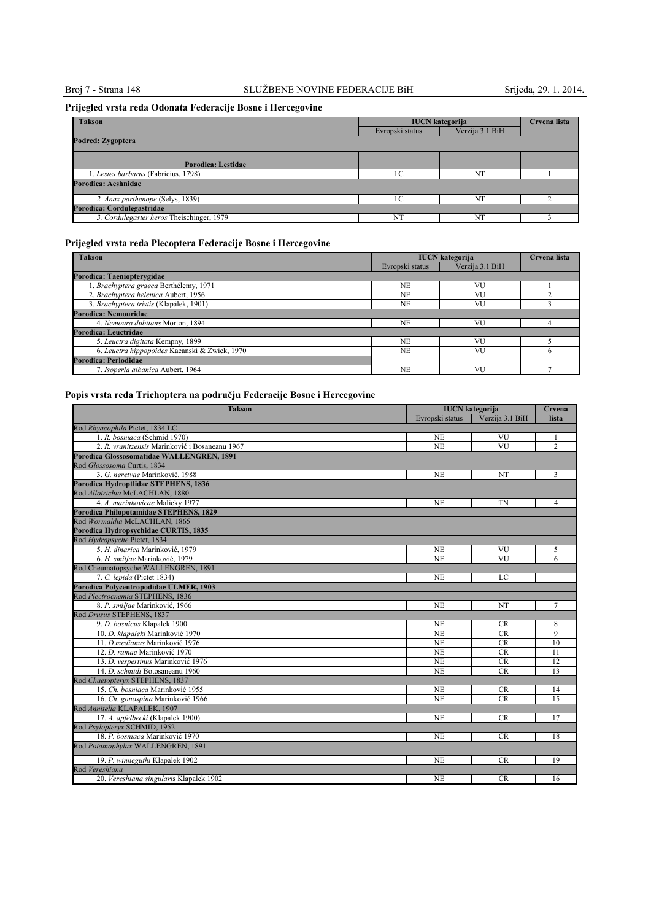# Broj 7 - Strana 148 SLUŽBENE NOVINE FEDERACIJE BiH Srijeda, 29. 1. 2014.

## **Prijegled vrsta reda Odonata Federacije Bosne i Hercegovine**

| <b>Takson</b>                             | <b>IUCN</b> kategorija | Crvena lista    |  |
|-------------------------------------------|------------------------|-----------------|--|
|                                           | Evropski status        | Verzija 3.1 BiH |  |
| Podred: Zygoptera                         |                        |                 |  |
| Porodica: Lestidae                        |                        |                 |  |
| 1. Lestes barbarus (Fabricius, 1798)      | LC                     | NT              |  |
| Porodica: Aeshnidae                       |                        |                 |  |
| 2. Anax parthenope (Selys, 1839)          | LC                     | NT              |  |
| Porodica: Cordulegastridae                |                        |                 |  |
| 3. Cordulegaster heros Theischinger, 1979 | NT                     | NT              |  |

## **Prijegled vrsta reda Plecoptera Federacije Bosne i Hercegovine**

| <b>Takson</b>                                 | <b>IUCN</b> kategorija |                 | Crvena lista |
|-----------------------------------------------|------------------------|-----------------|--------------|
|                                               | Evropski status        | Verzija 3.1 BiH |              |
| Porodica: Taenioptervgidae                    |                        |                 |              |
| 1. Brachyptera graeca Berthélemy, 1971        | NE                     | VU              |              |
| 2. Brachyptera helenica Aubert, 1956          | <b>NE</b>              | VU              |              |
| 3. Brachyptera tristis (Klapálek, 1901)       | <b>NE</b>              | VU              |              |
| Porodica: Nemouridae                          |                        |                 |              |
| 4. Nemoura dubitans Morton, 1894              | <b>NE</b>              | <b>VU</b>       |              |
| Porodica: Leuctridae                          |                        |                 |              |
| 5. Leuctra digitata Kempny, 1899              | NE.                    | VU              |              |
| 6. Leuctra hippopoides Kacanski & Zwick, 1970 | <b>NE</b>              | VU              | n            |
| Porodica: Perlodidae                          |                        |                 |              |
| 7. Isoperla albanica Aubert, 1964             | NF.                    | VU              |              |

## **Popis vrsta reda Trichoptera na području Federacije Bosne i Hercegovine**

| <b>Takson</b>                                  | <b>IUCN</b> kategorija |                 | Crvena         |
|------------------------------------------------|------------------------|-----------------|----------------|
|                                                | Evropski status        | Verzija 3.1 BiH | lista          |
| Rod Rhyacophila Pictet, 1834 LC                |                        |                 |                |
| 1. R. bosniaca (Schmid 1970)                   | <b>NE</b>              | VU              |                |
| 2. R. vranitzensis Marinković i Bosaneanu 1967 | <b>NE</b>              | VU              | $\overline{c}$ |
| Porodica Glossosomatidae WALLENGREN, 1891      |                        |                 |                |
| Rod Glossosoma Curtis, 1834                    |                        |                 |                |
| 3. G. neretvae Marinković, 1988                | <b>NE</b>              | NT              | 3              |
| Porodica Hydroptlidae STEPHENS, 1836           |                        |                 |                |
| Rod Allotrichia McLACHLAN, 1880                |                        |                 |                |
| 4. A. marinkovicae Malicky 1977                | <b>NE</b>              | <b>TN</b>       | $\overline{4}$ |
| Porodica Philopotamidae STEPHENS, 1829         |                        |                 |                |
| Rod Wormaldia McLACHLAN, 1865                  |                        |                 |                |
| Porodica Hydropsychidae CURTIS, 1835           |                        |                 |                |
| Rod Hydropsyche Pictet, 1834                   |                        |                 |                |
| 5. H. dinarica Marinković, 1979                | <b>NE</b>              | VU              | 5              |
| 6. H. smiliae Marinković, 1979                 | <b>NE</b>              | VU              | 6              |
| Rod Cheumatopsyche WALLENGREN, 1891            |                        |                 |                |
| 7. C. lepida (Pictet 1834)                     | <b>NE</b>              | LC              |                |
| Porodica Polycentropodidae ULMER, 1903         |                        |                 |                |
| Rod Plectrocnemia STEPHENS, 1836               |                        |                 |                |
| 8. P. smiljae Marinković, 1966                 | <b>NE</b>              | NT              | $\overline{7}$ |
| Rod Drusus STEPHENS, 1837                      |                        |                 |                |
| 9. D. bosnicus Klapalek 1900                   | <b>NE</b>              | <b>CR</b>       | 8              |
| 10. D. klapaleki Marinković 1970               | <b>NE</b>              | <b>CR</b>       | 9              |
| 11. D. medianus Marinković 1976                | <b>NE</b>              | CR              | 10             |
| 12. D. ramae Marinković 1970                   | <b>NE</b>              | <b>CR</b>       | 11             |
| 13. D. vespertinus Marinković 1976             | <b>NE</b>              | <b>CR</b>       | 12             |
| 14. D. schmidi Botosaneanu 1960                | <b>NE</b>              | CR              | 13             |
| Rod Chaetoptervx STEPHENS, 1837                |                        |                 |                |
| 15. Ch. bosniaca Marinković 1955               | NE                     | <b>CR</b>       | 14             |
| 16. Ch. gonospina Marinković 1966              | <b>NE</b>              | CR              | 15             |
| Rod Annitella KLAPALEK, 1907                   |                        |                 |                |
| 17. A. apfelbecki (Klapalek 1900)              | <b>NE</b>              | <b>CR</b>       | 17             |
| Rod Psylopteryx SCHMID, 1952                   |                        |                 |                |
| 18. P. bosniaca Marinković 1970                | NE                     | <b>CR</b>       | 18             |
| Rod Potamophylax WALLENGREN, 1891              |                        |                 |                |
| 19. P. winneguthi Klapalek 1902                | <b>NE</b>              | CR              | 19             |
| Rod Vereshiana                                 |                        |                 |                |
| 20. Vereshiana singularis Klapalek 1902        | <b>NE</b>              | <b>CR</b>       | 16             |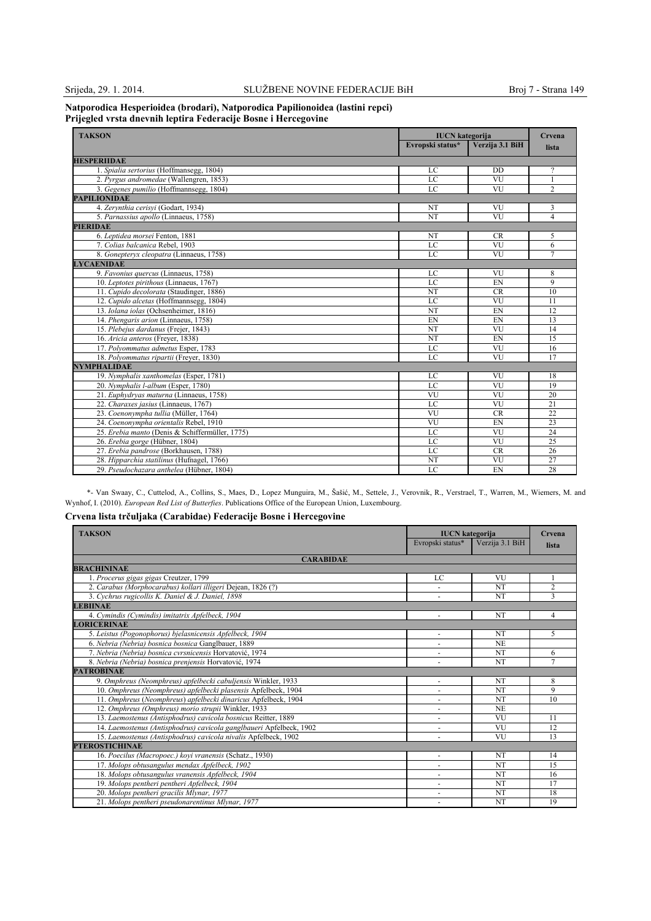#### **Natporodica Hesperioidea (brodari), Natporodica Papilionoidea (lastini repci) Prijegled vrsta dnevnih leptira Federacijе Bosne i Hercegovine**

| <b>TAKSON</b>                                   | <b>IUCN</b> kategorija<br>Evropski status*<br>Verzija 3.1 BiH |           | Crvena         |
|-------------------------------------------------|---------------------------------------------------------------|-----------|----------------|
|                                                 |                                                               |           | lista          |
| <b>HESPERIIDAE</b>                              |                                                               |           |                |
| 1. Spialia sertorius (Hoffmansegg, 1804)        | LC                                                            | <b>DD</b> | 2              |
| 2. Pyrgus andromedae (Wallengren, 1853)         | LC                                                            | VU        |                |
| 3. Gegenes pumilio (Hoffmannsegg, 1804)         | LC                                                            | VU        | $\overline{c}$ |
| <b>PAPILIONIDAE</b>                             |                                                               |           |                |
| 4. Zervnthia cerisvi (Godart, 1934)             | NT                                                            | VU        | 3              |
| 5. Parnassius apollo (Linnaeus, 1758)           | NT                                                            | VU        | 4              |
| <b>PIERIDAE</b>                                 |                                                               |           |                |
| 6. Leptidea morsei Fenton, 1881                 | NT                                                            | <b>CR</b> | 5              |
| 7. Colias balcanica Rebel, 1903                 | $_{\rm LC}$                                                   | VU        | 6              |
| 8. Gonepteryx cleopatra (Linnaeus, 1758)        | LC                                                            | VU        | 7              |
| <b>LYCAENIDAE</b>                               |                                                               |           |                |
| 9. Favonius quercus (Linnaeus, 1758)            | LC                                                            | VU        | 8              |
| 10. Leptotes pirithous (Linnaeus, 1767)         | LC                                                            | EN        | 9              |
| 11. Cupido decolorata (Staudinger, 1886)        | NT                                                            | <b>CR</b> | 10             |
| 12. Cupido alcetas (Hoffmannsegg, 1804)         | LC                                                            | VU        | 11             |
| 13. Iolana iolas (Ochsenheimer, 1816)           | NT                                                            | EN        | 12             |
| 14. Phengaris arion (Linnaeus, 1758)            | EN                                                            | EN        | 13             |
| 15. Plebejus dardanus (Frejer, 1843)            | NT                                                            | VU        | 14             |
| 16. Aricia anteros (Freyer, 1838)               | NT                                                            | EN        | 15             |
| 17. Polyommatus admetus Esper, 1783             | LC                                                            | VU        | 16             |
| 18. Polyommatus ripartii (Freyer, 1830)         | LC                                                            | VU        | 17             |
| <b>NYMPHALIDAE</b>                              |                                                               |           |                |
| 19. Nymphalis xanthomelas (Esper, 1781)         | LC                                                            | VU        | 18             |
| 20. Nymphalis l-album (Esper, 1780)             | LC                                                            | VU        | 19             |
| 21. Euphydryas maturna (Linnaeus, 1758)         | VU                                                            | VU        | 20             |
| 22. Charaxes jasius (Linnaeus, 1767)            | LC                                                            | VU        | 21             |
| 23. Coenonympha tullia (Müller, 1764)           | VU                                                            | <b>CR</b> | 22             |
| 24. Coenonympha orientalis Rebel, 1910          | VU                                                            | EN        | 23             |
| 25. Erebia manto (Denis & Schiffermüller, 1775) | LC                                                            | VU        | 24             |
| 26. Erebia gorge (Hübner, 1804)                 | LC                                                            | VU        | 25             |
| 27. Erebia pandrose (Borkhausen, 1788)          | LC                                                            | <b>CR</b> | 26             |
| 28. Hipparchia statilinus (Hufnagel, 1766)      | NT                                                            | VU        | 27             |
| 29. Pseudochazara anthelea (Hübner, 1804)       | LC                                                            | EN        | 28             |

\*- Van Swaay, C., Cuttelod, A., Collins, S., Maes, D., Lopez Munguira, M., Šašić, M., Settele, J., Verovnik, R., Verstrael, T., Warren, M., Wiemers, M. and Wynhof, I. (2010). *European Red List of Butterfies*. Publications Office of the European Union, Luxembourg.

## **Crvena lista trčuljaka (Carabidae) Federacije Bosne i Hercegovine**

| <b>TAKSON</b>                                                       | <b>IUCN</b> kategorija   |                 | Crvena         |
|---------------------------------------------------------------------|--------------------------|-----------------|----------------|
|                                                                     | Evropski status*         | Verzija 3.1 BiH | lista          |
| <b>CARABIDAE</b>                                                    |                          |                 |                |
| <b>BRACHININAE</b>                                                  |                          |                 |                |
| 1. Procerus gigas gigas Creutzer, 1799                              | LC                       | <b>VU</b>       |                |
| 2. Carabus (Morphocarabus) kollari illigeri Dejean, 1826 (?)        |                          | NT              | $\overline{2}$ |
| 3. Cychrus rugicollis K. Daniel & J. Daniel, 1898                   |                          | NT              | $\mathbf{3}$   |
| <b>LEBIINAE</b>                                                     |                          |                 |                |
| 4. Cymindis (Cymindis) imitatrix Apfelbeck, 1904                    |                          | <b>NT</b>       | 4              |
| <b>LORICERINAE</b>                                                  |                          |                 |                |
| 5. Leistus (Pogonophorus) bjelasnicensis Apfelbeck, 1904            |                          | NT              | 5              |
| 6. Nebria (Nebria) bosnica bosnica Ganglbauer, 1889                 |                          | N <sub>E</sub>  |                |
| 7. Nebria (Nebria) bosnica cvrsnicensis Horvatović, 1974            |                          | NT              | 6              |
| 8. Nebria (Nebria) bosnica prenjensis Horvatović, 1974              | $\ddot{\phantom{1}}$     | NT              | 7              |
| <b>PATROBINAE</b>                                                   |                          |                 |                |
| 9. Omphreus (Neomphreus) apfelbecki cabuljensis Winkler, 1933       |                          | NT              | 8              |
| 10. Omphreus (Neomphreus) apfelbecki plasensis Apfelbeck, 1904      |                          | NT              | 9              |
| 11. Omphreus (Neomphreus) apfelbecki dinaricus Apfelbeck, 1904      | ٠                        | NT              | 10             |
| 12. Omphreus (Omphreus) morio strupii Winkler, 1933                 |                          | <b>NE</b>       |                |
| 13. Laemostenus (Antisphodrus) cavicola bosnicus Reitter, 1889      | ٠                        | VU              | 11             |
| 14. Laemostenus (Antisphodrus) cavicola ganglbaueri Apfelbeck, 1902 |                          | VU              | 12             |
| 15. Laemostenus (Antisphodrus) cavicola nivalis Apfelbeck, 1902     | $\overline{\phantom{a}}$ | VU              | 13             |
| <b>PTEROSTICHINAE</b>                                               |                          |                 |                |
| 16. Poecilus (Macropoec.) kovi vranensis (Schatz., 1930)            | ٠                        | NT              | 14             |
| 17. Molops obtusangulus mendax Apfelbeck, 1902                      |                          | NT              | 15             |
| 18. Molops obtusangulus vranensis Apfelbeck, 1904                   | ٠                        | <b>NT</b>       | 16             |
| 19. Molops pentheri pentheri Apfelbeck, 1904                        |                          | NT              | 17             |
| 20. Molops pentheri gracilis Mlynar, 1977                           | ٠                        | NT              | 18             |
| 21. Molops pentheri pseudonarentinus Mlynar, 1977                   |                          | <b>NT</b>       | 19             |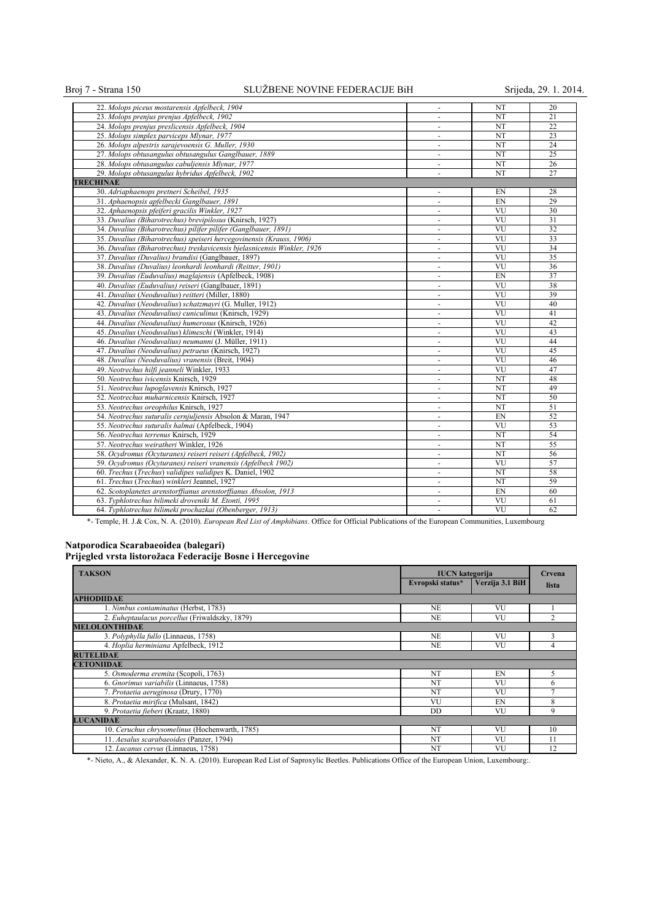## Broj 7 - Strana 150 SLUŽBENE NOVINE FEDERACIJE BiH Srijeda, 29. 1. 2014.

| 22. Molops piceus mostarensis Apfelbeck, 1904                            |                          | NT                     | 20              |
|--------------------------------------------------------------------------|--------------------------|------------------------|-----------------|
| 23. Molops prenjus prenjus Apfelbeck, 1902                               | $\blacksquare$           | NT                     | 21              |
| 24. Molops prenjus preslicensis Apfelbeck, 1904                          | $\overline{\phantom{a}}$ | <b>NT</b>              | 22              |
| 25. Molops simplex parviceps Mlynar, 1977                                | $\blacksquare$           | NT                     | 23              |
| 26. Molops alpestris sarajevoensis G. Muller, 1930                       | $\blacksquare$           | NT                     | 24              |
| 27. Molops obtusangulus obtusangulus Ganglbauer, 1889                    | $\blacksquare$           | NT                     | $\overline{25}$ |
| 28. Molops obtusangulus cabuljensis Mlynar, 1977                         | $\sim$                   | NT                     | 26              |
| 29. Molops obtusangulus hybridus Apfelbeck, 1902                         | $\blacksquare$           | NT                     | 27              |
| <b>TRECHINAE</b>                                                         |                          |                        |                 |
| 30. Adriaphaenops pretneri Scheibel, 1935                                | $\blacksquare$           | EN                     | 28              |
| 31. Aphaenopsis apfelbecki Ganglbauer, 1891                              | $\blacksquare$           | EN                     | 29              |
|                                                                          |                          | VU                     | 30              |
| 32. Aphaenopsis pfeiferi gracilis Winkler, 1927                          | $\blacksquare$           | VU                     | 31              |
| 33. Duvalius (Biharotrechus) brevipilosus (Knirsch, 1927)                | $\blacksquare$           |                        |                 |
| 34. Duvalius (Biharotrechus) pilifer pilifer (Ganglbauer, 1891)          | $\blacksquare$           | VU<br>VU               | 32              |
| 35. Duvalius (Biharotrechus) speiseri hercegovinensis (Krauss, 1906)     | $\blacksquare$           |                        | 33              |
| 36. Duvalius (Biharotrechus) treskavicensis bjelasnicensis Winkler, 1926 | $\blacksquare$           | VU                     | 34              |
| 37. Duvalius (Duvalius) brandisi (Ganglbauer, 1897)                      | $\omega$                 | VU                     | 35              |
| 38. Duvalius (Duvalius) leonhardi leonhardi (Reitter, 1901)              | $\overline{\phantom{a}}$ | VU                     | 36              |
| 39. Duvalius (Euduvalius) maglajensis (Apfelbeck, 1908)                  | $\sim$                   | EN                     | 37              |
| 40. Duvalius (Euduvalius) reiseri (Ganglbauer, 1891)                     | $\omega$                 | VU                     | 38              |
| 41. Duvalius (Neoduvalius) reitteri (Miller, 1880)                       | ÷                        | VU                     | 39              |
| 42. Duvalius (Neoduvalius) schatzmayri (G. Muller, 1912)                 | $\blacksquare$           | VU                     | 40              |
| 43. Duvalius (Neoduvalius) cuniculinus (Knirsch, 1929)                   | $\blacksquare$           | VU                     | 41              |
| 44. Duvalius (Neoduvalius) humerosus (Knirsch, 1926)                     | $\sim$                   | VU                     | 42              |
| 45. Duvalius (Neoduvalius) klimeschi (Winkler, 1914)                     |                          | VU                     | 43              |
| 46. Duvalius (Neoduvalius) neumanni (J. Müller, 1911)                    | $\overline{\phantom{a}}$ | VU                     | 44              |
| 47. Duvalius (Neoduvalius) petraeus (Knirsch, 1927)                      | ÷.                       | VU                     | 45              |
| 48. Duvalius (Neoduvalius) vranensis (Breit, 1904)                       | $\ddot{\phantom{1}}$     | VU                     | 46              |
| 49. Neotrechus hilfi jeanneli Winkler, 1933                              | $\sim$                   | VU                     | 47              |
| 50. Neotrechus ivicensis Knirsch, 1929                                   | $\sim$                   | NT                     | 48              |
| 51. Neotrechus lupoglavensis Knirsch, 1927                               | $\overline{\phantom{a}}$ | <b>NT</b>              | 49              |
| 52. Neotrechus muharnicensis Knirsch, 1927                               | $\overline{\phantom{a}}$ | NT                     | 50              |
| 53. Neotrechus oreophilus Knirsch, 1927                                  | $\omega$                 | <b>NT</b>              | 51              |
| 54. Neotrechus suturalis cernjuljensis Absolon & Maran, 1947             | ä,                       | EN                     | 52              |
| 55. Neotrechus suturalis halmai (Apfelbeck, 1904)                        | $\overline{\phantom{a}}$ | VU                     | 53              |
| 56. Neotrechus terrenus Knirsch, 1929                                    | ÷.                       | NT                     | 54              |
| 57. Neotrechus weiratheri Winkler, 1926                                  | $\sim$                   | NT                     | 55              |
| 58. Ocydromus (Ocyturanes) reiseri reiseri (Apfelbeck, 1902)             | $\sim$                   | NT                     | 56              |
| 59. Ocydromus (Ocyturanes) reiseri vranensis (Apfelbeck 1902)            | $\sim$                   | VU                     | 57              |
| 60. Trechus (Trechus) validipes validipes K. Daniel, 1902                | $\blacksquare$           | <b>NT</b>              | 58              |
| 61. Trechus (Trechus) winkleri Jeannel, 1927                             | $\overline{\phantom{a}}$ | NT                     | 59              |
| 62. Scotoplanetes arenstorffianus arenstorffianus Absolon, 1913          | $\blacksquare$           | EN                     | 60              |
| 63. Typhlotrechus bilimeki droveniki M. Etonti, 1995                     | ä,                       | VU                     | 61              |
| 64. Typhlotrechus bilimeki prochazkai (Obenberger, 1913)                 | $\blacksquare$           | $\overline{\text{VU}}$ | 62              |
|                                                                          |                          |                        |                 |

\*- Temple, H. J.& Cox, N. A. (2010). *European Red List of Amphibians*. Office for Official Publications of the European Communities, Luxembourg

# **Natporodica Scarabaeoidea (balegari)**

| Prijegled vrsta listorožaca Federacije Bosne i Hercegovine |  |  |  |
|------------------------------------------------------------|--|--|--|
|------------------------------------------------------------|--|--|--|

| <b>TAKSON</b>                                   |                  | <b>IUCN</b> kategorija |       |
|-------------------------------------------------|------------------|------------------------|-------|
|                                                 | Evropski status* | Verzija 3.1 BiH        | lista |
| <b>APHODIIDAE</b>                               |                  |                        |       |
| 1. Nimbus contaminatus (Herbst, 1783)           | <b>NE</b>        | VU                     |       |
| 2. Euheptaulacus porcellus (Friwaldszky, 1879). | <b>NE</b>        | VU                     | 2     |
| <b>MELOLONTHIDAE</b>                            |                  |                        |       |
| 3. Polyphylla fullo (Linnaeus, 1758)            | <b>NE</b>        | VU                     | 3     |
| 4. Hoplia herminiana Apfelbeck, 1912            | <b>NE</b>        | VU                     |       |
| <b>RUTELIDAE</b>                                |                  |                        |       |
| <b>CETONIIDAE</b>                               |                  |                        |       |
| 5. Osmoderma eremita (Scopoli, 1763)            | NT               | EN                     | 5     |
| 6. Gnorimus variabilis (Linnaeus, 1758)         | <b>NT</b>        | <b>VU</b>              | 6     |
| 7. Protaetia aeruginosa (Drury, 1770)           | NT               | VU                     |       |
| 8. Protaetia mirifica (Mulsant, 1842)           | VU               | EN                     | 8     |
| 9. Protaetia fieberi (Kraatz, 1880)             | D <sub>D</sub>   | VU                     | 9     |
| <b>LUCANIDAE</b>                                |                  |                        |       |
| 10. Ceruchus chrysomelinus (Hochenwarth, 1785)  | <b>NT</b>        | VU                     | 10    |
| 11. Aesalus scarabaeoides (Panzer, 1794)        | <b>NT</b>        | VU                     | 11    |
| 12. Lucanus cervus (Linnaeus, 1758)             | NT               | <b>VU</b>              | 12    |

\*- Nieto, A., & Alexander, K. N. A. (2010). European Red List of Saproxylic Beetles. Publications Office of the European Union, Luxembourg:.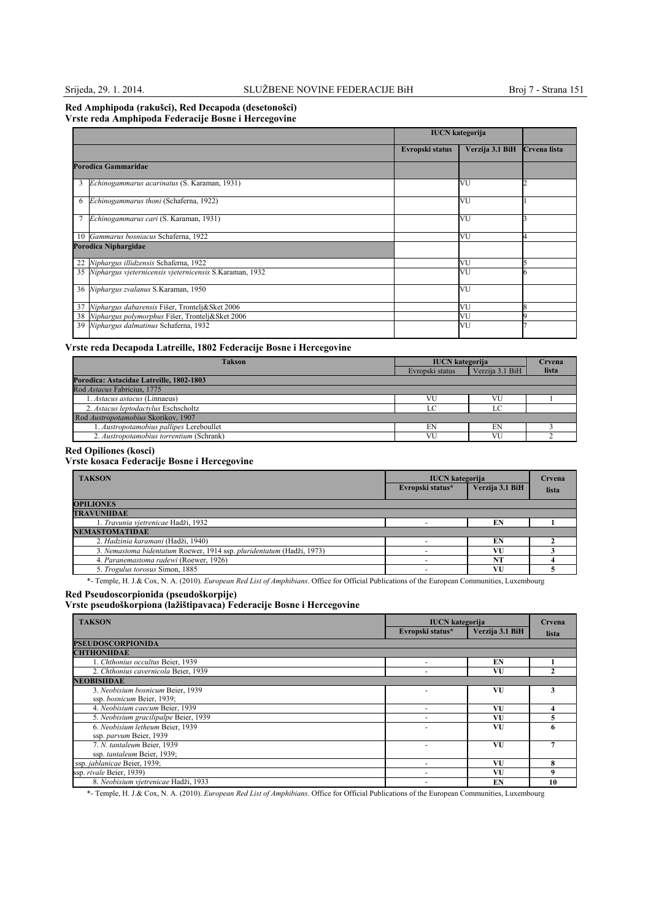### **Red Amphipoda (rakušci), Red Decapoda (desetonošci) Vrste reda Amphipoda Federacije Bosne i Hercegovine**

|    |                                                            | <b>IUCN</b> kategorija |                 |              |
|----|------------------------------------------------------------|------------------------|-----------------|--------------|
|    |                                                            | Evropski status        | Verzija 3.1 BiH | Crvena lista |
|    | <b>Porodica Gammaridae</b>                                 |                        |                 |              |
| 3  | Echinogammarus acarinatus (S. Karaman, 1931)               |                        | VU              |              |
| 6  | Echinogammarus thoni (Schaferna, 1922)                     |                        | VU              |              |
|    | Echinogammarus cari (S. Karaman, 1931)                     |                        | VU              |              |
|    | 10 Gammarus bosniacus Schaferna, 1922                      |                        | VU              |              |
|    | Porodica Niphargidae                                       |                        |                 |              |
| 22 | Niphargus illidzensis Schaferna, 1922                      |                        | VU              |              |
|    | 35 Niphargus vjeternicensis vjeternicensis S.Karaman, 1932 |                        | VU              |              |
|    | 36 Niphargus zvalanus S.Karaman, 1950                      |                        | VU              |              |
| 37 | Niphargus dabarensis Fišer, Trontelj&Sket 2006             |                        | VU              |              |
|    | 38 Niphargus polymorphus Fišer, Trontelj&Sket 2006         |                        | VU              |              |
|    | 39 Niphargus dalmatinus Schaferna, 1932                    |                        | VU              |              |

## **Vrste reda Decapoda Latreille, 1802 Federacije Bosne i Hercegovine**

| <b>Takson</b>                            | <b>IUCN</b> kategorija |                 | Crvena |
|------------------------------------------|------------------------|-----------------|--------|
|                                          | Evropski status        | Verzija 3.1 BiH | lista  |
| Porodica: Astacidae Latreille, 1802-1803 |                        |                 |        |
| Rod Astacus Fabricius, 1775              |                        |                 |        |
| 1. Astacus astacus (Linnaeus)            | VU                     |                 |        |
| 2. Astacus leptodactylus Eschscholtz     | $\Gamma$               |                 |        |
| Rod Austropotamobius Skorikov, 1907      |                        |                 |        |
| 1. Austropotamobius pallipes Lereboullet | EN                     | EN              |        |
| 2. Austropotamobius torrentium (Schrank) | VU                     | VU              |        |

### **Red Opiliones (kosci)**

## **Vrste kosaca Federacije Bosne i Hercegovine**

| <b>TAKSON</b>                                                         | <b>IUCN</b> kategorija<br>Evropski status* | Verzija 3.1 BiH | Crvena<br>lista |
|-----------------------------------------------------------------------|--------------------------------------------|-----------------|-----------------|
| <b>OPILIONES</b>                                                      |                                            |                 |                 |
| <b>TRAVUNIIDAE</b>                                                    |                                            |                 |                 |
| 1. Travunia vjetrenicae Hadži, 1932                                   |                                            | EN              |                 |
| <b>NEMASTOMATIDAE</b>                                                 |                                            |                 |                 |
| 2. Hadzinia karamani (Hadži, 1940)                                    |                                            | EN              |                 |
| 3. Nemastoma bidentatum Roewer, 1914 ssp. pluridentatum (Hadži, 1973) |                                            | VU              |                 |
| 4. Paranemastoma radewi (Roewer, 1926)                                |                                            | NT              |                 |
| 5. Trogulus torosus Simon, 1885                                       |                                            | VU              |                 |

\*- Temple, H. J.& Cox, N. A. (2010). *European Red List of Amphibians*. Office for Official Publications of the European Communities, Luxembourg

#### **Red Pseudoscorpionida (pseudoškorpije)**

**Vrste pseudoškorpiona (lažištipavaca) Federacije Bosne i Hercegovine**

| <b>TAKSON</b>                         | <b>IUCN</b> kategorija   |                 | Crvena |
|---------------------------------------|--------------------------|-----------------|--------|
|                                       | Evropski status*         | Verzija 3.1 BiH | lista  |
| <b>PSEUDOSCORPIONIDA</b>              |                          |                 |        |
| <b>CHTHONIIDAE</b>                    |                          |                 |        |
| 1. Chthonius occultus Beier, 1939     |                          | EN              |        |
| 2. Chthonius cavernicola Beier, 1939  |                          | VU              |        |
| <b>NEOBISHDAE</b>                     |                          |                 |        |
| 3. Neobisium bosnicum Beier, 1939     |                          | VU              |        |
| ssp. bosnicum Beier, 1939;            |                          |                 |        |
| 4. Neobisium caecum Beier, 1939       | $\overline{\phantom{a}}$ | VU              |        |
| 5. Neobisium gracilipalpe Beier, 1939 |                          | VU              |        |
| 6. Neobisium letheum Beier, 1939      |                          | VU              |        |
| ssp. parvum Beier, 1939               |                          |                 |        |
| 7. N. tantaleum Beier, 1939           |                          | VU              |        |
| ssp. tantaleum Beier, 1939;           |                          |                 |        |
| ssp. jablanicae Beier, 1939;          |                          | VU              | 8      |
| ssp. rivale Beier, 1939)              |                          | VU              | 9      |
| 8. Neobisium vietrenicae Hadži, 1933  |                          | EN              | 10     |

\*- Temple, H. J.& Cox, N. A. (2010). *European Red List of Amphibians*. Office for Official Publications of the European Communities, Luxembourg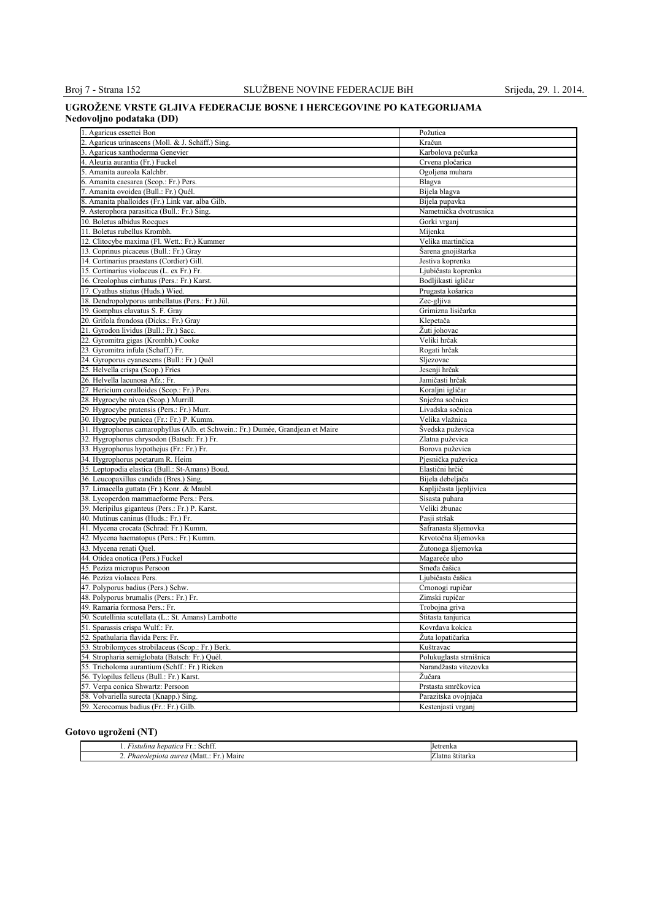## **UGROŽENE VRSTE GLJIVA FEDERACIJE BOSNE I HERCEGOVINE PO KATEGORIJAMA Nedovoljno podataka (DD)**

| 1. Agaricus essettei Bon                                                        | Požutica                                         |
|---------------------------------------------------------------------------------|--------------------------------------------------|
| 2. Agaricus urinascens (Moll. & J. Schäff.) Sing.                               | Kračun                                           |
| 3. Agaricus xanthoderma Genevier                                                | Karbolova pečurka                                |
| 4. Aleuria aurantia (Fr.) Fuckel                                                | Crvena pločarica                                 |
| 5. Amanita aureola Kalchbr.                                                     | Ogoljena muhara                                  |
| 6. Amanita caesarea (Scop.: Fr.) Pers.                                          | Blagva                                           |
| 7. Amanita ovoidea (Bull.: Fr.) Quél.                                           | Bijela blagva                                    |
| 8. Amanita phalloides (Fr.) Link var. alba Gilb.                                | Bijela pupavka                                   |
| 9. Asterophora parasitica (Bull.: Fr.) Sing.                                    | Nametnička dvotrusnica                           |
| 10. Boletus albidus Rocques                                                     | Gorki vrganj                                     |
| 11. Boletus rubellus Krombh.                                                    | Mijenka                                          |
| 12. Clitocybe maxima (Fl. Wett.: Fr.) Kummer                                    | Velika martinčica                                |
| 13. Coprinus picaceus (Bull.: Fr.) Gray                                         | Šarena gnojištarka                               |
| 4. Cortinarius praestans (Cordier) Gill.                                        | Jestiva koprenka                                 |
| 15. Cortinarius violaceus (L. ex Fr.) Fr.                                       | Ljubičasta koprenka                              |
|                                                                                 |                                                  |
| 16. Creolophus cirrhatus (Pers.: Fr.) Karst.                                    | Bodljikasti igličar                              |
| 17. Cyathus stiatus (Huds.) Wied.                                               | Prugasta košarica                                |
| 18. Dendropolyporus umbellatus (Pers.: Fr.) Jül.                                | Zec-gljiva                                       |
| 19. Gomphus clavatus S. F. Gray                                                 | Grimizna lisičarka                               |
| 20. Grifola frondosa (Dicks.: Fr.) Gray                                         | Klepetača                                        |
| 21. Gyrodon lividus (Bull.: Fr.) Sacc.                                          | Žuti johovac                                     |
| 22. Gyromitra gigas (Krombh.) Cooke                                             | Veliki hrčak                                     |
| 23. Gyromitra infula (Schaff.) Fr.                                              | Rogati hrčak                                     |
| 24. Gyroporus cyanescens (Bull.: Fr.) Quél                                      | Sljezovac                                        |
| 25. Helvella crispa (Scop.) Fries                                               | Jesenji hrčak                                    |
| 26. Helvella lacunosa Afz.: Fr.                                                 | Jamičasti hrčak                                  |
| 27. Hericium coralloides (Scop.: Fr.) Pers.                                     | Koraljni igličar                                 |
| 28. Hygrocybe nivea (Scop.) Murrill.                                            | Snježna sočnica                                  |
| 29. Hygrocybe pratensis (Pers.: Fr.) Murr.                                      | Livadska sočnica                                 |
| 30. Hygrocybe punicea (Fr.: Fr.) P. Kumm.                                       | Velika vlažnica                                  |
| 31. Hygrophorus camarophyllus (Alb. et Schwein.: Fr.) Dumée, Grandjean et Maire | Švedska puževica                                 |
| 32. Hygrophorus chrysodon (Batsch: Fr.) Fr.                                     | Zlatna puževica                                  |
| 33. Hygrophorus hypothejus (Fr.: Fr.) Fr.                                       | Borova puževica                                  |
| 34. Hygrophorus poetarum R. Heim                                                | Pjesnička puževica                               |
| 35. Leptopodia elastica (Bull.: St-Amans) Boud.                                 | Elastični hrčić                                  |
| 36. Leucopaxillus candida (Bres.) Sing.                                         | Bijela debeljača                                 |
| 37. Limacella guttata (Fr.) Konr. & Maubl.                                      | Kapljičasta ljepljivica                          |
| 38. Lycoperdon mammaeforme Pers.: Pers.                                         | Sisasta puhara                                   |
| 39. Meripilus giganteus (Pers.: Fr.) P. Karst.                                  | Veliki žbunac                                    |
| 40. Mutinus caninus (Huds.: Fr.) Fr.                                            | Pasji stršak                                     |
| 41. Mycena crocata (Schrad: Fr.) Kumm.                                          | Šafranasta šljemovka                             |
| 42. Mycena haematopus (Pers.: Fr.) Kumm.                                        | Krvotočna šljemovka                              |
| 43. Mycena renati Quel.                                                         | Žutonoga šljemovka                               |
| 44. Otidea onotica (Pers.) Fuckel                                               | Magareće uho                                     |
| 45. Peziza micropus Persoon                                                     | Smeđa čašica                                     |
| 46. Peziza violacea Pers.                                                       | Ljubičasta čašica                                |
| 47. Polyporus badius (Pers.) Schw.                                              | Crnonogi rupičar                                 |
| 48. Polyporus brumalis (Pers.: Fr.) Fr.                                         | Zimski rupičar                                   |
| 49. Ramaria formosa Pers.: Fr.                                                  | Trobojna griva                                   |
| 50. Scutellinia scutellata (L.: St. Amans) Lambotte                             | Stitasta tanjurica                               |
| 51. Sparassis crispa Wulf.: Fr.                                                 | Kovrđava kokica                                  |
| 52. Spathularia flavida Pers: Fr.                                               | Žuta lopatičarka                                 |
| 53. Strobilomyces strobilaceus (Scop.: Fr.) Berk.                               |                                                  |
| 54. Stropharia semiglobata (Batsch: Fr.) Quél.                                  | Kuštravac                                        |
|                                                                                 | Polukuglasta strnišnica<br>Narandžasta vitezovka |
| 55. Tricholoma aurantium (Schff.: Fr.) Ricken                                   |                                                  |
| 56. Tylopilus felleus (Bull.: Fr.) Karst.                                       | Žučara                                           |
| 57. Verpa conica Shwartz: Persoon                                               | Prstasta smrčkovica                              |
| 58. Volvariella surecta (Knapp.) Sing.                                          | Parazitska ovojnjača                             |
| 59. Xerocomus badius (Fr.: Fr.) Gilb.                                           | Kestenjasti vrganj                               |

## **Gotovo ugroženi (NT)**

| c.<br>Schtt<br><b>L+</b><br>hepatica<br>ustulina<br>. | <b>Tetrenka</b> |
|-------------------------------------------------------|-----------------|
| Phaeolepiota aurea v<br>Maire<br>Matt.<br>.           | ∠latna štītarka |